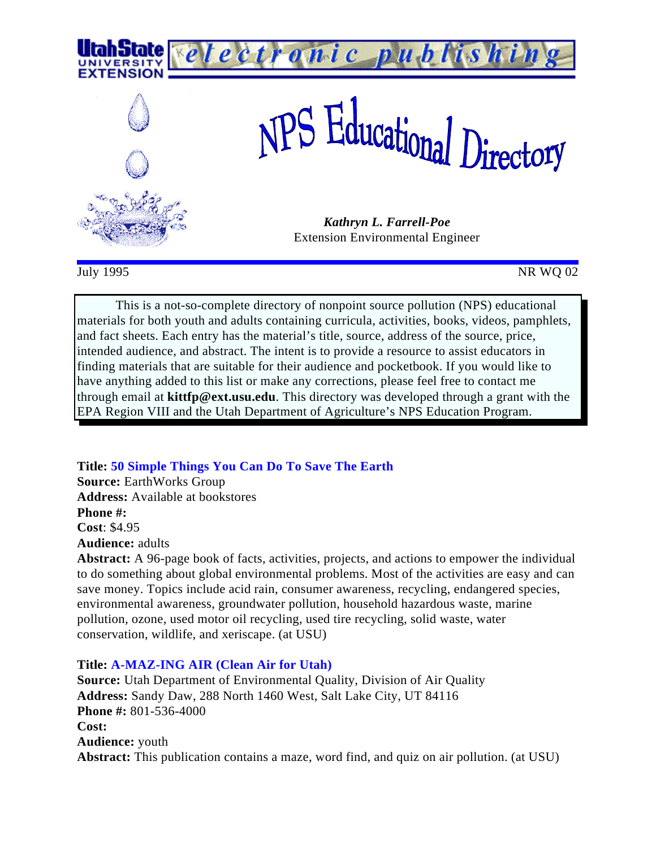

 $July 1995$  NR WQ 02

This is a not-so-complete directory of nonpoint source pollution (NPS) educational materials for both youth and adults containing curricula, activities, books, videos, pamphlets, and fact sheets. Each entry has the material's title, source, address of the source, price, intended audience, and abstract. The intent is to provide a resource to assist educators in finding materials that are suitable for their audience and pocketbook. If you would like to have anything added to this list or make any corrections, please feel free to contact me through email at **kittfp@ext.usu.edu**. This directory was developed through a grant with the EPA Region VIII and the Utah Department of Agriculture's NPS Education Program.

**Title: 50 Simple Things You Can Do To Save The Earth Source:** EarthWorks Group **Address:** Available at bookstores **Phone #: Cost**: \$4.95 **Audience:** adults

**Abstract:** A 96-page book of facts, activities, projects, and actions to empower the individual to do something about global environmental problems. Most of the activities are easy and can save money. Topics include acid rain, consumer awareness, recycling, endangered species, environmental awareness, groundwater pollution, household hazardous waste, marine pollution, ozone, used motor oil recycling, used tire recycling, solid waste, water conservation, wildlife, and xeriscape. (at USU)

# **Title: A-MAZ-ING AIR (Clean Air for Utah)**

**Source:** Utah Department of Environmental Quality, Division of Air Quality **Address:** Sandy Daw, 288 North 1460 West, Salt Lake City, UT 84116 **Phone #:** 801-536-4000 **Cost: Audience:** youth **Abstract:** This publication contains a maze, word find, and quiz on air pollution. (at USU)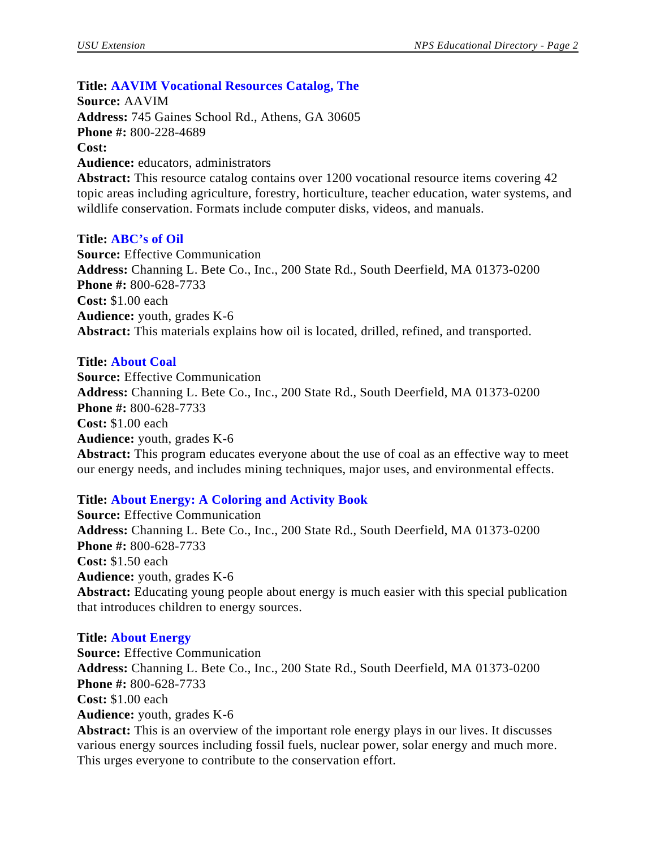# **Title: AAVIM Vocational Resources Catalog, The**

**Source:** AAVIM **Address:** 745 Gaines School Rd., Athens, GA 30605 **Phone #:** 800-228-4689 **Cost: Audience:** educators, administrators **Abstract:** This resource catalog contains over 1200 vocational resource items covering 42

topic areas including agriculture, forestry, horticulture, teacher education, water systems, and wildlife conservation. Formats include computer disks, videos, and manuals.

#### **Title: ABC's of Oil**

**Source:** Effective Communication **Address:** Channing L. Bete Co., Inc., 200 State Rd., South Deerfield, MA 01373-0200 **Phone #:** 800-628-7733 **Cost:** \$1.00 each **Audience:** youth, grades K-6 **Abstract:** This materials explains how oil is located, drilled, refined, and transported.

#### **Title: About Coal**

**Source:** Effective Communication **Address:** Channing L. Bete Co., Inc., 200 State Rd., South Deerfield, MA 01373-0200 **Phone #:** 800-628-7733 **Cost:** \$1.00 each **Audience:** youth, grades K-6 **Abstract:** This program educates everyone about the use of coal as an effective way to meet our energy needs, and includes mining techniques, major uses, and environmental effects.

# **Title: About Energy: A Coloring and Activity Book**

**Source:** Effective Communication **Address:** Channing L. Bete Co., Inc., 200 State Rd., South Deerfield, MA 01373-0200 **Phone #:** 800-628-7733 **Cost:** \$1.50 each **Audience:** youth, grades K-6 **Abstract:** Educating young people about energy is much easier with this special publication that introduces children to energy sources.

#### **Title: About Energy**

**Source:** Effective Communication **Address:** Channing L. Bete Co., Inc., 200 State Rd., South Deerfield, MA 01373-0200 **Phone #:** 800-628-7733 **Cost:** \$1.00 each **Audience:** youth, grades K-6 **Abstract:** This is an overview of the important role energy plays in our lives. It discusses

various energy sources including fossil fuels, nuclear power, solar energy and much more. This urges everyone to contribute to the conservation effort.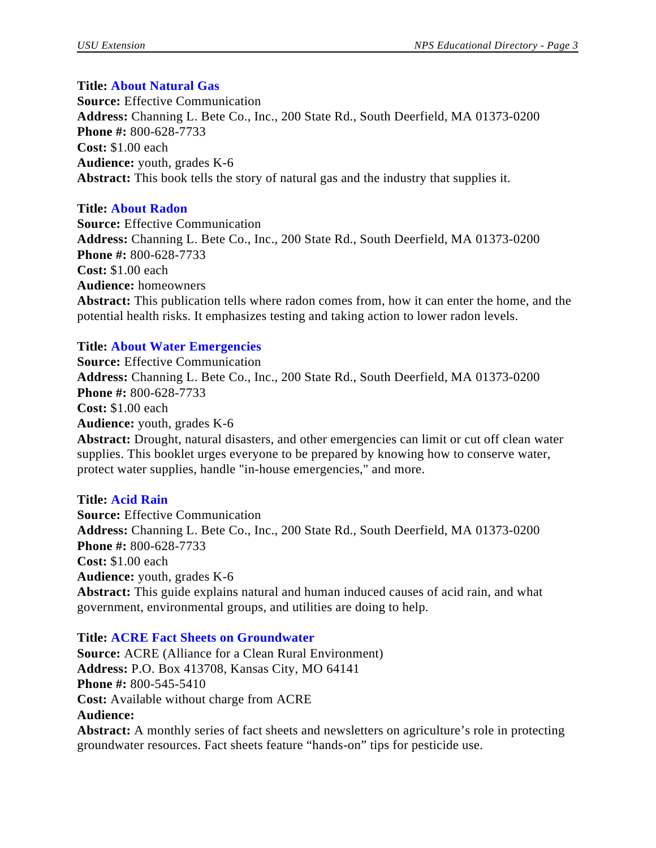#### **Title: About Natural Gas**

**Source:** Effective Communication **Address:** Channing L. Bete Co., Inc., 200 State Rd., South Deerfield, MA 01373-0200 **Phone #:** 800-628-7733 **Cost:** \$1.00 each **Audience:** youth, grades K-6 **Abstract:** This book tells the story of natural gas and the industry that supplies it.

#### **Title: About Radon**

**Source:** Effective Communication **Address:** Channing L. Bete Co., Inc., 200 State Rd., South Deerfield, MA 01373-0200 **Phone #:** 800-628-7733 **Cost:** \$1.00 each **Audience:** homeowners **Abstract:** This publication tells where radon comes from, how it can enter the home, and the potential health risks. It emphasizes testing and taking action to lower radon levels.

#### **Title: About Water Emergencies**

**Source:** Effective Communication **Address:** Channing L. Bete Co., Inc., 200 State Rd., South Deerfield, MA 01373-0200 **Phone #:** 800-628-7733 **Cost:** \$1.00 each **Audience:** youth, grades K-6 **Abstract:** Drought, natural disasters, and other emergencies can limit or cut off clean water supplies. This booklet urges everyone to be prepared by knowing how to conserve water, protect water supplies, handle "in-house emergencies," and more.

#### **Title: Acid Rain**

**Source:** Effective Communication **Address:** Channing L. Bete Co., Inc., 200 State Rd., South Deerfield, MA 01373-0200 **Phone #:** 800-628-7733 **Cost:** \$1.00 each **Audience:** youth, grades K-6 **Abstract:** This guide explains natural and human induced causes of acid rain, and what government, environmental groups, and utilities are doing to help.

#### **Title: ACRE Fact Sheets on Groundwater**

**Source:** ACRE (Alliance for a Clean Rural Environment) **Address:** P.O. Box 413708, Kansas City, MO 64141 **Phone #:** 800-545-5410 **Cost:** Available without charge from ACRE **Audience:**

**Abstract:** A monthly series of fact sheets and newsletters on agriculture's role in protecting groundwater resources. Fact sheets feature "hands-on" tips for pesticide use.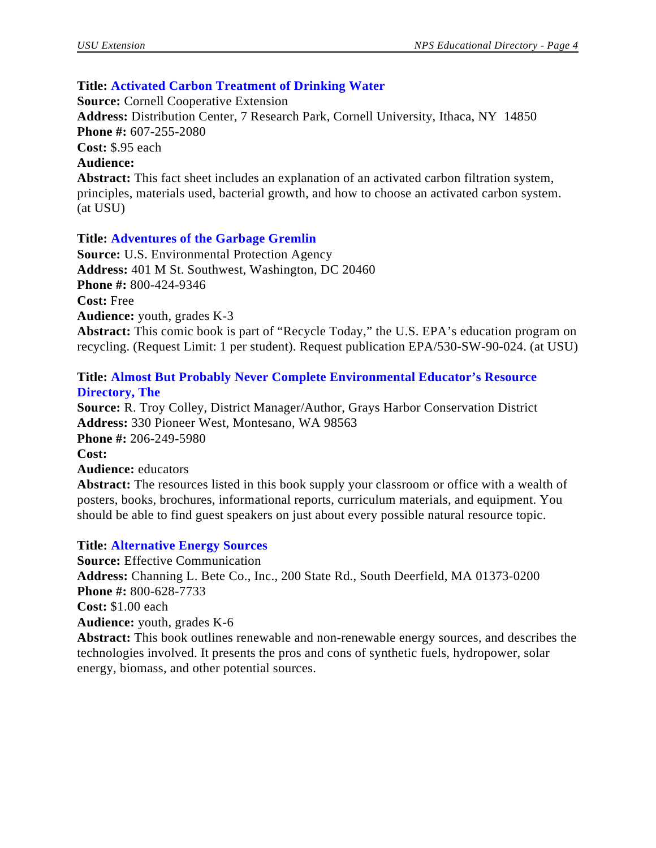## **Title: Activated Carbon Treatment of Drinking Water**

**Source:** Cornell Cooperative Extension **Address:** Distribution Center, 7 Research Park, Cornell University, Ithaca, NY 14850 **Phone #:** 607-255-2080 **Cost:** \$.95 each **Audience: Abstract:** This fact sheet includes an explanation of an activated carbon filtration system, principles, materials used, bacterial growth, and how to choose an activated carbon system. (at USU)

#### **Title: Adventures of the Garbage Gremlin**

**Source:** U.S. Environmental Protection Agency **Address:** 401 M St. Southwest, Washington, DC 20460 **Phone #:** 800-424-9346 **Cost:** Free **Audience:** youth, grades K-3 **Abstract:** This comic book is part of "Recycle Today," the U.S. EPA's education program on recycling. (Request Limit: 1 per student). Request publication EPA/530-SW-90-024. (at USU)

#### **Title: Almost But Probably Never Complete Environmental Educator's Resource Directory, The**

**Source:** R. Troy Colley, District Manager/Author, Grays Harbor Conservation District **Address:** 330 Pioneer West, Montesano, WA 98563 **Phone #:** 206-249-5980 **Cost: Audience:** educators

**Abstract:** The resources listed in this book supply your classroom or office with a wealth of posters, books, brochures, informational reports, curriculum materials, and equipment. You should be able to find guest speakers on just about every possible natural resource topic.

#### **Title: Alternative Energy Sources**

**Source:** Effective Communication **Address:** Channing L. Bete Co., Inc., 200 State Rd., South Deerfield, MA 01373-0200 **Phone #:** 800-628-7733 **Cost:** \$1.00 each **Audience:** youth, grades K-6 **Abstract:** This book outlines renewable and non-renewable energy sources, and describes the technologies involved. It presents the pros and cons of synthetic fuels, hydropower, solar energy, biomass, and other potential sources.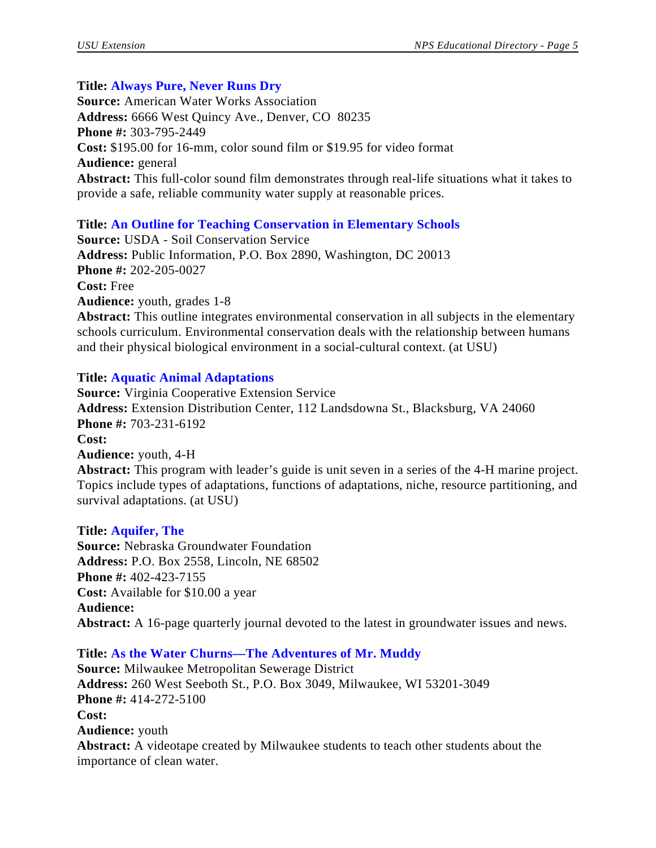# **Title: Always Pure, Never Runs Dry**

**Source:** American Water Works Association **Address:** 6666 West Quincy Ave., Denver, CO 80235 **Phone #:** 303-795-2449 **Cost:** \$195.00 for 16-mm, color sound film or \$19.95 for video format **Audience:** general **Abstract:** This full-color sound film demonstrates through real-life situations what it takes to provide a safe, reliable community water supply at reasonable prices.

# **Title: An Outline for Teaching Conservation in Elementary Schools**

**Source:** USDA - Soil Conservation Service **Address:** Public Information, P.O. Box 2890, Washington, DC 20013 **Phone #:** 202-205-0027 **Cost:** Free **Audience:** youth, grades 1-8 **Abstract:** This outline integrates environmental conservation in all subjects in the elementary schools curriculum. Environmental conservation deals with the relationship between humans and their physical biological environment in a social-cultural context. (at USU)

# **Title: Aquatic Animal Adaptations**

**Source:** Virginia Cooperative Extension Service **Address:** Extension Distribution Center, 112 Landsdowna St., Blacksburg, VA 24060 **Phone #:** 703-231-6192 **Cost: Audience:** youth, 4-H **Abstract:** This program with leader's guide is unit seven in a series of the 4-H marine project. Topics include types of adaptations, functions of adaptations, niche, resource partitioning, and

survival adaptations. (at USU)

# **Title: Aquifer, The**

**Source:** Nebraska Groundwater Foundation **Address:** P.O. Box 2558, Lincoln, NE 68502 **Phone #:** 402-423-7155 **Cost:** Available for \$10.00 a year **Audience: Abstract:** A 16-page quarterly journal devoted to the latest in groundwater issues and news.

# **Title: As the Water Churns—The Adventures of Mr. Muddy**

**Source:** Milwaukee Metropolitan Sewerage District **Address:** 260 West Seeboth St., P.O. Box 3049, Milwaukee, WI 53201-3049 **Phone #:** 414-272-5100 **Cost: Audience:** youth **Abstract:** A videotape created by Milwaukee students to teach other students about the importance of clean water.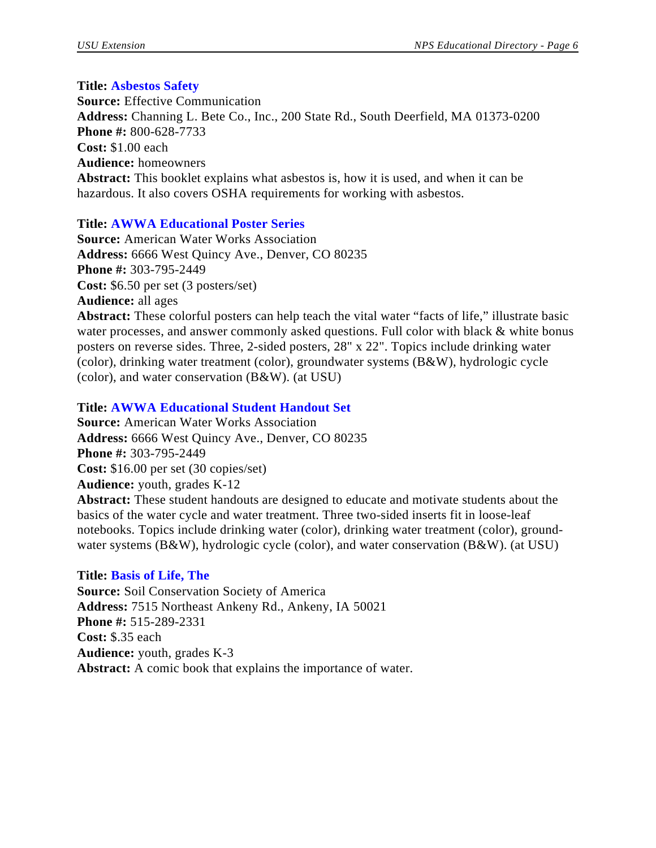#### **Title: Asbestos Safety**

**Source:** Effective Communication **Address:** Channing L. Bete Co., Inc., 200 State Rd., South Deerfield, MA 01373-0200 **Phone #:** 800-628-7733 **Cost:** \$1.00 each **Audience:** homeowners **Abstract:** This booklet explains what asbestos is, how it is used, and when it can be hazardous. It also covers OSHA requirements for working with asbestos.

## **Title: AWWA Educational Poster Series**

**Source:** American Water Works Association **Address:** 6666 West Quincy Ave., Denver, CO 80235 **Phone #:** 303-795-2449 **Cost:** \$6.50 per set (3 posters/set) **Audience:** all ages **Abstract:** These colorful posters can help teach the vital water "facts of life," illustrate basic

water processes, and answer commonly asked questions. Full color with black & white bonus posters on reverse sides. Three, 2-sided posters, 28" x 22". Topics include drinking water (color), drinking water treatment (color), groundwater systems (B&W), hydrologic cycle (color), and water conservation (B&W). (at USU)

## **Title: AWWA Educational Student Handout Set**

**Source:** American Water Works Association **Address:** 6666 West Quincy Ave., Denver, CO 80235 **Phone #:** 303-795-2449 **Cost:** \$16.00 per set (30 copies/set) **Audience:** youth, grades K-12 **Abstract:** These student handouts are designed to educate and motivate students about the

basics of the water cycle and water treatment. Three two-sided inserts fit in loose-leaf notebooks. Topics include drinking water (color), drinking water treatment (color), groundwater systems (B&W), hydrologic cycle (color), and water conservation (B&W). (at USU)

#### **Title: Basis of Life, The**

**Source:** Soil Conservation Society of America **Address:** 7515 Northeast Ankeny Rd., Ankeny, IA 50021 **Phone #:** 515-289-2331 **Cost:** \$.35 each **Audience:** youth, grades K-3 **Abstract:** A comic book that explains the importance of water.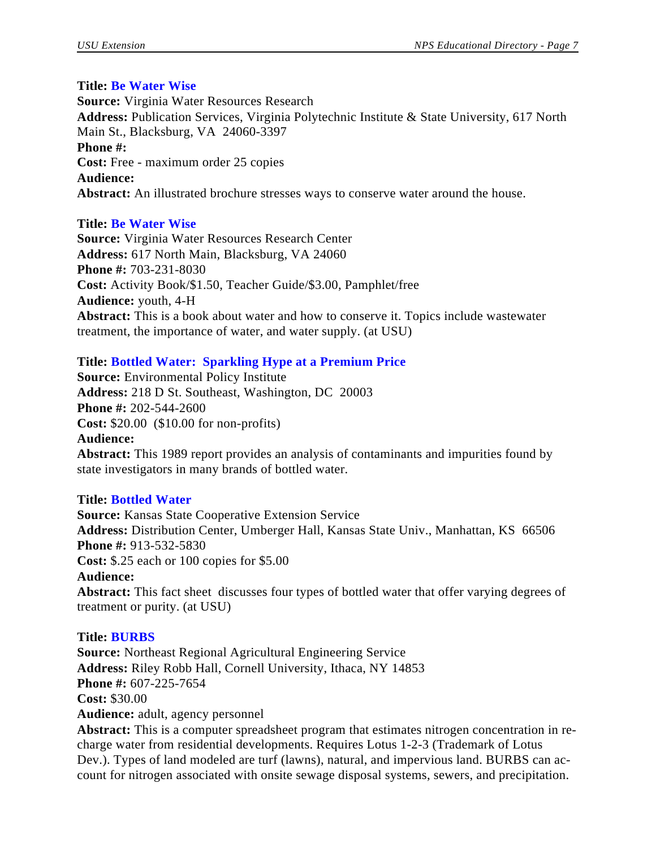#### **Title: Be Water Wise**

**Source:** Virginia Water Resources Research **Address:** Publication Services, Virginia Polytechnic Institute & State University, 617 North Main St., Blacksburg, VA 24060-3397 **Phone #: Cost:** Free - maximum order 25 copies **Audience: Abstract:** An illustrated brochure stresses ways to conserve water around the house.

#### **Title: Be Water Wise**

**Source:** Virginia Water Resources Research Center **Address:** 617 North Main, Blacksburg, VA 24060 **Phone #:** 703-231-8030 **Cost:** Activity Book/\$1.50, Teacher Guide/\$3.00, Pamphlet/free **Audience:** youth, 4-H **Abstract:** This is a book about water and how to conserve it. Topics include wastewater treatment, the importance of water, and water supply. (at USU)

## **Title: Bottled Water: Sparkling Hype at a Premium Price**

**Source:** Environmental Policy Institute **Address:** 218 D St. Southeast, Washington, DC 20003 **Phone #:** 202-544-2600 **Cost:** \$20.00 (\$10.00 for non-profits) **Audience: Abstract:** This 1989 report provides an analysis of contaminants and impurities found by state investigators in many brands of bottled water.

#### **Title: Bottled Water**

**Source:** Kansas State Cooperative Extension Service **Address:** Distribution Center, Umberger Hall, Kansas State Univ., Manhattan, KS 66506 **Phone #:** 913-532-5830 **Cost:** \$.25 each or 100 copies for \$5.00 **Audience: Abstract:** This fact sheet discusses four types of bottled water that offer varying degrees of treatment or purity. (at USU)

#### **Title: BURBS**

**Source:** Northeast Regional Agricultural Engineering Service **Address:** Riley Robb Hall, Cornell University, Ithaca, NY 14853 **Phone #:** 607-225-7654 **Cost:** \$30.00 **Audience:** adult, agency personnel

**Abstract:** This is a computer spreadsheet program that estimates nitrogen concentration in recharge water from residential developments. Requires Lotus 1-2-3 (Trademark of Lotus Dev.). Types of land modeled are turf (lawns), natural, and impervious land. BURBS can account for nitrogen associated with onsite sewage disposal systems, sewers, and precipitation.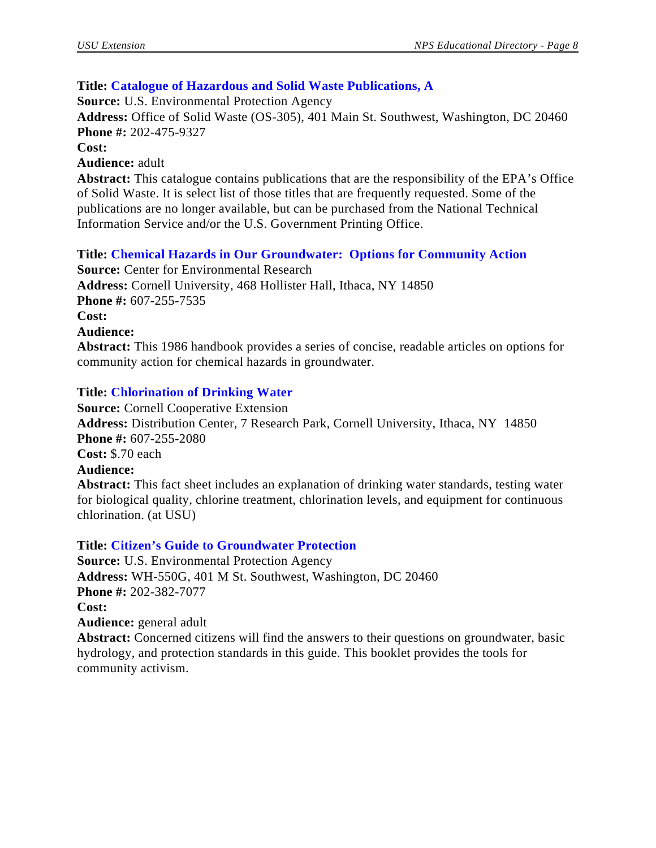## **Title: Catalogue of Hazardous and Solid Waste Publications, A**

**Source:** U.S. Environmental Protection Agency

**Address:** Office of Solid Waste (OS-305), 401 Main St. Southwest, Washington, DC 20460 **Phone #:** 202-475-9327

**Cost:**

**Audience:** adult

**Abstract:** This catalogue contains publications that are the responsibility of the EPA's Office of Solid Waste. It is select list of those titles that are frequently requested. Some of the publications are no longer available, but can be purchased from the National Technical Information Service and/or the U.S. Government Printing Office.

## **Title: Chemical Hazards in Our Groundwater: Options for Community Action**

**Source:** Center for Environmental Research **Address:** Cornell University, 468 Hollister Hall, Ithaca, NY 14850 **Phone #:** 607-255-7535 **Cost: Audience: Abstract:** This 1986 handbook provides a series of concise, readable articles on options for community action for chemical hazards in groundwater.

## **Title: Chlorination of Drinking Water**

**Source:** Cornell Cooperative Extension **Address:** Distribution Center, 7 Research Park, Cornell University, Ithaca, NY 14850 **Phone #:** 607-255-2080 **Cost:** \$.70 each **Audience: Abstract:** This fact sheet includes an explanation of drinking water standards, testing water for biological quality, chlorine treatment, chlorination levels, and equipment for continuous chlorination. (at USU)

**Title: Citizen's Guide to Groundwater Protection**

**Source:** U.S. Environmental Protection Agency **Address:** WH-550G, 401 M St. Southwest, Washington, DC 20460 **Phone #:** 202-382-7077 **Cost: Audience:** general adult **Abstract:** Concerned citizens will find the answers to their questions on groundwater, basic hydrology, and protection standards in this guide. This booklet provides the tools for

community activism.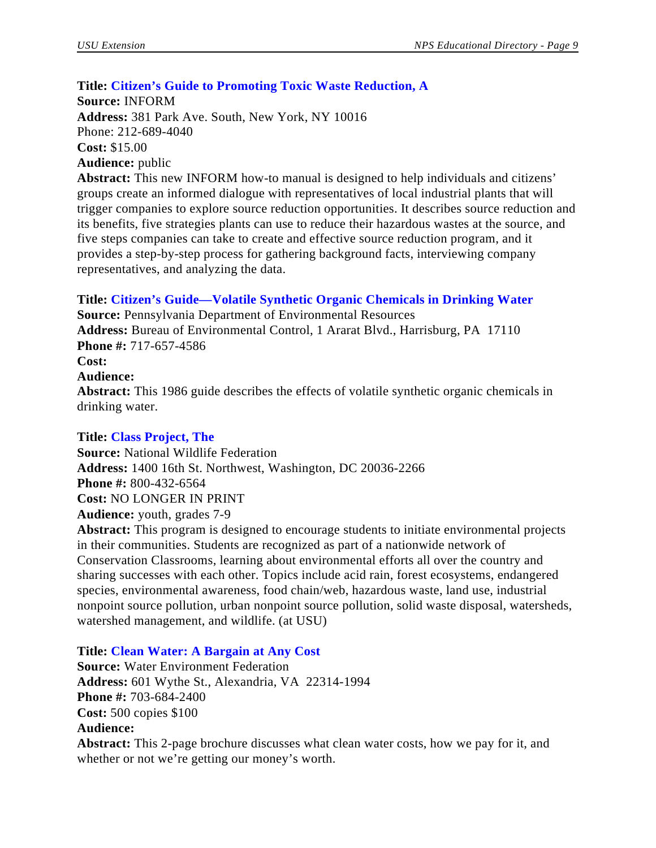# **Title: Citizen's Guide to Promoting Toxic Waste Reduction, A**

**Source:** INFORM **Address:** 381 Park Ave. South, New York, NY 10016 Phone: 212-689-4040 **Cost:** \$15.00 **Audience:** public

**Abstract:** This new INFORM how-to manual is designed to help individuals and citizens' groups create an informed dialogue with representatives of local industrial plants that will trigger companies to explore source reduction opportunities. It describes source reduction and its benefits, five strategies plants can use to reduce their hazardous wastes at the source, and five steps companies can take to create and effective source reduction program, and it provides a step-by-step process for gathering background facts, interviewing company representatives, and analyzing the data.

# **Title: Citizen's Guide—Volatile Synthetic Organic Chemicals in Drinking Water**

**Source:** Pennsylvania Department of Environmental Resources **Address:** Bureau of Environmental Control, 1 Ararat Blvd., Harrisburg, PA 17110 **Phone #:** 717-657-4586

**Cost:**

## **Audience:**

**Abstract:** This 1986 guide describes the effects of volatile synthetic organic chemicals in drinking water.

# **Title: Class Project, The**

**Source:** National Wildlife Federation **Address:** 1400 16th St. Northwest, Washington, DC 20036-2266 **Phone #:** 800-432-6564 **Cost:** NO LONGER IN PRINT **Audience:** youth, grades 7-9

**Abstract:** This program is designed to encourage students to initiate environmental projects in their communities. Students are recognized as part of a nationwide network of Conservation Classrooms, learning about environmental efforts all over the country and sharing successes with each other. Topics include acid rain, forest ecosystems, endangered species, environmental awareness, food chain/web, hazardous waste, land use, industrial nonpoint source pollution, urban nonpoint source pollution, solid waste disposal, watersheds, watershed management, and wildlife. (at USU)

# **Title: Clean Water: A Bargain at Any Cost**

**Source:** Water Environment Federation **Address:** 601 Wythe St., Alexandria, VA 22314-1994 **Phone #:** 703-684-2400 **Cost:** 500 copies \$100 **Audience: Abstract:** This 2-page brochure discusses what clean water costs, how we pay for it, and whether or not we're getting our money's worth.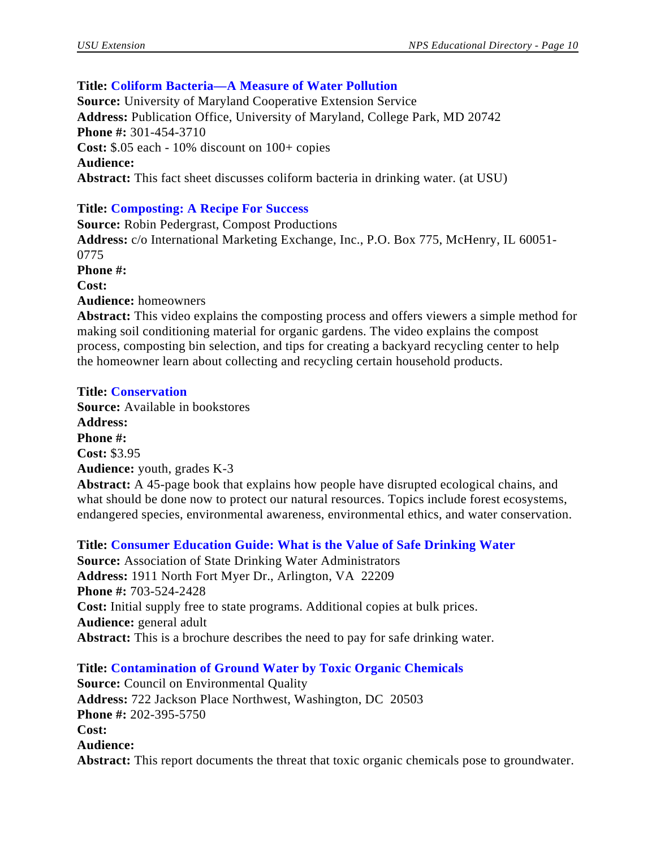# **Title: Coliform Bacteria—A Measure of Water Pollution**

**Source:** University of Maryland Cooperative Extension Service **Address:** Publication Office, University of Maryland, College Park, MD 20742 **Phone #:** 301-454-3710 **Cost:** \$.05 each - 10% discount on 100+ copies **Audience: Abstract:** This fact sheet discusses coliform bacteria in drinking water. (at USU)

# **Title: Composting: A Recipe For Success**

**Source:** Robin Pedergrast, Compost Productions **Address:** c/o International Marketing Exchange, Inc., P.O. Box 775, McHenry, IL 60051- 0775 **Phone #: Cost: Audience:** homeowners

**Abstract:** This video explains the composting process and offers viewers a simple method for making soil conditioning material for organic gardens. The video explains the compost process, composting bin selection, and tips for creating a backyard recycling center to help the homeowner learn about collecting and recycling certain household products.

# **Title: Conservation**

**Source:** Available in bookstores

**Address: Phone #: Cost:** \$3.95 **Audience:** youth, grades K-3 **Abstract:** A 45-page book that explains how people have disrupted ecological chains, and what should be done now to protect our natural resources. Topics include forest ecosystems, endangered species, environmental awareness, environmental ethics, and water conservation.

**Title: Consumer Education Guide: What is the Value of Safe Drinking Water Source:** Association of State Drinking Water Administrators **Address:** 1911 North Fort Myer Dr., Arlington, VA 22209 **Phone #:** 703-524-2428 **Cost:** Initial supply free to state programs. Additional copies at bulk prices. **Audience:** general adult **Abstract:** This is a brochure describes the need to pay for safe drinking water.

# **Title: Contamination of Ground Water by Toxic Organic Chemicals**

**Source:** Council on Environmental Quality **Address:** 722 Jackson Place Northwest, Washington, DC 20503 **Phone #:** 202-395-5750 **Cost: Audience: Abstract:** This report documents the threat that toxic organic chemicals pose to groundwater.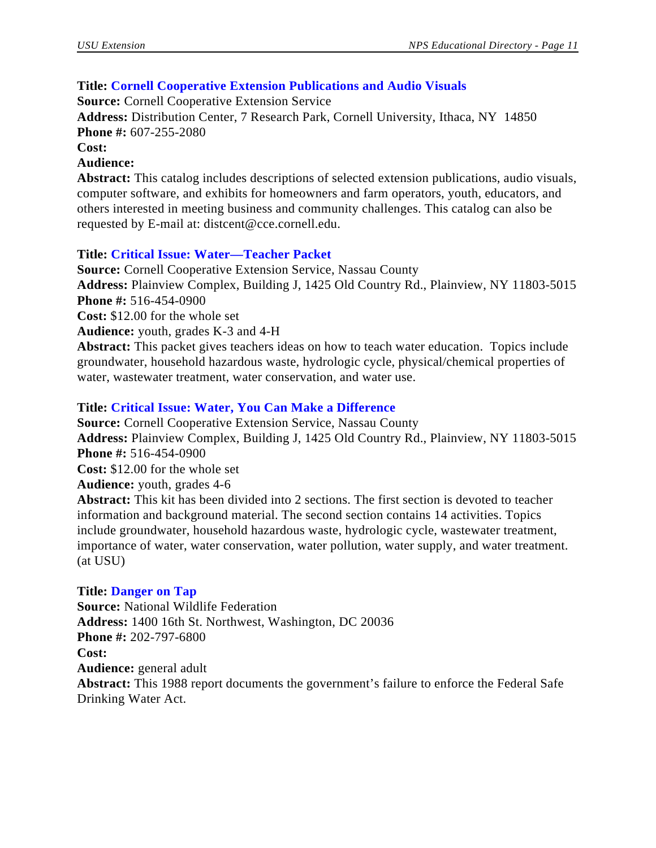# **Title: Cornell Cooperative Extension Publications and Audio Visuals**

**Source:** Cornell Cooperative Extension Service

**Address:** Distribution Center, 7 Research Park, Cornell University, Ithaca, NY 14850 **Phone #:** 607-255-2080

**Cost:**

#### **Audience:**

**Abstract:** This catalog includes descriptions of selected extension publications, audio visuals, computer software, and exhibits for homeowners and farm operators, youth, educators, and others interested in meeting business and community challenges. This catalog can also be requested by E-mail at: distcent@cce.cornell.edu.

# **Title: Critical Issue: Water—Teacher Packet**

**Source:** Cornell Cooperative Extension Service, Nassau County **Address:** Plainview Complex, Building J, 1425 Old Country Rd., Plainview, NY 11803-5015 **Phone #:** 516-454-0900

**Cost:** \$12.00 for the whole set

**Audience:** youth, grades K-3 and 4-H

**Abstract:** This packet gives teachers ideas on how to teach water education. Topics include groundwater, household hazardous waste, hydrologic cycle, physical/chemical properties of water, wastewater treatment, water conservation, and water use.

# **Title: Critical Issue: Water, You Can Make a Difference**

**Source:** Cornell Cooperative Extension Service, Nassau County **Address:** Plainview Complex, Building J, 1425 Old Country Rd., Plainview, NY 11803-5015 **Phone #:** 516-454-0900

**Cost:** \$12.00 for the whole set

**Audience:** youth, grades 4-6

**Abstract:** This kit has been divided into 2 sections. The first section is devoted to teacher information and background material. The second section contains 14 activities. Topics include groundwater, household hazardous waste, hydrologic cycle, wastewater treatment, importance of water, water conservation, water pollution, water supply, and water treatment. (at USU)

# **Title: Danger on Tap**

**Source:** National Wildlife Federation **Address:** 1400 16th St. Northwest, Washington, DC 20036 **Phone #:** 202-797-6800 **Cost: Audience:** general adult Abstract: This 1988 report documents the government's failure to enforce the Federal Safe Drinking Water Act.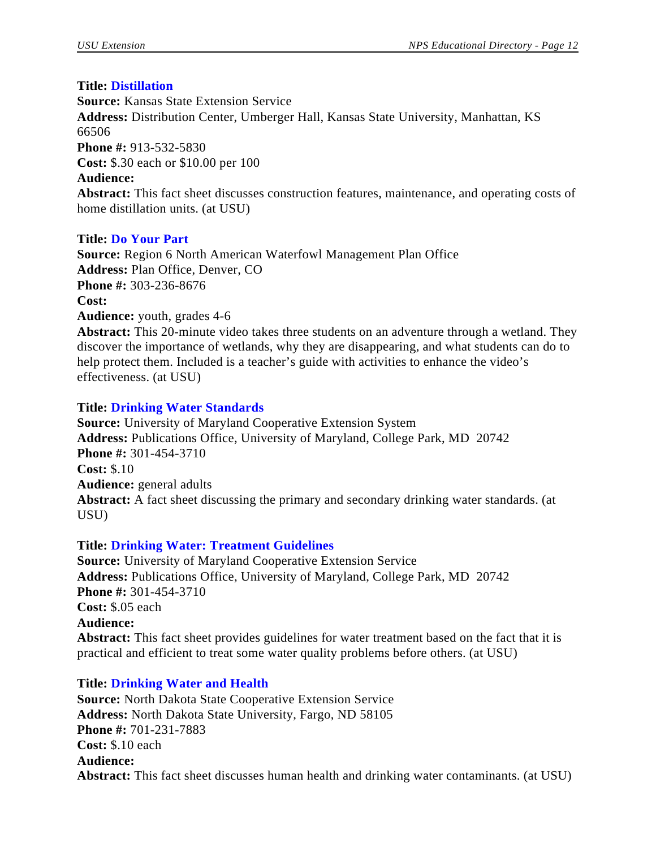# **Title: Distillation**

**Source:** Kansas State Extension Service **Address:** Distribution Center, Umberger Hall, Kansas State University, Manhattan, KS 66506 **Phone #:** 913-532-5830 **Cost:** \$.30 each or \$10.00 per 100 **Audience: Abstract:** This fact sheet discusses construction features, maintenance, and operating costs of home distillation units. (at USU)

# **Title: Do Your Part**

**Source:** Region 6 North American Waterfowl Management Plan Office **Address:** Plan Office, Denver, CO **Phone #:** 303-236-8676 **Cost: Audience:** youth, grades 4-6

**Abstract:** This 20-minute video takes three students on an adventure through a wetland. They discover the importance of wetlands, why they are disappearing, and what students can do to help protect them. Included is a teacher's guide with activities to enhance the video's effectiveness. (at USU)

# **Title: Drinking Water Standards**

**Source:** University of Maryland Cooperative Extension System **Address:** Publications Office, University of Maryland, College Park, MD 20742 **Phone #:** 301-454-3710 **Cost:** \$.10 **Audience:** general adults **Abstract:** A fact sheet discussing the primary and secondary drinking water standards. (at USU)

# **Title: Drinking Water: Treatment Guidelines**

**Source:** University of Maryland Cooperative Extension Service **Address:** Publications Office, University of Maryland, College Park, MD 20742 **Phone #:** 301-454-3710 **Cost:** \$.05 each **Audience: Abstract:** This fact sheet provides guidelines for water treatment based on the fact that it is practical and efficient to treat some water quality problems before others. (at USU)

# **Title: Drinking Water and Health**

**Source:** North Dakota State Cooperative Extension Service **Address:** North Dakota State University, Fargo, ND 58105 **Phone #:** 701-231-7883 **Cost:** \$.10 each **Audience: Abstract:** This fact sheet discusses human health and drinking water contaminants. (at USU)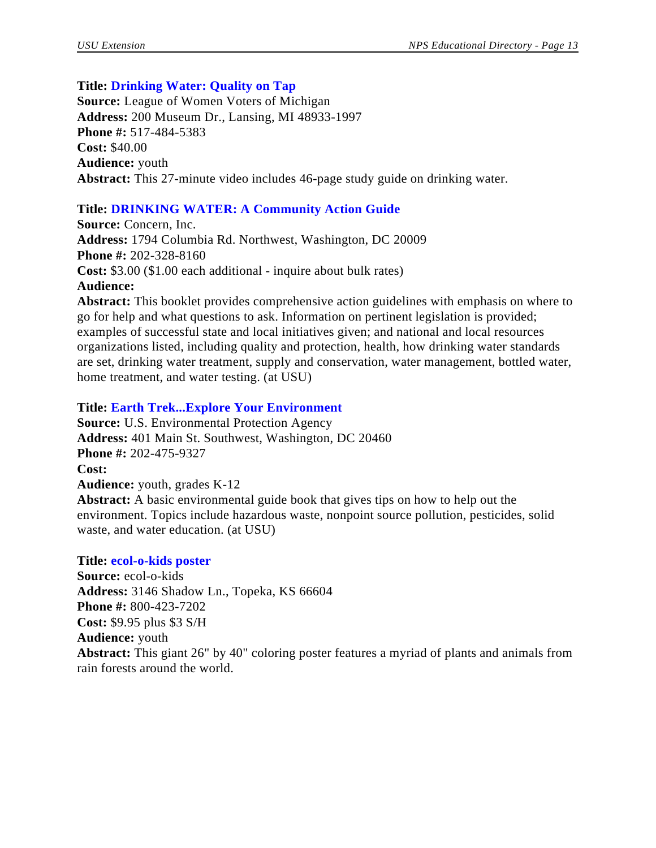## **Title: Drinking Water: Quality on Tap**

**Source:** League of Women Voters of Michigan **Address:** 200 Museum Dr., Lansing, MI 48933-1997 **Phone #:** 517-484-5383 **Cost:** \$40.00 **Audience:** youth **Abstract:** This 27-minute video includes 46-page study guide on drinking water.

# **Title: DRINKING WATER: A Community Action Guide**

**Source:** Concern, Inc. **Address:** 1794 Columbia Rd. Northwest, Washington, DC 20009 **Phone #:** 202-328-8160 **Cost:** \$3.00 (\$1.00 each additional - inquire about bulk rates) **Audience:**

**Abstract:** This booklet provides comprehensive action guidelines with emphasis on where to go for help and what questions to ask. Information on pertinent legislation is provided; examples of successful state and local initiatives given; and national and local resources organizations listed, including quality and protection, health, how drinking water standards are set, drinking water treatment, supply and conservation, water management, bottled water, home treatment, and water testing. (at USU)

## **Title: Earth Trek...Explore Your Environment**

**Source:** U.S. Environmental Protection Agency **Address:** 401 Main St. Southwest, Washington, DC 20460 **Phone #:** 202-475-9327 **Cost: Audience:** youth, grades K-12 **Abstract:** A basic environmental guide book that gives tips on how to help out the environment. Topics include hazardous waste, nonpoint source pollution, pesticides, solid waste, and water education. (at USU)

#### **Title: ecol-o-kids poster**

**Source:** ecol-o-kids **Address:** 3146 Shadow Ln., Topeka, KS 66604 **Phone #:** 800-423-7202 **Cost:** \$9.95 plus \$3 S/H **Audience:** youth **Abstract:** This giant 26" by 40" coloring poster features a myriad of plants and animals from rain forests around the world.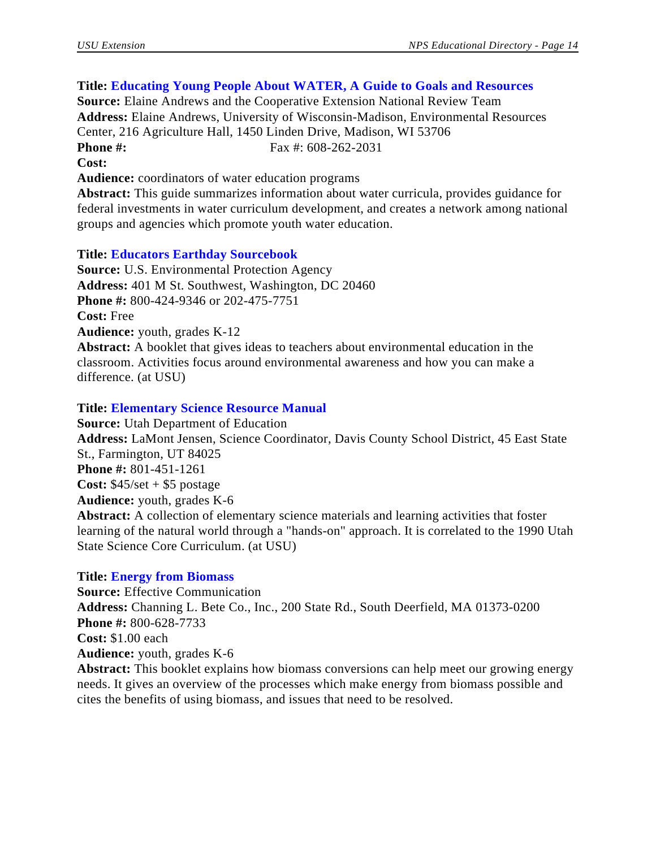# **Title: Educating Young People About WATER, A Guide to Goals and Resources**

**Source:** Elaine Andrews and the Cooperative Extension National Review Team **Address:** Elaine Andrews, University of Wisconsin-Madison, Environmental Resources Center, 216 Agriculture Hall, 1450 Linden Drive, Madison, WI 53706 **Phone #:** Fax #: 608-262-2031 **Cost:**

**Audience:** coordinators of water education programs

**Abstract:** This guide summarizes information about water curricula, provides guidance for federal investments in water curriculum development, and creates a network among national groups and agencies which promote youth water education.

## **Title: Educators Earthday Sourcebook**

**Source:** U.S. Environmental Protection Agency **Address:** 401 M St. Southwest, Washington, DC 20460 **Phone #:** 800-424-9346 or 202-475-7751 **Cost:** Free **Audience:** youth, grades K-12 **Abstract:** A booklet that gives ideas to teachers about environmental education in the classroom. Activities focus around environmental awareness and how you can make a difference. (at USU)

## **Title: Elementary Science Resource Manual**

**Source:** Utah Department of Education **Address:** LaMont Jensen, Science Coordinator, Davis County School District, 45 East State St., Farmington, UT 84025 **Phone #:** 801-451-1261 **Cost:** \$45/set + \$5 postage **Audience:** youth, grades K-6 **Abstract:** A collection of elementary science materials and learning activities that foster learning of the natural world through a "hands-on" approach. It is correlated to the 1990 Utah State Science Core Curriculum. (at USU)

#### **Title: Energy from Biomass**

**Source:** Effective Communication **Address:** Channing L. Bete Co., Inc., 200 State Rd., South Deerfield, MA 01373-0200 **Phone #:** 800-628-7733 **Cost:** \$1.00 each **Audience:** youth, grades K-6 **Abstract:** This booklet explains how biomass conversions can help meet our growing energy needs. It gives an overview of the processes which make energy from biomass possible and cites the benefits of using biomass, and issues that need to be resolved.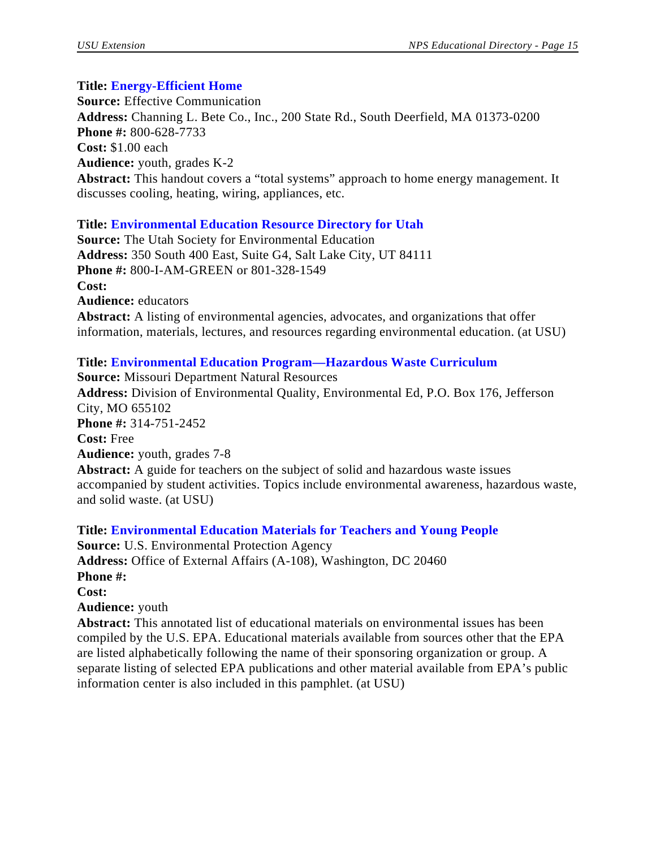# **Title: Energy-Efficient Home**

**Source:** Effective Communication **Address:** Channing L. Bete Co., Inc., 200 State Rd., South Deerfield, MA 01373-0200 **Phone #:** 800-628-7733 **Cost:** \$1.00 each **Audience:** youth, grades K-2 **Abstract:** This handout covers a "total systems" approach to home energy management. It discusses cooling, heating, wiring, appliances, etc.

# **Title: Environmental Education Resource Directory for Utah**

**Source:** The Utah Society for Environmental Education **Address:** 350 South 400 East, Suite G4, Salt Lake City, UT 84111 **Phone #:** 800-I-AM-GREEN or 801-328-1549 **Cost: Audience:** educators **Abstract:** A listing of environmental agencies, advocates, and organizations that offer information, materials, lectures, and resources regarding environmental education. (at USU)

# **Title: Environmental Education Program—Hazardous Waste Curriculum**

**Source:** Missouri Department Natural Resources **Address:** Division of Environmental Quality, Environmental Ed, P.O. Box 176, Jefferson City, MO 655102 **Phone #:** 314-751-2452 **Cost:** Free **Audience:** youth, grades 7-8 **Abstract:** A guide for teachers on the subject of solid and hazardous waste issues accompanied by student activities. Topics include environmental awareness, hazardous waste, and solid waste. (at USU)

**Title: Environmental Education Materials for Teachers and Young People Source:** U.S. Environmental Protection Agency **Address:** Office of External Affairs (A-108), Washington, DC 20460 **Phone #: Cost: Audience:** youth **Abstract:** This annotated list of educational materials on environmental issues has been compiled by the U.S. EPA. Educational materials available from sources other that the EPA are listed alphabetically following the name of their sponsoring organization or group. A separate listing of selected EPA publications and other material available from EPA's public

information center is also included in this pamphlet. (at USU)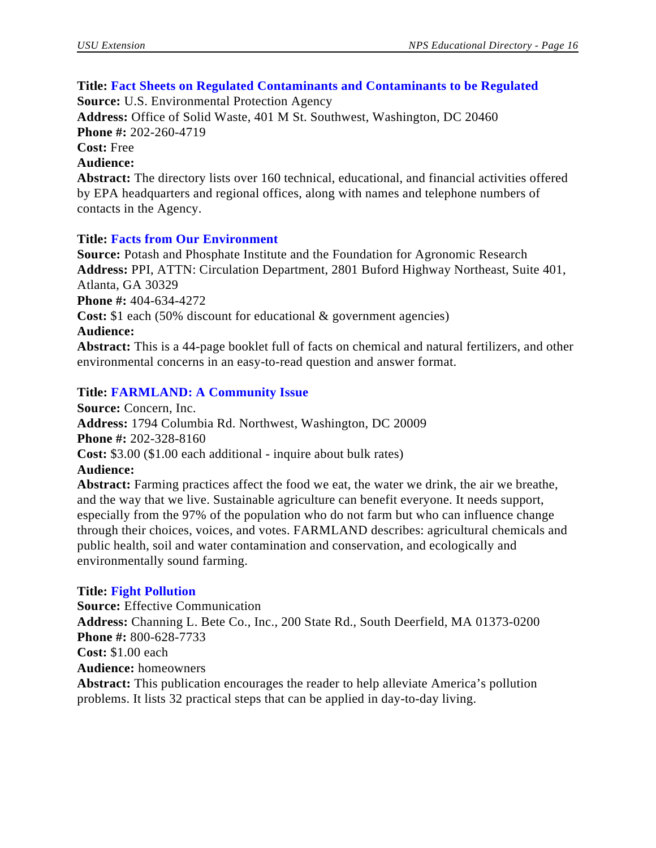#### **Title: Fact Sheets on Regulated Contaminants and Contaminants to be Regulated**

**Source:** U.S. Environmental Protection Agency

**Address:** Office of Solid Waste, 401 M St. Southwest, Washington, DC 20460 **Phone #:** 202-260-4719 **Cost:** Free

#### **Audience:**

**Abstract:** The directory lists over 160 technical, educational, and financial activities offered by EPA headquarters and regional offices, along with names and telephone numbers of contacts in the Agency.

## **Title: Facts from Our Environment**

**Source:** Potash and Phosphate Institute and the Foundation for Agronomic Research **Address:** PPI, ATTN: Circulation Department, 2801 Buford Highway Northeast, Suite 401, Atlanta, GA 30329 **Phone #:** 404-634-4272 **Cost:** \$1 each (50% discount for educational & government agencies) **Audience:**

**Abstract:** This is a 44-page booklet full of facts on chemical and natural fertilizers, and other environmental concerns in an easy-to-read question and answer format.

# **Title: FARMLAND: A Community Issue**

**Source:** Concern, Inc. **Address:** 1794 Columbia Rd. Northwest, Washington, DC 20009 **Phone #:** 202-328-8160 **Cost:** \$3.00 (\$1.00 each additional - inquire about bulk rates) **Audience: Abstract:** Farming practices affect the food we eat, the water we drink, the air we breathe, and the way that we live. Sustainable agriculture can benefit everyone. It needs support,

especially from the 97% of the population who do not farm but who can influence change through their choices, voices, and votes. FARMLAND describes: agricultural chemicals and public health, soil and water contamination and conservation, and ecologically and environmentally sound farming.

#### **Title: Fight Pollution**

**Source:** Effective Communication **Address:** Channing L. Bete Co., Inc., 200 State Rd., South Deerfield, MA 01373-0200 **Phone #:** 800-628-7733 **Cost:** \$1.00 each **Audience:** homeowners **Abstract:** This publication encourages the reader to help alleviate America's pollution problems. It lists 32 practical steps that can be applied in day-to-day living.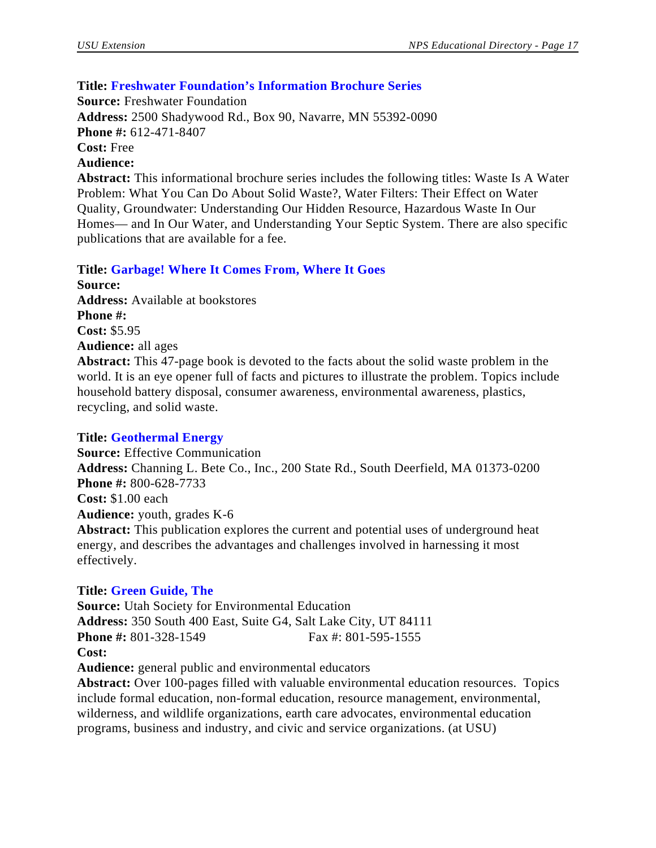# **Title: Freshwater Foundation's Information Brochure Series**

**Source:** Freshwater Foundation

**Address:** 2500 Shadywood Rd., Box 90, Navarre, MN 55392-0090 **Phone #:** 612-471-8407 **Cost:** Free **Audience: Abstract:** This informational brochure series includes the following titles: Waste Is A Water

Problem: What You Can Do About Solid Waste?, Water Filters: Their Effect on Water Quality, Groundwater: Understanding Our Hidden Resource, Hazardous Waste In Our Homes— and In Our Water, and Understanding Your Septic System. There are also specific publications that are available for a fee.

**Title: Garbage! Where It Comes From, Where It Goes**

**Source: Address:** Available at bookstores **Phone #: Cost:** \$5.95 **Audience:** all ages

**Abstract:** This 47-page book is devoted to the facts about the solid waste problem in the world. It is an eye opener full of facts and pictures to illustrate the problem. Topics include household battery disposal, consumer awareness, environmental awareness, plastics, recycling, and solid waste.

# **Title: Geothermal Energy**

**Source:** Effective Communication **Address:** Channing L. Bete Co., Inc., 200 State Rd., South Deerfield, MA 01373-0200 **Phone #:** 800-628-7733 **Cost:** \$1.00 each **Audience:** youth, grades K-6 **Abstract:** This publication explores the current and potential uses of underground heat energy, and describes the advantages and challenges involved in harnessing it most effectively.

# **Title: Green Guide, The**

**Source:** Utah Society for Environmental Education **Address:** 350 South 400 East, Suite G4, Salt Lake City, UT 84111 **Phone #:** 801-328-1549 Fax #: 801-595-1555 **Cost: Audience:** general public and environmental educators

**Abstract:** Over 100-pages filled with valuable environmental education resources. Topics include formal education, non-formal education, resource management, environmental, wilderness, and wildlife organizations, earth care advocates, environmental education programs, business and industry, and civic and service organizations. (at USU)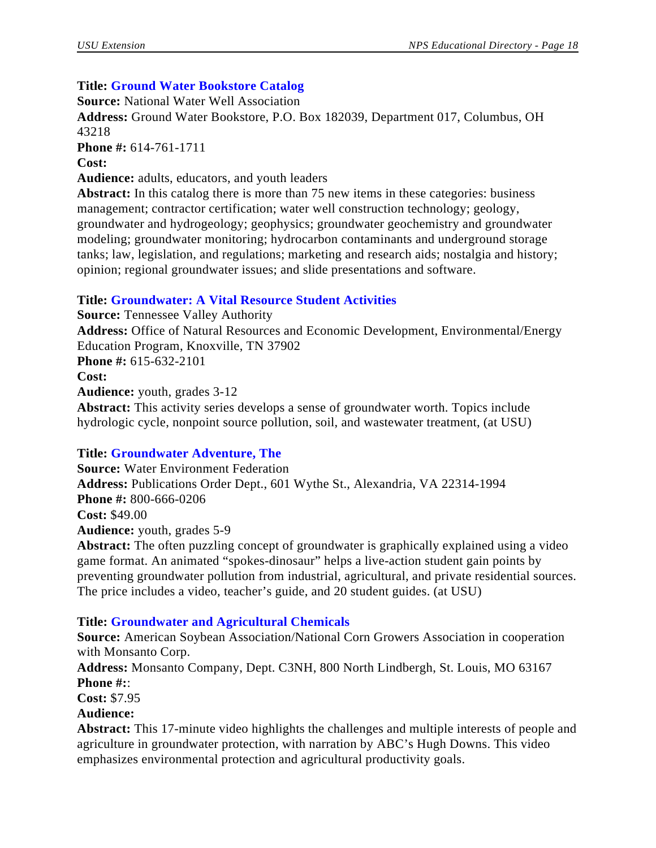# **Title: Ground Water Bookstore Catalog**

**Source:** National Water Well Association **Address:** Ground Water Bookstore, P.O. Box 182039, Department 017, Columbus, OH 43218 **Phone #:** 614-761-1711 **Cost: Audience:** adults, educators, and youth leaders Abstract: In this catalog there is more than 75 new items in these categories: business

management; contractor certification; water well construction technology; geology, groundwater and hydrogeology; geophysics; groundwater geochemistry and groundwater modeling; groundwater monitoring; hydrocarbon contaminants and underground storage tanks; law, legislation, and regulations; marketing and research aids; nostalgia and history; opinion; regional groundwater issues; and slide presentations and software.

# **Title: Groundwater: A Vital Resource Student Activities**

**Source:** Tennessee Valley Authority **Address:** Office of Natural Resources and Economic Development, Environmental/Energy Education Program, Knoxville, TN 37902 **Phone #:** 615-632-2101 **Cost: Audience:** youth, grades 3-12 **Abstract:** This activity series develops a sense of groundwater worth. Topics include hydrologic cycle, nonpoint source pollution, soil, and wastewater treatment, (at USU)

# **Title: Groundwater Adventure, The**

**Source:** Water Environment Federation **Address:** Publications Order Dept., 601 Wythe St., Alexandria, VA 22314-1994 **Phone #:** 800-666-0206 **Cost:** \$49.00 **Audience:** youth, grades 5-9 **Abstract:** The often puzzling concept of groundwater is graphically explained using a video game format. An animated "spokes-dinosaur" helps a live-action student gain points by

preventing groundwater pollution from industrial, agricultural, and private residential sources. The price includes a video, teacher's guide, and 20 student guides. (at USU)

# **Title: Groundwater and Agricultural Chemicals**

**Source:** American Soybean Association/National Corn Growers Association in cooperation with Monsanto Corp.

**Address:** Monsanto Company, Dept. C3NH, 800 North Lindbergh, St. Louis, MO 63167 **Phone #:**:

**Cost:** \$7.95

**Audience:**

**Abstract:** This 17-minute video highlights the challenges and multiple interests of people and agriculture in groundwater protection, with narration by ABC's Hugh Downs. This video emphasizes environmental protection and agricultural productivity goals.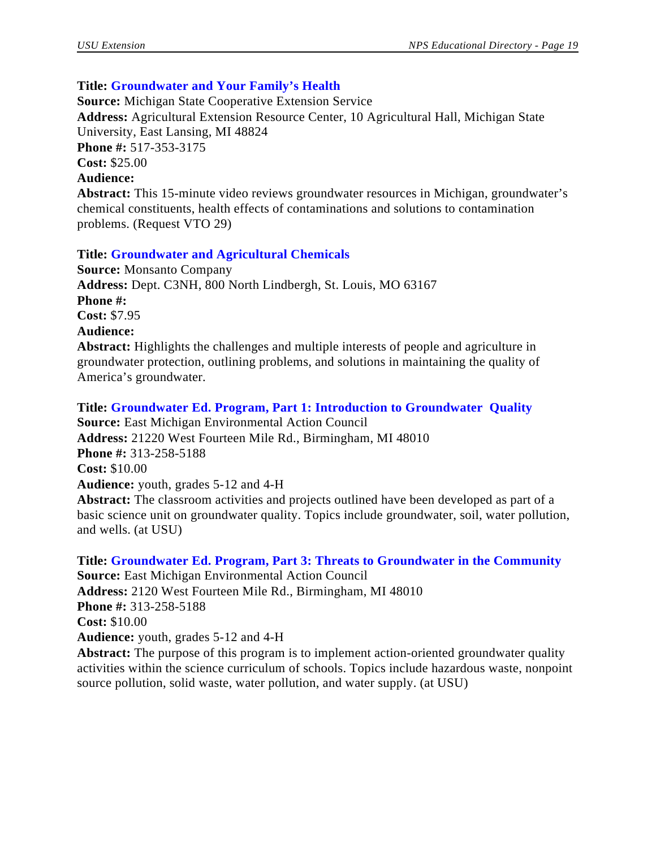# **Title: Groundwater and Your Family's Health**

**Source:** Michigan State Cooperative Extension Service **Address:** Agricultural Extension Resource Center, 10 Agricultural Hall, Michigan State University, East Lansing, MI 48824 **Phone #:** 517-353-3175 **Cost:** \$25.00 **Audience: Abstract:** This 15-minute video reviews groundwater resources in Michigan, groundwater's chemical constituents, health effects of contaminations and solutions to contamination problems. (Request VTO 29)

## **Title: Groundwater and Agricultural Chemicals**

**Source:** Monsanto Company **Address:** Dept. C3NH, 800 North Lindbergh, St. Louis, MO 63167 **Phone #: Cost:** \$7.95

## **Audience:**

**Abstract:** Highlights the challenges and multiple interests of people and agriculture in groundwater protection, outlining problems, and solutions in maintaining the quality of America's groundwater.

#### **Title: Groundwater Ed. Program, Part 1: Introduction to Groundwater Quality**

**Source:** East Michigan Environmental Action Council **Address:** 21220 West Fourteen Mile Rd., Birmingham, MI 48010 **Phone #:** 313-258-5188 **Cost:** \$10.00 **Audience:** youth, grades 5-12 and 4-H **Abstract:** The classroom activities and projects outlined have been developed as part of a

basic science unit on groundwater quality. Topics include groundwater, soil, water pollution, and wells. (at USU)

**Title: Groundwater Ed. Program, Part 3: Threats to Groundwater in the Community Source:** East Michigan Environmental Action Council **Address:** 2120 West Fourteen Mile Rd., Birmingham, MI 48010 **Phone #:** 313-258-5188 **Cost:** \$10.00 **Audience:** youth, grades 5-12 and 4-H **Abstract:** The purpose of this program is to implement action-oriented groundwater quality

activities within the science curriculum of schools. Topics include hazardous waste, nonpoint source pollution, solid waste, water pollution, and water supply. (at USU)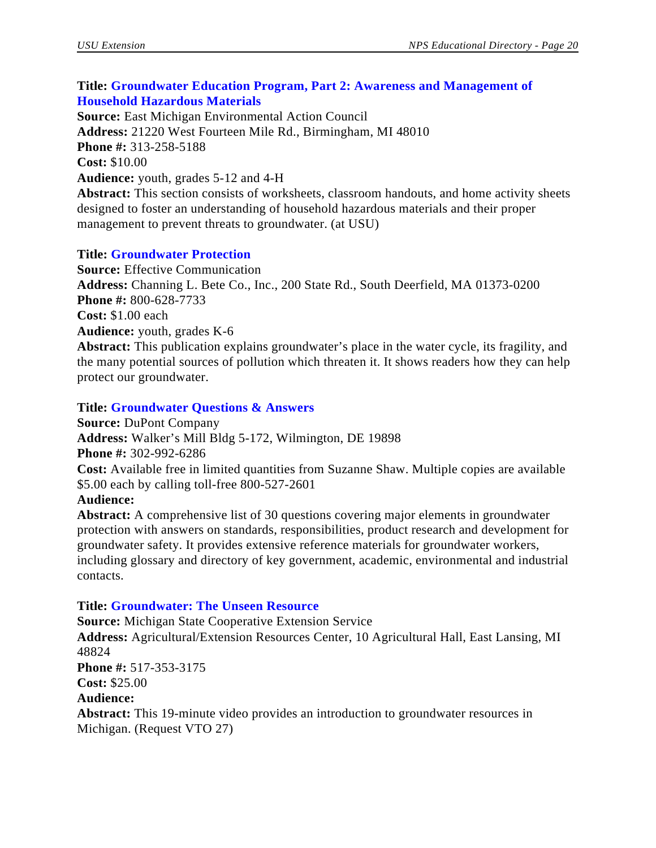# **Title: Groundwater Education Program, Part 2: Awareness and Management of Household Hazardous Materials**

**Source:** East Michigan Environmental Action Council **Address:** 21220 West Fourteen Mile Rd., Birmingham, MI 48010 **Phone #:** 313-258-5188 **Cost:** \$10.00 **Audience:** youth, grades 5-12 and 4-H **Abstract:** This section consists of worksheets, classroom handouts, and home activity sheets designed to foster an understanding of household hazardous materials and their proper

# **Title: Groundwater Protection**

**Source:** Effective Communication **Address:** Channing L. Bete Co., Inc., 200 State Rd., South Deerfield, MA 01373-0200 **Phone #:** 800-628-7733 **Cost:** \$1.00 each **Audience:** youth, grades K-6 **Abstract:** This publication explains groundwater's place in the water cycle, its fragility, and the many potential sources of pollution which threaten it. It shows readers how they can help protect our groundwater.

# **Title: Groundwater Questions & Answers**

management to prevent threats to groundwater. (at USU)

**Source:** DuPont Company **Address:** Walker's Mill Bldg 5-172, Wilmington, DE 19898 **Phone #:** 302-992-6286 **Cost:** Available free in limited quantities from Suzanne Shaw. Multiple copies are available \$5.00 each by calling toll-free 800-527-2601

# **Audience:**

**Abstract:** A comprehensive list of 30 questions covering major elements in groundwater protection with answers on standards, responsibilities, product research and development for groundwater safety. It provides extensive reference materials for groundwater workers, including glossary and directory of key government, academic, environmental and industrial contacts.

# **Title: Groundwater: The Unseen Resource**

**Source:** Michigan State Cooperative Extension Service **Address:** Agricultural/Extension Resources Center, 10 Agricultural Hall, East Lansing, MI 48824 **Phone #:** 517-353-3175 **Cost:** \$25.00 **Audience: Abstract:** This 19-minute video provides an introduction to groundwater resources in Michigan. (Request VTO 27)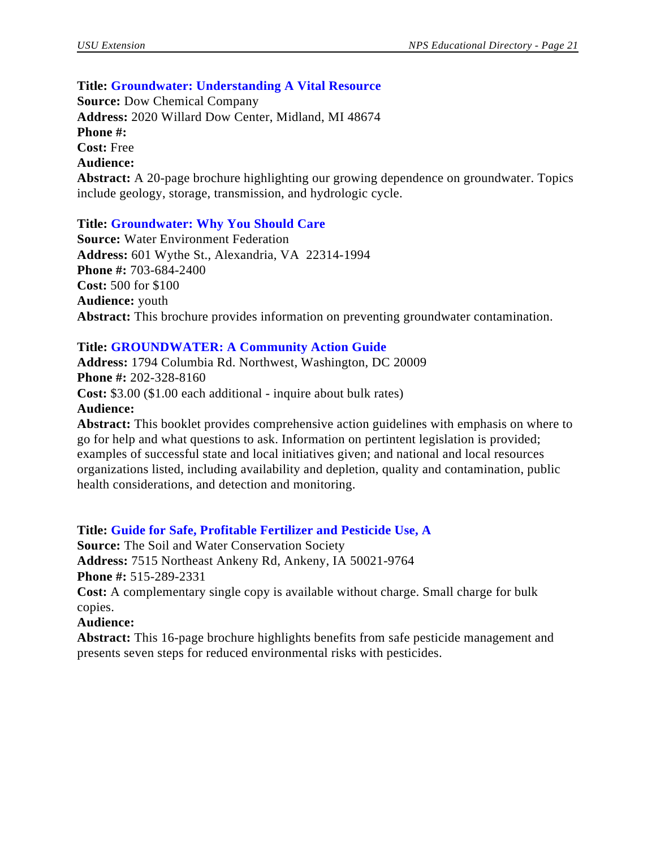#### **Title: Groundwater: Understanding A Vital Resource**

**Source:** Dow Chemical Company **Address:** 2020 Willard Dow Center, Midland, MI 48674 **Phone #: Cost:** Free **Audience: Abstract:** A 20-page brochure highlighting our growing dependence on groundwater. Topics include geology, storage, transmission, and hydrologic cycle.

#### **Title: Groundwater: Why You Should Care**

**Source:** Water Environment Federation **Address:** 601 Wythe St., Alexandria, VA 22314-1994 **Phone #:** 703-684-2400 **Cost:** 500 for \$100 **Audience:** youth **Abstract:** This brochure provides information on preventing groundwater contamination.

## **Title: GROUNDWATER: A Community Action Guide**

**Address:** 1794 Columbia Rd. Northwest, Washington, DC 20009 **Phone #:** 202-328-8160 **Cost:** \$3.00 (\$1.00 each additional - inquire about bulk rates) **Audience: Abstract:** This booklet provides comprehensive action guidelines with emphasis on where to

go for help and what questions to ask. Information on pertintent legislation is provided; examples of successful state and local initiatives given; and national and local resources organizations listed, including availability and depletion, quality and contamination, public health considerations, and detection and monitoring.

#### **Title: Guide for Safe, Profitable Fertilizer and Pesticide Use, A**

**Source:** The Soil and Water Conservation Society **Address:** 7515 Northeast Ankeny Rd, Ankeny, IA 50021-9764 **Phone #:** 515-289-2331

**Cost:** A complementary single copy is available without charge. Small charge for bulk copies.

#### **Audience:**

**Abstract:** This 16-page brochure highlights benefits from safe pesticide management and presents seven steps for reduced environmental risks with pesticides.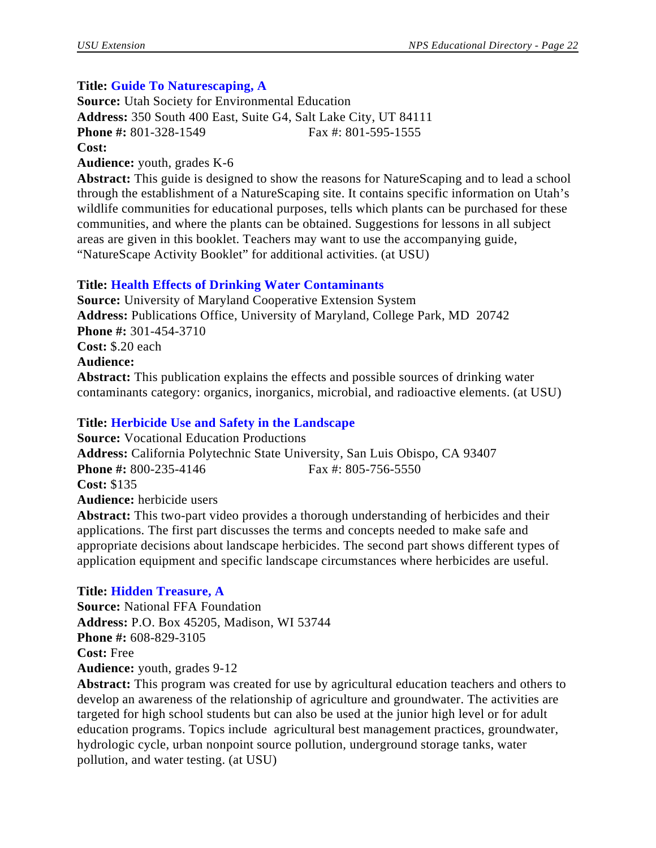# **Title: Guide To Naturescaping, A**

**Source:** Utah Society for Environmental Education **Address:** 350 South 400 East, Suite G4, Salt Lake City, UT 84111 **Phone #:** 801-328-1549 Fax #: 801-595-1555 **Cost: Audience:** youth, grades K-6

**Abstract:** This guide is designed to show the reasons for NatureScaping and to lead a school through the establishment of a NatureScaping site. It contains specific information on Utah's wildlife communities for educational purposes, tells which plants can be purchased for these communities, and where the plants can be obtained. Suggestions for lessons in all subject areas are given in this booklet. Teachers may want to use the accompanying guide, "NatureScape Activity Booklet" for additional activities. (at USU)

# **Title: Health Effects of Drinking Water Contaminants**

**Source:** University of Maryland Cooperative Extension System **Address:** Publications Office, University of Maryland, College Park, MD 20742 **Phone #:** 301-454-3710 **Cost:** \$.20 each **Audience: Abstract:** This publication explains the effects and possible sources of drinking water contaminants category: organics, inorganics, microbial, and radioactive elements. (at USU)

# **Title: Herbicide Use and Safety in the Landscape**

**Source:** Vocational Education Productions **Address:** California Polytechnic State University, San Luis Obispo, CA 93407 **Phone #:** 800-235-4146 Fax #: 805-756-5550 **Cost:** \$135 **Audience:** herbicide users **Abstract:** This two-part video provides a thorough understanding of herbicides and their applications. The first part discusses the terms and concepts needed to make safe and appropriate decisions about landscape herbicides. The second part shows different types of application equipment and specific landscape circumstances where herbicides are useful.

# **Title: Hidden Treasure, A**

**Source:** National FFA Foundation **Address:** P.O. Box 45205, Madison, WI 53744 **Phone #:** 608-829-3105 **Cost:** Free **Audience:** youth, grades 9-12

**Abstract:** This program was created for use by agricultural education teachers and others to develop an awareness of the relationship of agriculture and groundwater. The activities are targeted for high school students but can also be used at the junior high level or for adult education programs. Topics include agricultural best management practices, groundwater, hydrologic cycle, urban nonpoint source pollution, underground storage tanks, water pollution, and water testing. (at USU)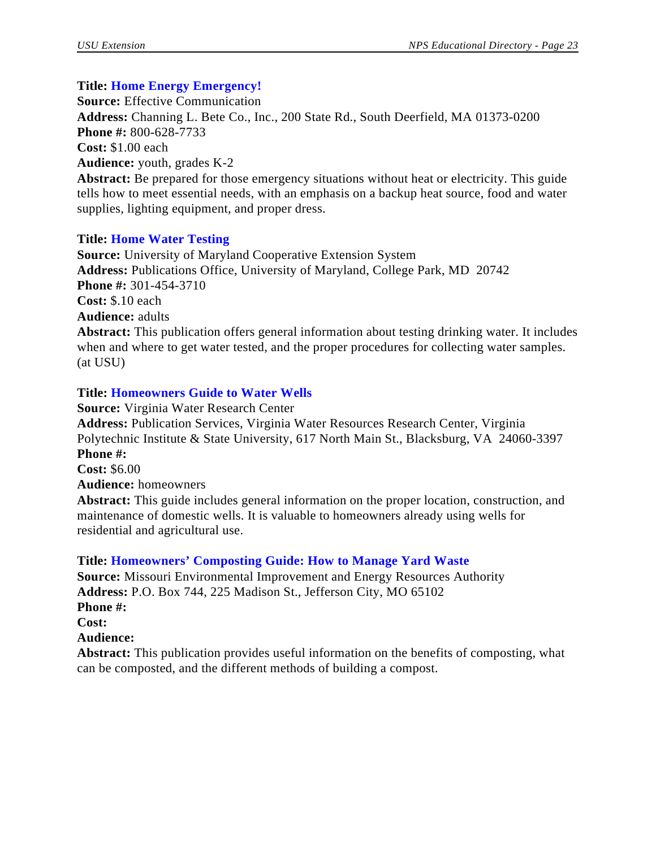# **Title: Home Energy Emergency!**

**Source:** Effective Communication **Address:** Channing L. Bete Co., Inc., 200 State Rd., South Deerfield, MA 01373-0200 **Phone #:** 800-628-7733 **Cost:** \$1.00 each **Audience:** youth, grades K-2 **Abstract:** Be prepared for those emergency situations without heat or electricity. This guide

tells how to meet essential needs, with an emphasis on a backup heat source, food and water supplies, lighting equipment, and proper dress.

# **Title: Home Water Testing**

**Source:** University of Maryland Cooperative Extension System **Address:** Publications Office, University of Maryland, College Park, MD 20742 **Phone #:** 301-454-3710 **Cost:** \$.10 each **Audience:** adults **Abstract:** This publication offers general information about testing drinking water. It includes when and where to get water tested, and the proper procedures for collecting water samples. (at USU)

# **Title: Homeowners Guide to Water Wells**

**Source:** Virginia Water Research Center **Address:** Publication Services, Virginia Water Resources Research Center, Virginia Polytechnic Institute & State University, 617 North Main St., Blacksburg, VA 24060-3397 **Phone #: Cost:** \$6.00 **Audience:** homeowners

**Abstract:** This guide includes general information on the proper location, construction, and maintenance of domestic wells. It is valuable to homeowners already using wells for residential and agricultural use.

# **Title: Homeowners' Composting Guide: How to Manage Yard Waste**

**Source:** Missouri Environmental Improvement and Energy Resources Authority **Address:** P.O. Box 744, 225 Madison St., Jefferson City, MO 65102 **Phone #: Cost:**

# **Audience:**

**Abstract:** This publication provides useful information on the benefits of composting, what can be composted, and the different methods of building a compost.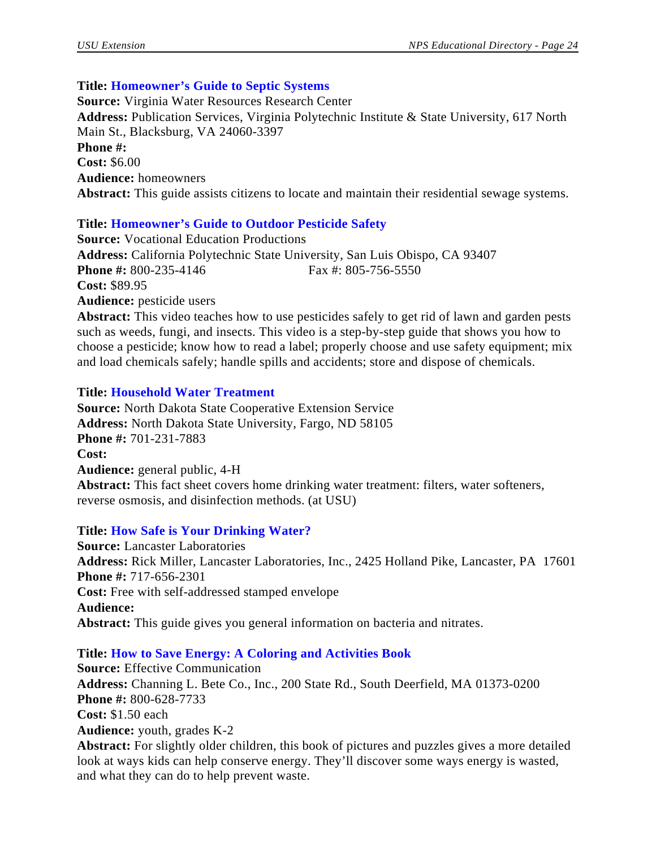# **Title: Homeowner's Guide to Septic Systems**

**Source:** Virginia Water Resources Research Center **Address:** Publication Services, Virginia Polytechnic Institute & State University, 617 North Main St., Blacksburg, VA 24060-3397 **Phone #: Cost:** \$6.00 **Audience:** homeowners **Abstract:** This guide assists citizens to locate and maintain their residential sewage systems.

# **Title: Homeowner's Guide to Outdoor Pesticide Safety**

**Source:** Vocational Education Productions **Address:** California Polytechnic State University, San Luis Obispo, CA 93407 **Phone #:** 800-235-4146 Fax #: 805-756-5550 **Cost:** \$89.95 **Audience:** pesticide users **Abstract:** This video teaches how to use pesticides safely to get rid of lawn and garden pests

such as weeds, fungi, and insects. This video is a step-by-step guide that shows you how to choose a pesticide; know how to read a label; properly choose and use safety equipment; mix and load chemicals safely; handle spills and accidents; store and dispose of chemicals.

# **Title: Household Water Treatment**

**Source:** North Dakota State Cooperative Extension Service **Address:** North Dakota State University, Fargo, ND 58105 **Phone #:** 701-231-7883 **Cost: Audience:** general public, 4-H **Abstract:** This fact sheet covers home drinking water treatment: filters, water softeners, reverse osmosis, and disinfection methods. (at USU)

# **Title: How Safe is Your Drinking Water?**

**Source:** Lancaster Laboratories **Address:** Rick Miller, Lancaster Laboratories, Inc., 2425 Holland Pike, Lancaster, PA 17601 **Phone #:** 717-656-2301 **Cost:** Free with self-addressed stamped envelope **Audience: Abstract:** This guide gives you general information on bacteria and nitrates.

# **Title: How to Save Energy: A Coloring and Activities Book**

**Source:** Effective Communication **Address:** Channing L. Bete Co., Inc., 200 State Rd., South Deerfield, MA 01373-0200 **Phone #:** 800-628-7733 **Cost:** \$1.50 each **Audience:** youth, grades K-2 **Abstract:** For slightly older children, this book of pictures and puzzles gives a more detailed look at ways kids can help conserve energy. They'll discover some ways energy is wasted,

and what they can do to help prevent waste.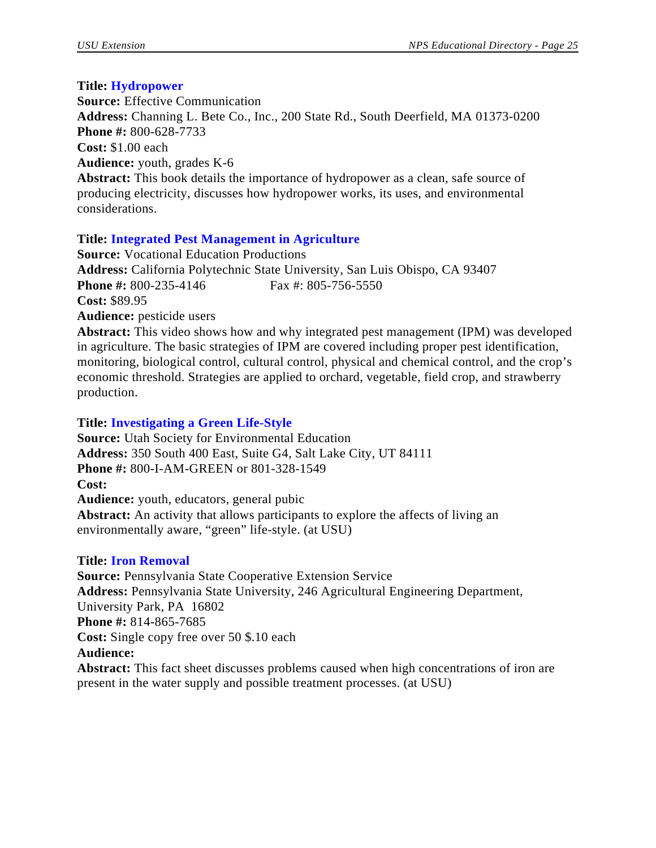## **Title: Hydropower**

**Source:** Effective Communication **Address:** Channing L. Bete Co., Inc., 200 State Rd., South Deerfield, MA 01373-0200 **Phone #:** 800-628-7733 **Cost:** \$1.00 each **Audience:** youth, grades K-6 **Abstract:** This book details the importance of hydropower as a clean, safe source of producing electricity, discusses how hydropower works, its uses, and environmental considerations.

# **Title: Integrated Pest Management in Agriculture**

**Source:** Vocational Education Productions **Address:** California Polytechnic State University, San Luis Obispo, CA 93407 **Phone #:** 800-235-4146 Fax #: 805-756-5550 **Cost:** \$89.95 **Audience:** pesticide users

**Abstract:** This video shows how and why integrated pest management (IPM) was developed in agriculture. The basic strategies of IPM are covered including proper pest identification, monitoring, biological control, cultural control, physical and chemical control, and the crop's economic threshold. Strategies are applied to orchard, vegetable, field crop, and strawberry production.

# **Title: Investigating a Green Life-Style**

**Source:** Utah Society for Environmental Education **Address:** 350 South 400 East, Suite G4, Salt Lake City, UT 84111 **Phone #:** 800-I-AM-GREEN or 801-328-1549 **Cost: Audience:** youth, educators, general pubic **Abstract:** An activity that allows participants to explore the affects of living an environmentally aware, "green" life-style. (at USU)

# **Title: Iron Removal**

**Source:** Pennsylvania State Cooperative Extension Service **Address:** Pennsylvania State University, 246 Agricultural Engineering Department, University Park, PA 16802 **Phone #:** 814-865-7685 **Cost:** Single copy free over 50 \$.10 each **Audience: Abstract:** This fact sheet discusses problems caused when high concentrations of iron are present in the water supply and possible treatment processes. (at USU)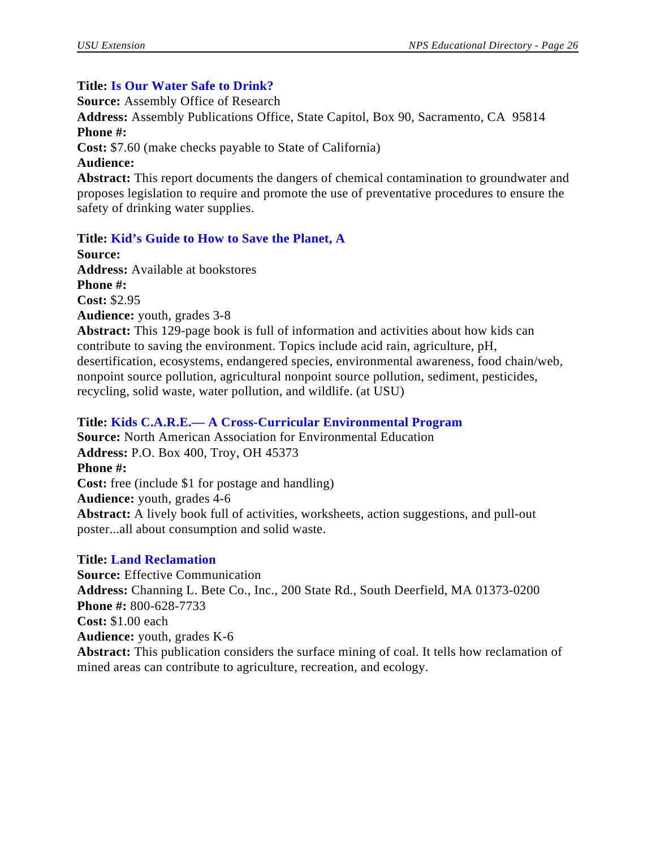#### **Title: Is Our Water Safe to Drink?**

**Source:** Assembly Office of Research

**Address:** Assembly Publications Office, State Capitol, Box 90, Sacramento, CA 95814 **Phone #:**

**Cost:** \$7.60 (make checks payable to State of California)

**Audience:**

**Abstract:** This report documents the dangers of chemical contamination to groundwater and proposes legislation to require and promote the use of preventative procedures to ensure the safety of drinking water supplies.

## **Title: Kid's Guide to How to Save the Planet, A**

**Source: Address:** Available at bookstores **Phone #:** 

**Cost:** \$2.95

**Audience:** youth, grades 3-8

**Abstract:** This 129-page book is full of information and activities about how kids can contribute to saving the environment. Topics include acid rain, agriculture, pH, desertification, ecosystems, endangered species, environmental awareness, food chain/web, nonpoint source pollution, agricultural nonpoint source pollution, sediment, pesticides, recycling, solid waste, water pollution, and wildlife. (at USU)

## **Title: Kids C.A.R.E.— A Cross-Curricular Environmental Program**

**Source:** North American Association for Environmental Education **Address:** P.O. Box 400, Troy, OH 45373 **Phone #: Cost:** free (include \$1 for postage and handling) **Audience:** youth, grades 4-6 **Abstract:** A lively book full of activities, worksheets, action suggestions, and pull-out poster...all about consumption and solid waste.

#### **Title: Land Reclamation**

**Source:** Effective Communication **Address:** Channing L. Bete Co., Inc., 200 State Rd., South Deerfield, MA 01373-0200 **Phone #:** 800-628-7733 **Cost:** \$1.00 each **Audience:** youth, grades K-6 **Abstract:** This publication considers the surface mining of coal. It tells how reclamation of mined areas can contribute to agriculture, recreation, and ecology.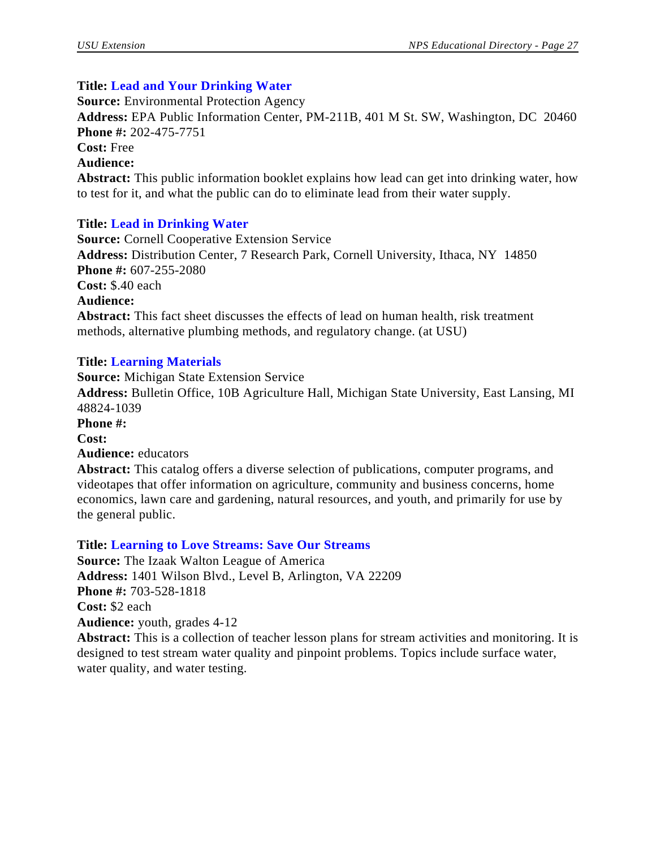## **Title: Lead and Your Drinking Water**

**Source:** Environmental Protection Agency **Address:** EPA Public Information Center, PM-211B, 401 M St. SW, Washington, DC 20460 **Phone #:** 202-475-7751 **Cost:** Free **Audience: Abstract:** This public information booklet explains how lead can get into drinking water, how to test for it, and what the public can do to eliminate lead from their water supply.

# **Title: Lead in Drinking Water**

**Source:** Cornell Cooperative Extension Service **Address:** Distribution Center, 7 Research Park, Cornell University, Ithaca, NY 14850 **Phone #:** 607-255-2080 **Cost:** \$.40 each **Audience: Abstract:** This fact sheet discusses the effects of lead on human health, risk treatment methods, alternative plumbing methods, and regulatory change. (at USU)

## **Title: Learning Materials**

**Source:** Michigan State Extension Service **Address:** Bulletin Office, 10B Agriculture Hall, Michigan State University, East Lansing, MI 48824-1039 **Phone #: Cost: Audience:** educators **Abstract:** This catalog offers a diverse selection of publications, computer programs, and videotapes that offer information on agriculture, community and business concerns, home economics, lawn care and gardening, natural resources, and youth, and primarily for use by

the general public.

#### **Title: Learning to Love Streams: Save Our Streams**

**Source:** The Izaak Walton League of America **Address:** 1401 Wilson Blvd., Level B, Arlington, VA 22209 **Phone #:** 703-528-1818 **Cost:** \$2 each **Audience:** youth, grades 4-12 **Abstract:** This is a collection of teacher lesson plans for stream activities and monitoring. It is designed to test stream water quality and pinpoint problems. Topics include surface water,

water quality, and water testing.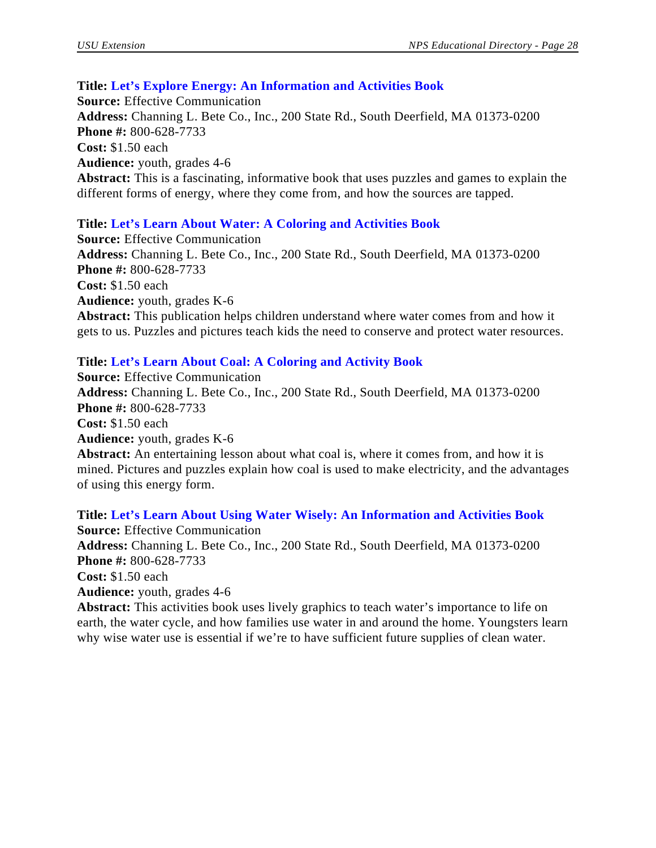#### **Title: Let's Explore Energy: An Information and Activities Book**

**Source:** Effective Communication **Address:** Channing L. Bete Co., Inc., 200 State Rd., South Deerfield, MA 01373-0200 **Phone #:** 800-628-7733 **Cost:** \$1.50 each **Audience:** youth, grades 4-6 **Abstract:** This is a fascinating, informative book that uses puzzles and games to explain the different forms of energy, where they come from, and how the sources are tapped.

# **Title: Let's Learn About Water: A Coloring and Activities Book**

**Source:** Effective Communication **Address:** Channing L. Bete Co., Inc., 200 State Rd., South Deerfield, MA 01373-0200 **Phone #:** 800-628-7733 **Cost:** \$1.50 each **Audience:** youth, grades K-6 **Abstract:** This publication helps children understand where water comes from and how it gets to us. Puzzles and pictures teach kids the need to conserve and protect water resources.

# **Title: Let's Learn About Coal: A Coloring and Activity Book**

**Source:** Effective Communication **Address:** Channing L. Bete Co., Inc., 200 State Rd., South Deerfield, MA 01373-0200 **Phone #:** 800-628-7733 **Cost:** \$1.50 each **Audience:** youth, grades K-6 **Abstract:** An entertaining lesson about what coal is, where it comes from, and how it is mined. Pictures and puzzles explain how coal is used to make electricity, and the advantages of using this energy form.

**Title: Let's Learn About Using Water Wisely: An Information and Activities Book Source:** Effective Communication **Address:** Channing L. Bete Co., Inc., 200 State Rd., South Deerfield, MA 01373-0200 **Phone #:** 800-628-7733 **Cost:** \$1.50 each **Audience:** youth, grades 4-6 **Abstract:** This activities book uses lively graphics to teach water's importance to life on

earth, the water cycle, and how families use water in and around the home. Youngsters learn why wise water use is essential if we're to have sufficient future supplies of clean water.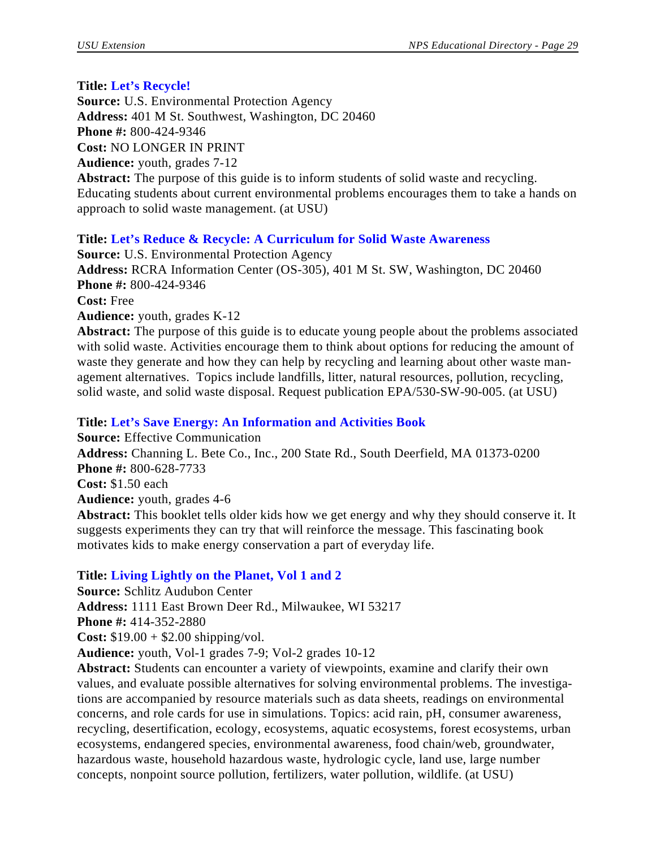# **Title: Let's Recycle!**

**Source:** U.S. Environmental Protection Agency **Address:** 401 M St. Southwest, Washington, DC 20460 **Phone #:** 800-424-9346 **Cost:** NO LONGER IN PRINT **Audience:** youth, grades 7-12 **Abstract:** The purpose of this guide is to inform students of solid waste and recycling. Educating students about current environmental problems encourages them to take a hands on approach to solid waste management. (at USU)

# **Title: Let's Reduce & Recycle: A Curriculum for Solid Waste Awareness**

**Source:** U.S. Environmental Protection Agency **Address:** RCRA Information Center (OS-305), 401 M St. SW, Washington, DC 20460 **Phone #:** 800-424-9346 **Cost:** Free

## **Audience:** youth, grades K-12

**Abstract:** The purpose of this guide is to educate young people about the problems associated with solid waste. Activities encourage them to think about options for reducing the amount of waste they generate and how they can help by recycling and learning about other waste management alternatives. Topics include landfills, litter, natural resources, pollution, recycling, solid waste, and solid waste disposal. Request publication EPA/530-SW-90-005. (at USU)

# **Title: Let's Save Energy: An Information and Activities Book**

**Source:** Effective Communication **Address:** Channing L. Bete Co., Inc., 200 State Rd., South Deerfield, MA 01373-0200 **Phone #:** 800-628-7733 **Cost:** \$1.50 each **Audience:** youth, grades 4-6 **Abstract:** This booklet tells older kids how we get energy and why they should conserve it. It

suggests experiments they can try that will reinforce the message. This fascinating book motivates kids to make energy conservation a part of everyday life.

# **Title: Living Lightly on the Planet, Vol 1 and 2**

**Source:** Schlitz Audubon Center **Address:** 1111 East Brown Deer Rd., Milwaukee, WI 53217 **Phone #:** 414-352-2880 **Cost:** \$19.00 + \$2.00 shipping/vol. **Audience:** youth, Vol-1 grades 7-9; Vol-2 grades 10-12

**Abstract:** Students can encounter a variety of viewpoints, examine and clarify their own values, and evaluate possible alternatives for solving environmental problems. The investigations are accompanied by resource materials such as data sheets, readings on environmental concerns, and role cards for use in simulations. Topics: acid rain, pH, consumer awareness, recycling, desertification, ecology, ecosystems, aquatic ecosystems, forest ecosystems, urban ecosystems, endangered species, environmental awareness, food chain/web, groundwater, hazardous waste, household hazardous waste, hydrologic cycle, land use, large number concepts, nonpoint source pollution, fertilizers, water pollution, wildlife. (at USU)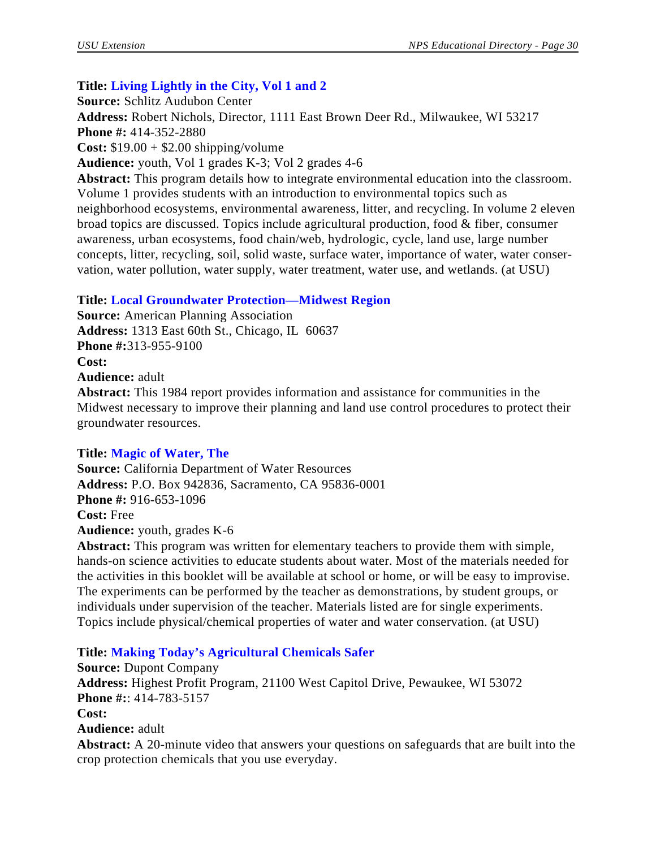# **Title: Living Lightly in the City, Vol 1 and 2**

**Source:** Schlitz Audubon Center

**Address:** Robert Nichols, Director, 1111 East Brown Deer Rd., Milwaukee, WI 53217

**Phone #:** 414-352-2880

**Cost:** \$19.00 + \$2.00 shipping/volume

**Audience:** youth, Vol 1 grades K-3; Vol 2 grades 4-6

**Abstract:** This program details how to integrate environmental education into the classroom. Volume 1 provides students with an introduction to environmental topics such as neighborhood ecosystems, environmental awareness, litter, and recycling. In volume 2 eleven broad topics are discussed. Topics include agricultural production, food & fiber, consumer awareness, urban ecosystems, food chain/web, hydrologic, cycle, land use, large number concepts, litter, recycling, soil, solid waste, surface water, importance of water, water conservation, water pollution, water supply, water treatment, water use, and wetlands. (at USU)

# **Title: Local Groundwater Protection—Midwest Region**

**Source:** American Planning Association **Address:** 1313 East 60th St., Chicago, IL 60637 **Phone #:**313-955-9100 **Cost: Audience:** adult

**Abstract:** This 1984 report provides information and assistance for communities in the Midwest necessary to improve their planning and land use control procedures to protect their groundwater resources.

# **Title: Magic of Water, The**

**Source:** California Department of Water Resources **Address:** P.O. Box 942836, Sacramento, CA 95836-0001 **Phone #:** 916-653-1096 **Cost:** Free **Audience:** youth, grades K-6 **Abstract:** This program was written for elementary teachers to provide them with simple,

hands-on science activities to educate students about water. Most of the materials needed for the activities in this booklet will be available at school or home, or will be easy to improvise. The experiments can be performed by the teacher as demonstrations, by student groups, or individuals under supervision of the teacher. Materials listed are for single experiments. Topics include physical/chemical properties of water and water conservation. (at USU)

# **Title: Making Today's Agricultural Chemicals Safer**

**Source:** Dupont Company **Address:** Highest Profit Program, 21100 West Capitol Drive, Pewaukee, WI 53072 **Phone #:**: 414-783-5157 **Cost: Audience:** adult **Abstract:** A 20-minute video that answers your questions on safeguards that are built into the crop protection chemicals that you use everyday.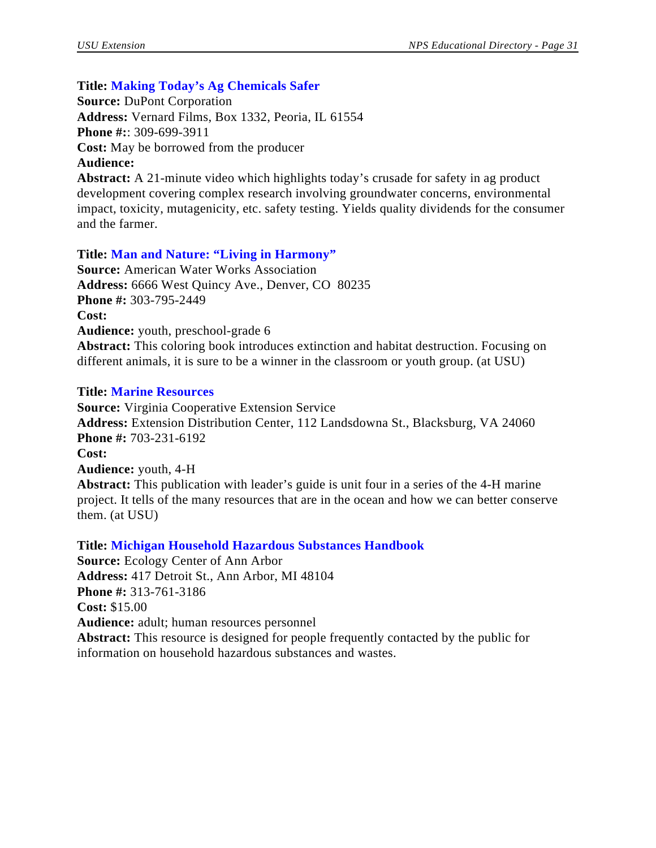# **Title: Making Today's Ag Chemicals Safer**

**Source:** DuPont Corporation **Address:** Vernard Films, Box 1332, Peoria, IL 61554 **Phone #:**: 309-699-3911 **Cost:** May be borrowed from the producer **Audience:**

**Abstract:** A 21-minute video which highlights today's crusade for safety in ag product development covering complex research involving groundwater concerns, environmental impact, toxicity, mutagenicity, etc. safety testing. Yields quality dividends for the consumer and the farmer.

#### **Title: Man and Nature: "Living in Harmony"**

**Source:** American Water Works Association **Address:** 6666 West Quincy Ave., Denver, CO 80235 **Phone #:** 303-795-2449 **Cost: Audience:** youth, preschool-grade 6 **Abstract:** This coloring book introduces extinction and habitat destruction. Focusing on different animals, it is sure to be a winner in the classroom or youth group. (at USU)

#### **Title: Marine Resources**

**Source:** Virginia Cooperative Extension Service **Address:** Extension Distribution Center, 112 Landsdowna St., Blacksburg, VA 24060 **Phone #:** 703-231-6192 **Cost: Audience:** youth, 4-H **Abstract:** This publication with leader's guide is unit four in a series of the 4-H marine project. It tells of the many resources that are in the ocean and how we can better conserve them. (at USU)

#### **Title: Michigan Household Hazardous Substances Handbook**

**Source:** Ecology Center of Ann Arbor **Address:** 417 Detroit St., Ann Arbor, MI 48104 **Phone #:** 313-761-3186 **Cost:** \$15.00 **Audience:** adult; human resources personnel **Abstract:** This resource is designed for people frequently contacted by the public for information on household hazardous substances and wastes.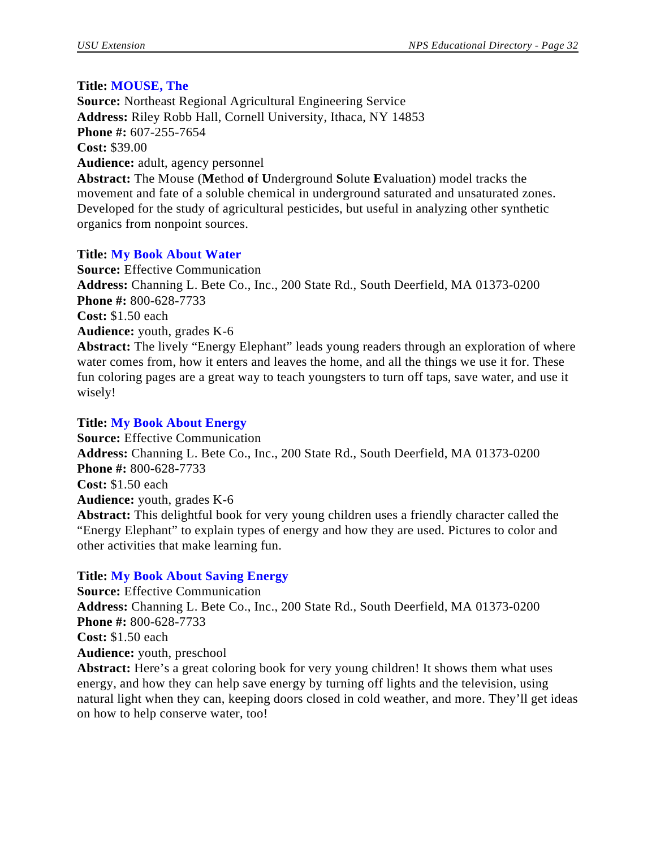# **Title: MOUSE, The**

**Source:** Northeast Regional Agricultural Engineering Service **Address:** Riley Robb Hall, Cornell University, Ithaca, NY 14853 **Phone #:** 607-255-7654 **Cost:** \$39.00 **Audience:** adult, agency personnel **Abstract:** The Mouse (**M**ethod **o**f **U**nderground **S**olute **E**valuation) model tracks the

movement and fate of a soluble chemical in underground saturated and unsaturated zones. Developed for the study of agricultural pesticides, but useful in analyzing other synthetic organics from nonpoint sources.

# **Title: My Book About Water**

**Source:** Effective Communication **Address:** Channing L. Bete Co., Inc., 200 State Rd., South Deerfield, MA 01373-0200 **Phone #:** 800-628-7733 **Cost:** \$1.50 each **Audience:** youth, grades K-6 **Abstract:** The lively "Energy Elephant" leads young readers through an exploration of where water comes from, how it enters and leaves the home, and all the things we use it for. These fun coloring pages are a great way to teach youngsters to turn off taps, save water, and use it

# **Title: My Book About Energy**

wisely!

**Source:** Effective Communication **Address:** Channing L. Bete Co., Inc., 200 State Rd., South Deerfield, MA 01373-0200 **Phone #:** 800-628-7733 **Cost:** \$1.50 each **Audience:** youth, grades K-6 **Abstract:** This delightful book for very young children uses a friendly character called the "Energy Elephant" to explain types of energy and how they are used. Pictures to color and other activities that make learning fun.

# **Title: My Book About Saving Energy**

**Source:** Effective Communication **Address:** Channing L. Bete Co., Inc., 200 State Rd., South Deerfield, MA 01373-0200 **Phone #:** 800-628-7733 **Cost:** \$1.50 each **Audience:** youth, preschool **Abstract:** Here's a great coloring book for very young children! It shows them what uses

energy, and how they can help save energy by turning off lights and the television, using natural light when they can, keeping doors closed in cold weather, and more. They'll get ideas on how to help conserve water, too!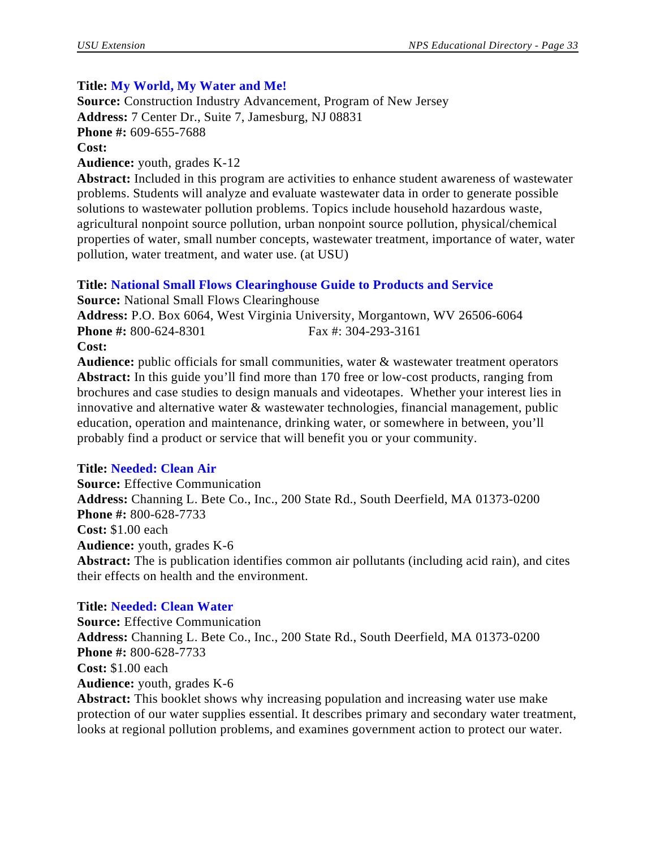# **Title: My World, My Water and Me!**

**Source:** Construction Industry Advancement, Program of New Jersey **Address:** 7 Center Dr., Suite 7, Jamesburg, NJ 08831 **Phone #:** 609-655-7688 **Cost: Audience:** youth, grades K-12

**Abstract:** Included in this program are activities to enhance student awareness of wastewater problems. Students will analyze and evaluate wastewater data in order to generate possible solutions to wastewater pollution problems. Topics include household hazardous waste, agricultural nonpoint source pollution, urban nonpoint source pollution, physical/chemical properties of water, small number concepts, wastewater treatment, importance of water, water pollution, water treatment, and water use. (at USU)

# **Title: National Small Flows Clearinghouse Guide to Products and Service**

**Source:** National Small Flows Clearinghouse **Address:** P.O. Box 6064, West Virginia University, Morgantown, WV 26506-6064 **Phone #:** 800-624-8301 Fax #: 304-293-3161 **Cost:**

**Audience:** public officials for small communities, water & wastewater treatment operators **Abstract:** In this guide you'll find more than 170 free or low-cost products, ranging from brochures and case studies to design manuals and videotapes. Whether your interest lies in innovative and alternative water & wastewater technologies, financial management, public education, operation and maintenance, drinking water, or somewhere in between, you'll probably find a product or service that will benefit you or your community.

# **Title: Needed: Clean Air**

**Source:** Effective Communication **Address:** Channing L. Bete Co., Inc., 200 State Rd., South Deerfield, MA 01373-0200 **Phone #:** 800-628-7733 **Cost:** \$1.00 each **Audience:** youth, grades K-6 **Abstract:** The is publication identifies common air pollutants (including acid rain), and cites their effects on health and the environment.

# **Title: Needed: Clean Water**

**Source:** Effective Communication **Address:** Channing L. Bete Co., Inc., 200 State Rd., South Deerfield, MA 01373-0200 **Phone #:** 800-628-7733 **Cost:** \$1.00 each **Audience:** youth, grades K-6 **Abstract:** This booklet shows why increasing population and increasing water use make

protection of our water supplies essential. It describes primary and secondary water treatment, looks at regional pollution problems, and examines government action to protect our water.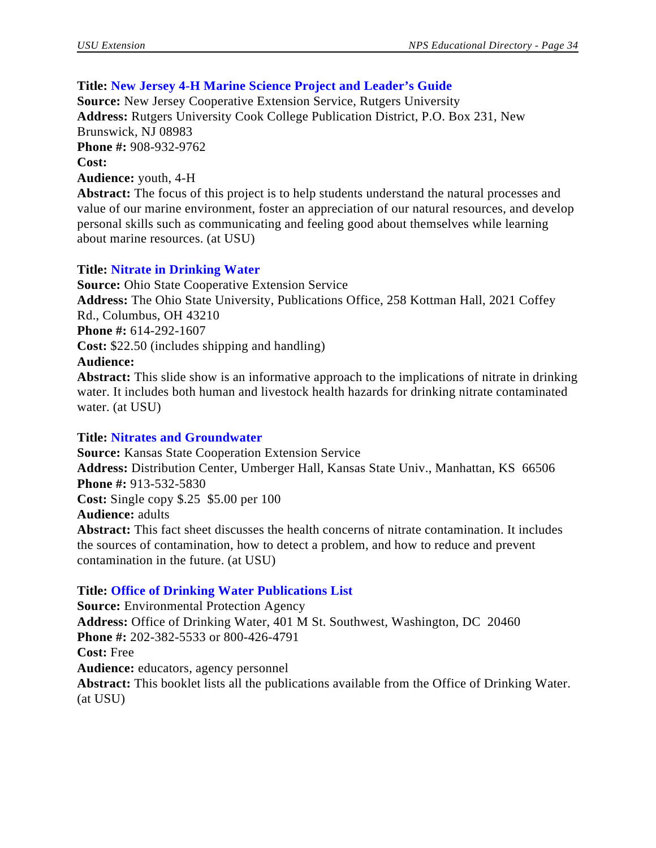# **Title: New Jersey 4-H Marine Science Project and Leader's Guide**

**Source:** New Jersey Cooperative Extension Service, Rutgers University **Address:** Rutgers University Cook College Publication District, P.O. Box 231, New Brunswick, NJ 08983 **Phone #:** 908-932-9762 **Cost: Audience:** youth, 4-H

**Abstract:** The focus of this project is to help students understand the natural processes and value of our marine environment, foster an appreciation of our natural resources, and develop personal skills such as communicating and feeling good about themselves while learning about marine resources. (at USU)

# **Title: Nitrate in Drinking Water**

**Source:** Ohio State Cooperative Extension Service **Address:** The Ohio State University, Publications Office, 258 Kottman Hall, 2021 Coffey Rd., Columbus, OH 43210 **Phone #:** 614-292-1607 **Cost:** \$22.50 (includes shipping and handling) **Audience: Abstract:** This slide show is an informative approach to the implications of nitrate in drinking water. It includes both human and livestock health hazards for drinking nitrate contaminated

# **Title: Nitrates and Groundwater**

water. (at USU)

**Source:** Kansas State Cooperation Extension Service **Address:** Distribution Center, Umberger Hall, Kansas State Univ., Manhattan, KS 66506 **Phone #:** 913-532-5830 **Cost:** Single copy \$.25 \$5.00 per 100 **Audience:** adults **Abstract:** This fact sheet discusses the health concerns of nitrate contamination. It includes the sources of contamination, how to detect a problem, and how to reduce and prevent contamination in the future. (at USU)

# **Title: Office of Drinking Water Publications List**

**Source:** Environmental Protection Agency **Address:** Office of Drinking Water, 401 M St. Southwest, Washington, DC 20460 **Phone #:** 202-382-5533 or 800-426-4791 **Cost:** Free **Audience:** educators, agency personnel **Abstract:** This booklet lists all the publications available from the Office of Drinking Water. (at USU)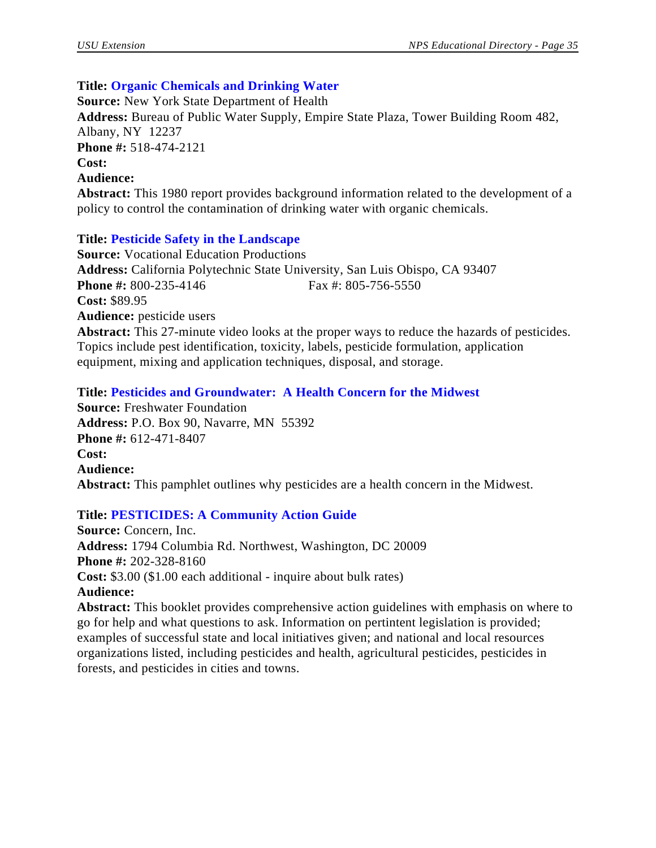# **Title: Organic Chemicals and Drinking Water**

**Source:** New York State Department of Health **Address:** Bureau of Public Water Supply, Empire State Plaza, Tower Building Room 482, Albany, NY 12237 **Phone #:** 518-474-2121 **Cost: Audience: Abstract:** This 1980 report provides background information related to the development of a policy to control the contamination of drinking water with organic chemicals.

# **Title: Pesticide Safety in the Landscape**

**Source:** Vocational Education Productions **Address:** California Polytechnic State University, San Luis Obispo, CA 93407 **Phone #:** 800-235-4146 Fax #: 805-756-5550 **Cost:** \$89.95 **Audience:** pesticide users **Abstract:** This 27-minute video looks at the proper ways to reduce the hazards of pesticides. Topics include pest identification, toxicity, labels, pesticide formulation, application

equipment, mixing and application techniques, disposal, and storage.

# **Title: Pesticides and Groundwater: A Health Concern for the Midwest**

**Source:** Freshwater Foundation **Address:** P.O. Box 90, Navarre, MN 55392 **Phone #:** 612-471-8407 **Cost: Audience: Abstract:** This pamphlet outlines why pesticides are a health concern in the Midwest.

# **Title: PESTICIDES: A Community Action Guide**

**Source:** Concern, Inc. **Address:** 1794 Columbia Rd. Northwest, Washington, DC 20009 **Phone #:** 202-328-8160 **Cost:** \$3.00 (\$1.00 each additional - inquire about bulk rates) **Audience:**

**Abstract:** This booklet provides comprehensive action guidelines with emphasis on where to go for help and what questions to ask. Information on pertintent legislation is provided; examples of successful state and local initiatives given; and national and local resources organizations listed, including pesticides and health, agricultural pesticides, pesticides in forests, and pesticides in cities and towns.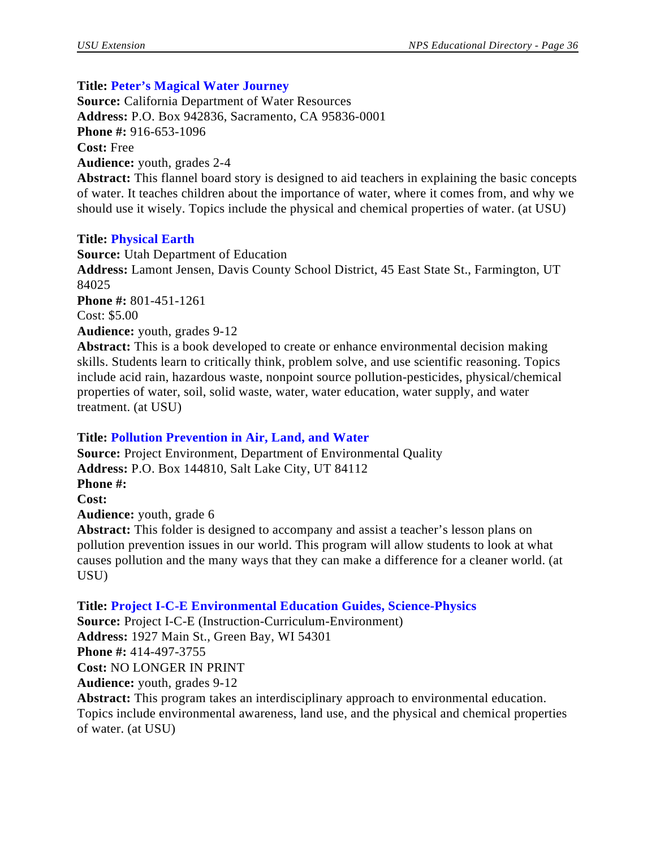## **Title: Peter's Magical Water Journey**

**Source:** California Department of Water Resources **Address:** P.O. Box 942836, Sacramento, CA 95836-0001 **Phone #:** 916-653-1096 **Cost:** Free **Audience:** youth, grades 2-4 **Abstract:** This flannel board story is designed to aid teachers in explaining the basic concepts of water. It teaches children about the importance of water, where it comes from, and why we should use it wisely. Topics include the physical and chemical properties of water. (at USU)

#### **Title: Physical Earth**

**Source:** Utah Department of Education **Address:** Lamont Jensen, Davis County School District, 45 East State St., Farmington, UT 84025 **Phone #:** 801-451-1261 Cost: \$5.00 **Audience:** youth, grades 9-12

**Abstract:** This is a book developed to create or enhance environmental decision making skills. Students learn to critically think, problem solve, and use scientific reasoning. Topics include acid rain, hazardous waste, nonpoint source pollution-pesticides, physical/chemical properties of water, soil, solid waste, water, water education, water supply, and water treatment. (at USU)

#### **Title: Pollution Prevention in Air, Land, and Water**

**Source:** Project Environment, Department of Environmental Quality **Address:** P.O. Box 144810, Salt Lake City, UT 84112 **Phone #: Cost: Audience:** youth, grade 6 **Abstract:** This folder is designed to accompany and assist a teacher's lesson plans on pollution prevention issues in our world. This program will allow students to look at what causes pollution and the many ways that they can make a difference for a cleaner world. (at USU)

**Title: Project I-C-E Environmental Education Guides, Science-Physics Source:** Project I-C-E (Instruction-Curriculum-Environment) **Address:** 1927 Main St., Green Bay, WI 54301 **Phone #:** 414-497-3755 **Cost:** NO LONGER IN PRINT **Audience:** youth, grades 9-12 **Abstract:** This program takes an interdisciplinary approach to environmental education.

Topics include environmental awareness, land use, and the physical and chemical properties of water. (at USU)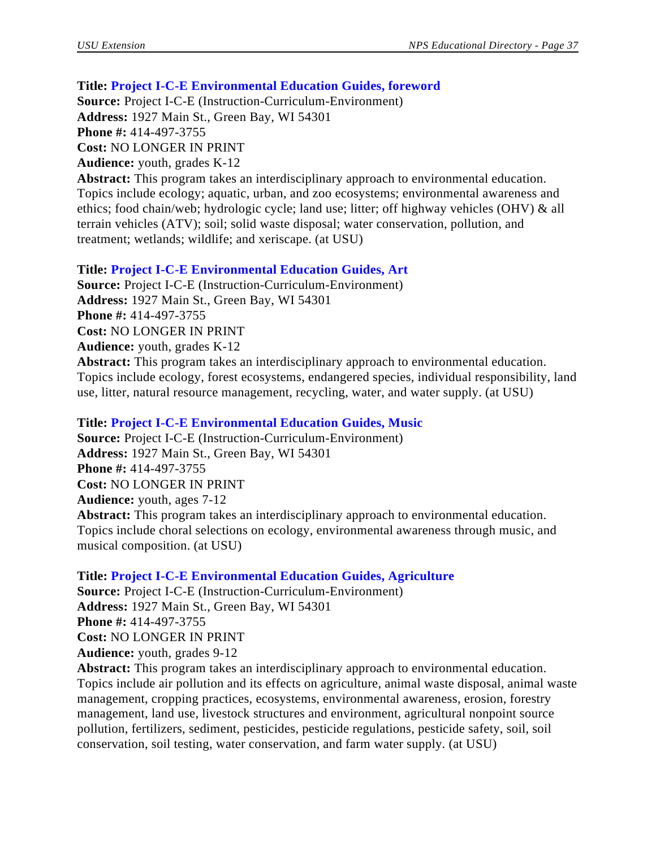## **Title: Project I-C-E Environmental Education Guides, foreword**

**Source:** Project I-C-E (Instruction-Curriculum-Environment) **Address:** 1927 Main St., Green Bay, WI 54301 **Phone #:** 414-497-3755 **Cost:** NO LONGER IN PRINT **Audience:** youth, grades K-12

**Abstract:** This program takes an interdisciplinary approach to environmental education. Topics include ecology; aquatic, urban, and zoo ecosystems; environmental awareness and ethics; food chain/web; hydrologic cycle; land use; litter; off highway vehicles (OHV) & all terrain vehicles (ATV); soil; solid waste disposal; water conservation, pollution, and treatment; wetlands; wildlife; and xeriscape. (at USU)

#### **Title: Project I-C-E Environmental Education Guides, Art**

**Source:** Project I-C-E (Instruction-Curriculum-Environment) **Address:** 1927 Main St., Green Bay, WI 54301 **Phone #:** 414-497-3755 **Cost:** NO LONGER IN PRINT **Audience:** youth, grades K-12 **Abstract:** This program takes an interdisciplinary approach to environmental education. Topics include ecology, forest ecosystems, endangered species, individual responsibility, land use, litter, natural resource management, recycling, water, and water supply. (at USU)

#### **Title: Project I-C-E Environmental Education Guides, Music**

**Source:** Project I-C-E (Instruction-Curriculum-Environment) **Address:** 1927 Main St., Green Bay, WI 54301 **Phone #:** 414-497-3755 **Cost:** NO LONGER IN PRINT **Audience:** youth, ages 7-12 **Abstract:** This program takes an interdisciplinary approach to environmental education. Topics include choral selections on ecology, environmental awareness through music, and musical composition. (at USU)

**Title: Project I-C-E Environmental Education Guides, Agriculture**

**Source:** Project I-C-E (Instruction-Curriculum-Environment) **Address:** 1927 Main St., Green Bay, WI 54301 **Phone #:** 414-497-3755 **Cost:** NO LONGER IN PRINT **Audience:** youth, grades 9-12

**Abstract:** This program takes an interdisciplinary approach to environmental education. Topics include air pollution and its effects on agriculture, animal waste disposal, animal waste management, cropping practices, ecosystems, environmental awareness, erosion, forestry management, land use, livestock structures and environment, agricultural nonpoint source pollution, fertilizers, sediment, pesticides, pesticide regulations, pesticide safety, soil, soil conservation, soil testing, water conservation, and farm water supply. (at USU)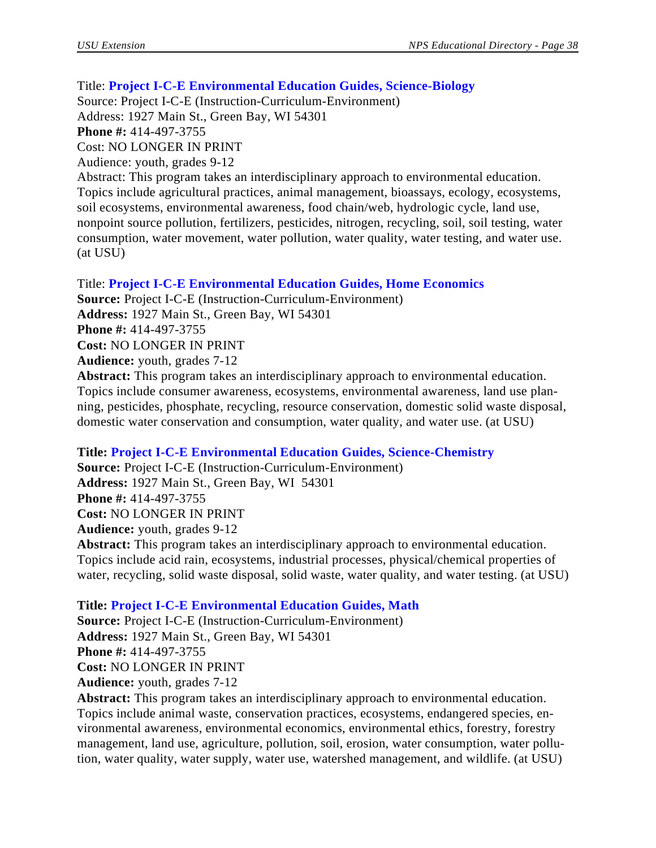#### Title: **Project I-C-E Environmental Education Guides, Science-Biology**

Source: Project I-C-E (Instruction-Curriculum-Environment) Address: 1927 Main St., Green Bay, WI 54301 **Phone #:** 414-497-3755 Cost: NO LONGER IN PRINT Audience: youth, grades 9-12 Abstract: This program takes an interdisciplinary approach to environmental education. Topics include agricultural practices, animal management, bioassays, ecology, ecosystems, soil ecosystems, environmental awareness, food chain/web, hydrologic cycle, land use, nonpoint source pollution, fertilizers, pesticides, nitrogen, recycling, soil, soil testing, water

consumption, water movement, water pollution, water quality, water testing, and water use. (at USU)

#### Title: **Project I-C-E Environmental Education Guides, Home Economics**

**Source:** Project I-C-E (Instruction-Curriculum-Environment) **Address:** 1927 Main St., Green Bay, WI 54301 **Phone #:** 414-497-3755 **Cost:** NO LONGER IN PRINT **Audience:** youth, grades 7-12

**Abstract:** This program takes an interdisciplinary approach to environmental education. Topics include consumer awareness, ecosystems, environmental awareness, land use planning, pesticides, phosphate, recycling, resource conservation, domestic solid waste disposal, domestic water conservation and consumption, water quality, and water use. (at USU)

#### **Title: Project I-C-E Environmental Education Guides, Science-Chemistry**

**Source:** Project I-C-E (Instruction-Curriculum-Environment) **Address:** 1927 Main St., Green Bay, WI 54301 **Phone #:** 414-497-3755 **Cost:** NO LONGER IN PRINT **Audience:** youth, grades 9-12

**Abstract:** This program takes an interdisciplinary approach to environmental education. Topics include acid rain, ecosystems, industrial processes, physical/chemical properties of water, recycling, solid waste disposal, solid waste, water quality, and water testing. (at USU)

# **Title: Project I-C-E Environmental Education Guides, Math**

**Source:** Project I-C-E (Instruction-Curriculum-Environment) **Address:** 1927 Main St., Green Bay, WI 54301 **Phone #:** 414-497-3755 **Cost:** NO LONGER IN PRINT **Audience:** youth, grades 7-12

**Abstract:** This program takes an interdisciplinary approach to environmental education. Topics include animal waste, conservation practices, ecosystems, endangered species, environmental awareness, environmental economics, environmental ethics, forestry, forestry management, land use, agriculture, pollution, soil, erosion, water consumption, water pollution, water quality, water supply, water use, watershed management, and wildlife. (at USU)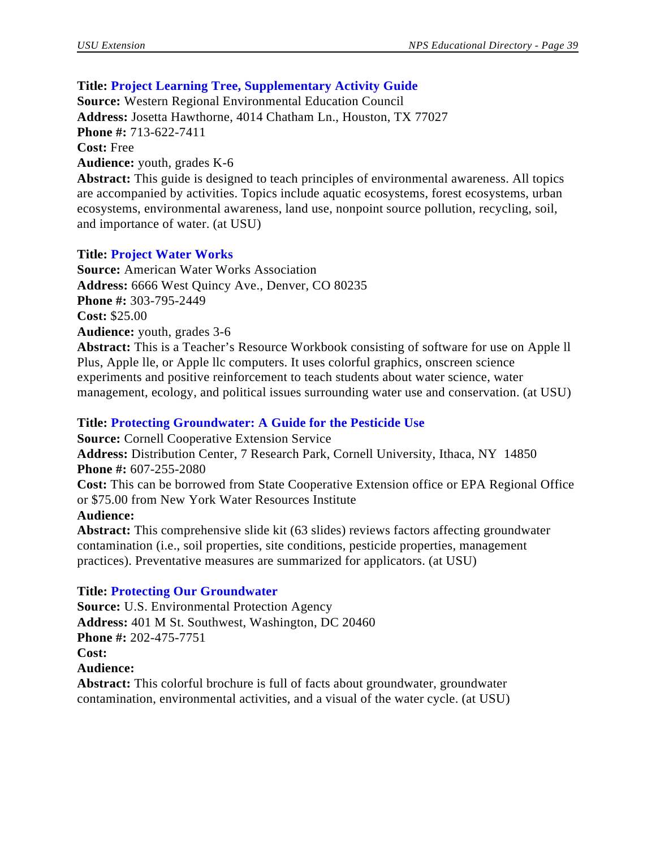# **Title: Project Learning Tree, Supplementary Activity Guide**

**Source:** Western Regional Environmental Education Council **Address:** Josetta Hawthorne, 4014 Chatham Ln., Houston, TX 77027 **Phone #:** 713-622-7411 **Cost:** Free **Audience:** youth, grades K-6 **Abstract:** This guide is designed to teach principles of environmental awareness. All topics

are accompanied by activities. Topics include aquatic ecosystems, forest ecosystems, urban ecosystems, environmental awareness, land use, nonpoint source pollution, recycling, soil, and importance of water. (at USU)

## **Title: Project Water Works**

**Source:** American Water Works Association **Address:** 6666 West Quincy Ave., Denver, CO 80235 **Phone #:** 303-795-2449 **Cost:** \$25.00 **Audience:** youth, grades 3-6 **Abstract:** This is a Teacher's Resource Workbook consisting of software for use on Apple ll

Plus, Apple lle, or Apple llc computers. It uses colorful graphics, onscreen science experiments and positive reinforcement to teach students about water science, water management, ecology, and political issues surrounding water use and conservation. (at USU)

## **Title: Protecting Groundwater: A Guide for the Pesticide Use**

**Source:** Cornell Cooperative Extension Service

**Address:** Distribution Center, 7 Research Park, Cornell University, Ithaca, NY 14850 **Phone #:** 607-255-2080

**Cost:** This can be borrowed from State Cooperative Extension office or EPA Regional Office or \$75.00 from New York Water Resources Institute

#### **Audience:**

**Abstract:** This comprehensive slide kit (63 slides) reviews factors affecting groundwater contamination (i.e., soil properties, site conditions, pesticide properties, management practices). Preventative measures are summarized for applicators. (at USU)

#### **Title: Protecting Our Groundwater**

**Source:** U.S. Environmental Protection Agency **Address:** 401 M St. Southwest, Washington, DC 20460 **Phone #:** 202-475-7751 **Cost: Audience: Abstract:** This colorful brochure is full of facts about groundwater, groundwater

contamination, environmental activities, and a visual of the water cycle. (at USU)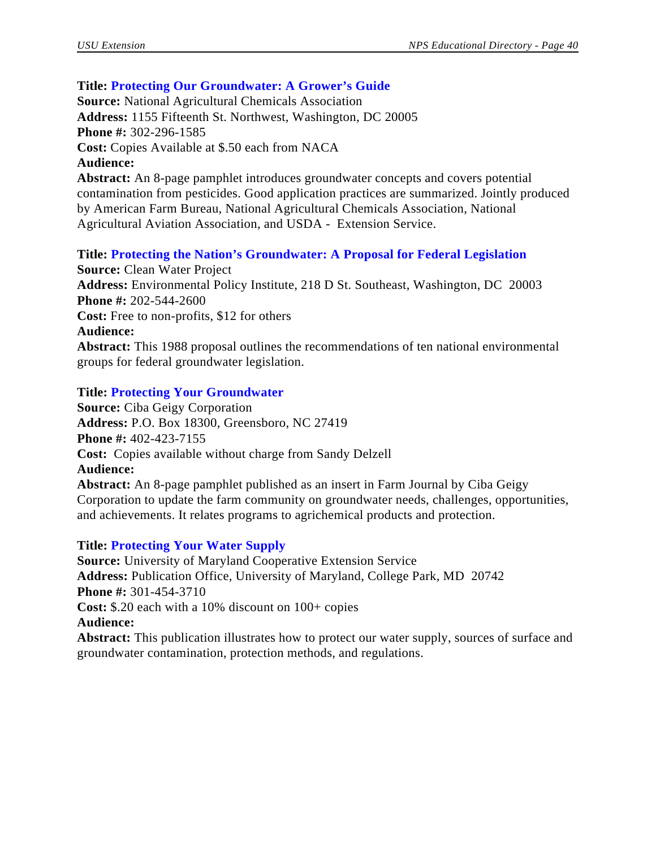## **Title: Protecting Our Groundwater: A Grower's Guide**

**Source:** National Agricultural Chemicals Association **Address:** 1155 Fifteenth St. Northwest, Washington, DC 20005 **Phone #:** 302-296-1585 **Cost:** Copies Available at \$.50 each from NACA **Audience: Abstract:** An 8-page pamphlet introduces groundwater concepts and covers potential contamination from pesticides. Good application practices are summarized. Jointly produced by American Farm Bureau, National Agricultural Chemicals Association, National Agricultural Aviation Association, and USDA - Extension Service.

**Title: Protecting the Nation's Groundwater: A Proposal for Federal Legislation**

**Source:** Clean Water Project **Address:** Environmental Policy Institute, 218 D St. Southeast, Washington, DC 20003 **Phone #:** 202-544-2600 **Cost:** Free to non-profits, \$12 for others **Audience: Abstract:** This 1988 proposal outlines the recommendations of ten national environmental groups for federal groundwater legislation.

## **Title: Protecting Your Groundwater**

**Source:** Ciba Geigy Corporation **Address:** P.O. Box 18300, Greensboro, NC 27419 **Phone #:** 402-423-7155 **Cost:** Copies available without charge from Sandy Delzell **Audience: Abstract:** An 8-page pamphlet published as an insert in Farm Journal by Ciba Geigy Corporation to update the farm community on groundwater needs, challenges, opportunities, and achievements. It relates programs to agrichemical products and protection.

#### **Title: Protecting Your Water Supply**

**Source:** University of Maryland Cooperative Extension Service **Address:** Publication Office, University of Maryland, College Park, MD 20742 **Phone #:** 301-454-3710 **Cost:** \$.20 each with a 10% discount on 100+ copies **Audience: Abstract:** This publication illustrates how to protect our water supply, sources of surface and groundwater contamination, protection methods, and regulations.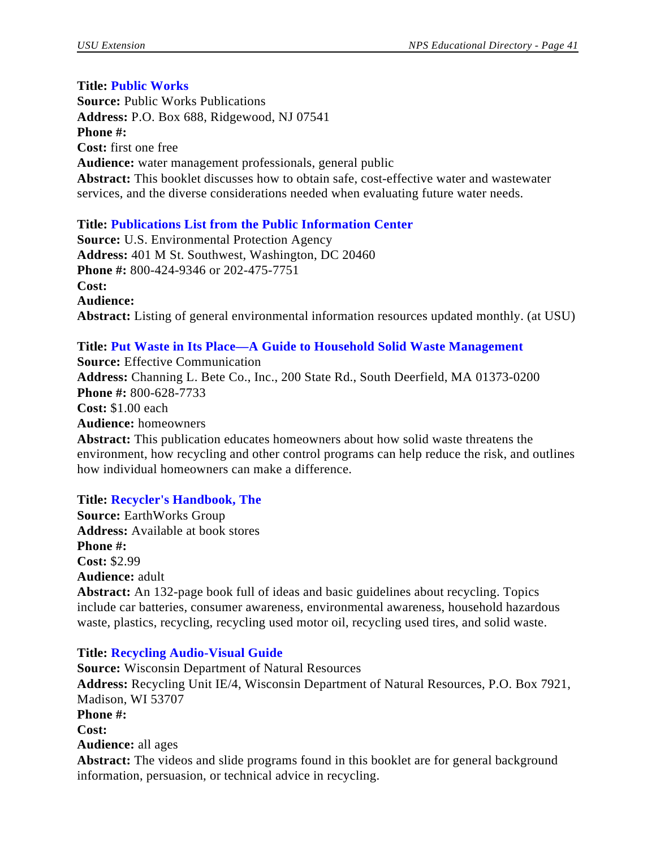# **Title: Public Works**

**Source:** Public Works Publications **Address:** P.O. Box 688, Ridgewood, NJ 07541 **Phone #: Cost:** first one free **Audience:** water management professionals, general public **Abstract:** This booklet discusses how to obtain safe, cost-effective water and wastewater services, and the diverse considerations needed when evaluating future water needs.

# **Title: Publications List from the Public Information Center**

**Source:** U.S. Environmental Protection Agency **Address:** 401 M St. Southwest, Washington, DC 20460 **Phone #:** 800-424-9346 or 202-475-7751 **Cost: Audience: Abstract:** Listing of general environmental information resources updated monthly. (at USU)

**Title: Put Waste in Its Place—A Guide to Household Solid Waste Management Source:** Effective Communication **Address:** Channing L. Bete Co., Inc., 200 State Rd., South Deerfield, MA 01373-0200 **Phone #:** 800-628-7733 **Cost:** \$1.00 each **Audience:** homeowners **Abstract:** This publication educates homeowners about how solid waste threatens the environment, how recycling and other control programs can help reduce the risk, and outlines how individual homeowners can make a difference.

**Title: Recycler's Handbook, The** 

**Source:** EarthWorks Group **Address:** Available at book stores **Phone #: Cost:** \$2.99 **Audience:** adult

**Abstract:** An 132-page book full of ideas and basic guidelines about recycling. Topics include car batteries, consumer awareness, environmental awareness, household hazardous waste, plastics, recycling, recycling used motor oil, recycling used tires, and solid waste.

# **Title: Recycling Audio-Visual Guide**

**Source:** Wisconsin Department of Natural Resources **Address:** Recycling Unit IE/4, Wisconsin Department of Natural Resources, P.O. Box 7921, Madison, WI 53707 **Phone #: Cost: Audience:** all ages **Abstract:** The videos and slide programs found in this booklet are for general background information, persuasion, or technical advice in recycling.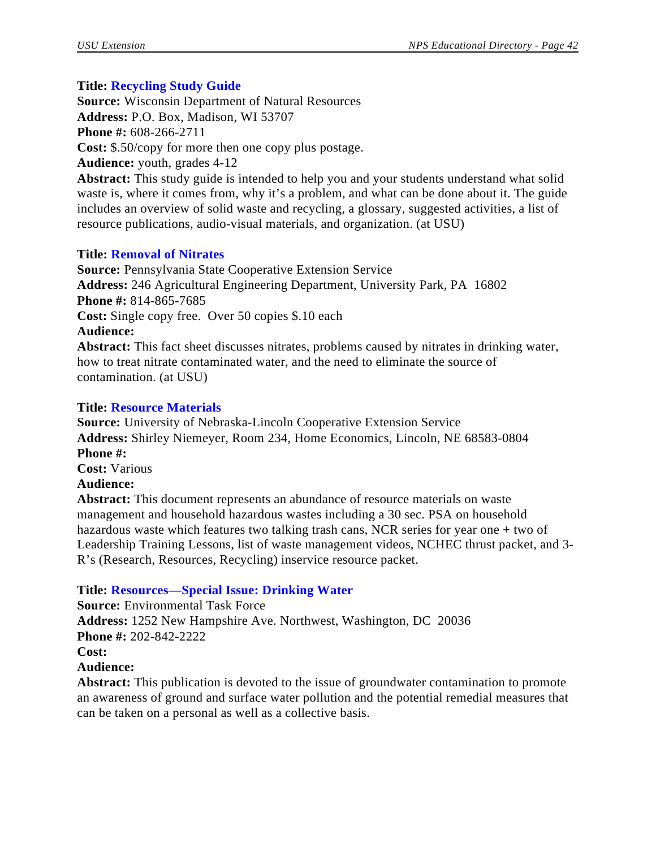# **Title: Recycling Study Guide**

**Source:** Wisconsin Department of Natural Resources **Address:** P.O. Box, Madison, WI 53707 **Phone #:** 608-266-2711 **Cost:** \$.50/copy for more then one copy plus postage.

**Audience:** youth, grades 4-12

**Abstract:** This study guide is intended to help you and your students understand what solid waste is, where it comes from, why it's a problem, and what can be done about it. The guide includes an overview of solid waste and recycling, a glossary, suggested activities, a list of resource publications, audio-visual materials, and organization. (at USU)

# **Title: Removal of Nitrates**

**Source:** Pennsylvania State Cooperative Extension Service **Address:** 246 Agricultural Engineering Department, University Park, PA 16802 **Phone #:** 814-865-7685 **Cost:** Single copy free. Over 50 copies \$.10 each **Audience: Abstract:** This fact sheet discusses nitrates, problems caused by nitrates in drinking water, how to treat nitrate contaminated water, and the need to eliminate the source of contamination. (at USU)

## **Title: Resource Materials**

**Source:** University of Nebraska-Lincoln Cooperative Extension Service **Address:** Shirley Niemeyer, Room 234, Home Economics, Lincoln, NE 68583-0804 **Phone #: Cost:** Various **Audience:**

**Abstract:** This document represents an abundance of resource materials on waste management and household hazardous wastes including a 30 sec. PSA on household hazardous waste which features two talking trash cans, NCR series for year one + two of Leadership Training Lessons, list of waste management videos, NCHEC thrust packet, and 3- R's (Research, Resources, Recycling) inservice resource packet.

**Title: Resources—Special Issue: Drinking Water**

**Source:** Environmental Task Force **Address:** 1252 New Hampshire Ave. Northwest, Washington, DC 20036 **Phone #:** 202-842-2222 **Cost: Audience:**

**Abstract:** This publication is devoted to the issue of groundwater contamination to promote an awareness of ground and surface water pollution and the potential remedial measures that can be taken on a personal as well as a collective basis.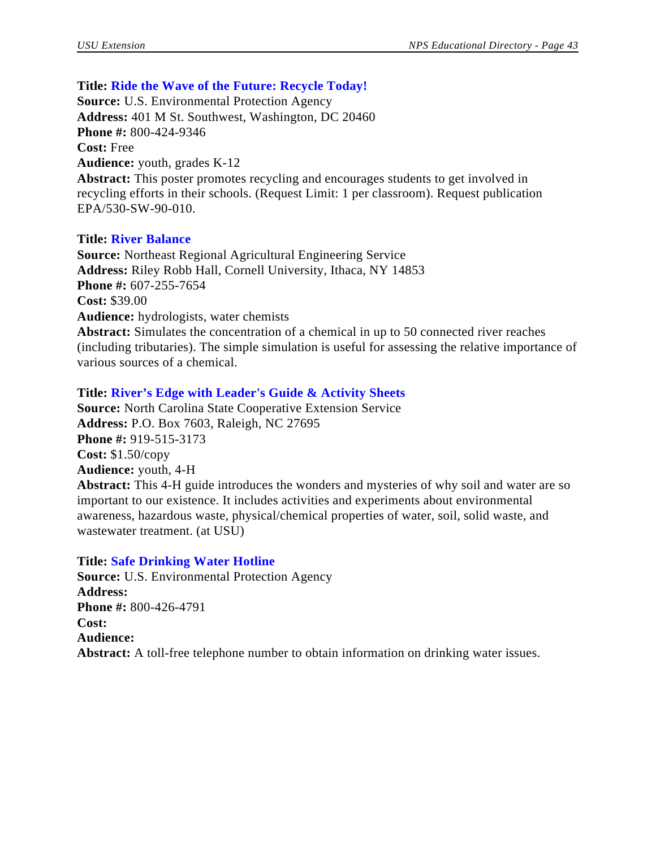## **Title: Ride the Wave of the Future: Recycle Today!**

**Source:** U.S. Environmental Protection Agency **Address:** 401 M St. Southwest, Washington, DC 20460 **Phone #:** 800-424-9346 **Cost:** Free **Audience:** youth, grades K-12 **Abstract:** This poster promotes recycling and encourages students to get involved in recycling efforts in their schools. (Request Limit: 1 per classroom). Request publication EPA/530-SW-90-010.

#### **Title: River Balance**

**Source:** Northeast Regional Agricultural Engineering Service **Address:** Riley Robb Hall, Cornell University, Ithaca, NY 14853 **Phone #:** 607-255-7654 **Cost:** \$39.00 **Audience:** hydrologists, water chemists **Abstract:** Simulates the concentration of a chemical in up to 50 connected river reaches (including tributaries). The simple simulation is useful for assessing the relative importance of various sources of a chemical.

## **Title: River's Edge with Leader's Guide & Activity Sheets**

**Source:** North Carolina State Cooperative Extension Service **Address:** P.O. Box 7603, Raleigh, NC 27695 **Phone #:** 919-515-3173 **Cost:** \$1.50/copy **Audience:** youth, 4-H **Abstract:** This 4-H guide introduces the wonders and mysteries of why soil and water are so important to our existence. It includes activities and experiments about environmental awareness, hazardous waste, physical/chemical properties of water, soil, solid waste, and wastewater treatment. (at USU)

#### **Title: Safe Drinking Water Hotline**

**Source:** U.S. Environmental Protection Agency **Address: Phone #:** 800-426-4791 **Cost: Audience: Abstract:** A toll-free telephone number to obtain information on drinking water issues.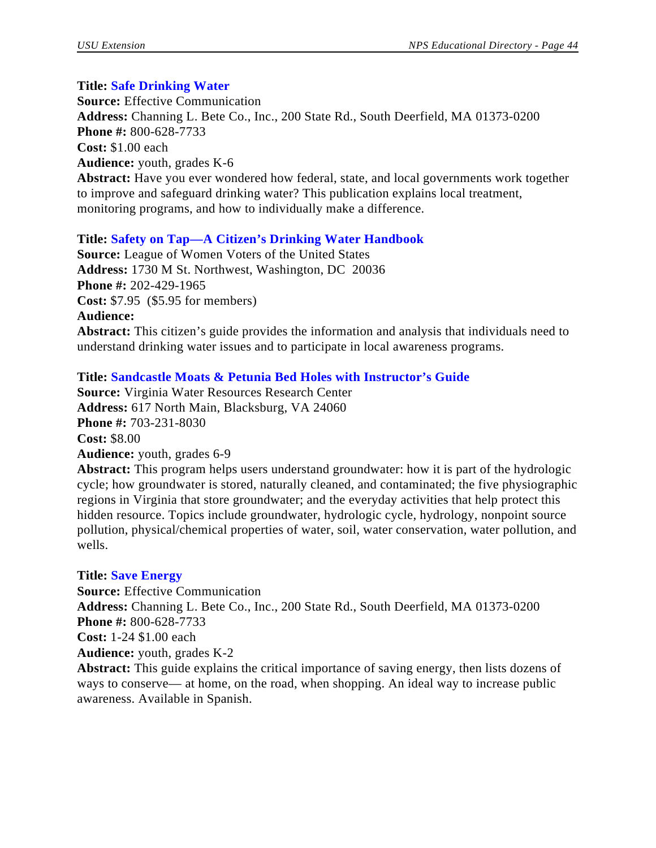#### **Title: Safe Drinking Water**

**Source:** Effective Communication **Address:** Channing L. Bete Co., Inc., 200 State Rd., South Deerfield, MA 01373-0200 **Phone #:** 800-628-7733 **Cost:** \$1.00 each **Audience:** youth, grades K-6 **Abstract:** Have you ever wondered how federal, state, and local governments work together to improve and safeguard drinking water? This publication explains local treatment, monitoring programs, and how to individually make a difference.

#### **Title: Safety on Tap—A Citizen's Drinking Water Handbook**

**Source:** League of Women Voters of the United States **Address:** 1730 M St. Northwest, Washington, DC 20036 **Phone #:** 202-429-1965 **Cost:** \$7.95 (\$5.95 for members) **Audience: Abstract:** This citizen's guide provides the information and analysis that individuals need to understand drinking water issues and to participate in local awareness programs.

#### **Title: Sandcastle Moats & Petunia Bed Holes with Instructor's Guide**

**Source:** Virginia Water Resources Research Center **Address:** 617 North Main, Blacksburg, VA 24060 **Phone #:** 703-231-8030 **Cost:** \$8.00 **Audience:** youth, grades 6-9

**Abstract:** This program helps users understand groundwater: how it is part of the hydrologic cycle; how groundwater is stored, naturally cleaned, and contaminated; the five physiographic regions in Virginia that store groundwater; and the everyday activities that help protect this hidden resource. Topics include groundwater, hydrologic cycle, hydrology, nonpoint source pollution, physical/chemical properties of water, soil, water conservation, water pollution, and wells.

#### **Title: Save Energy**

**Source:** Effective Communication **Address:** Channing L. Bete Co., Inc., 200 State Rd., South Deerfield, MA 01373-0200 **Phone #:** 800-628-7733 **Cost:** 1-24 \$1.00 each **Audience:** youth, grades K-2 **Abstract:** This guide explains the critical importance of saving energy, then lists dozens of

ways to conserve— at home, on the road, when shopping. An ideal way to increase public awareness. Available in Spanish.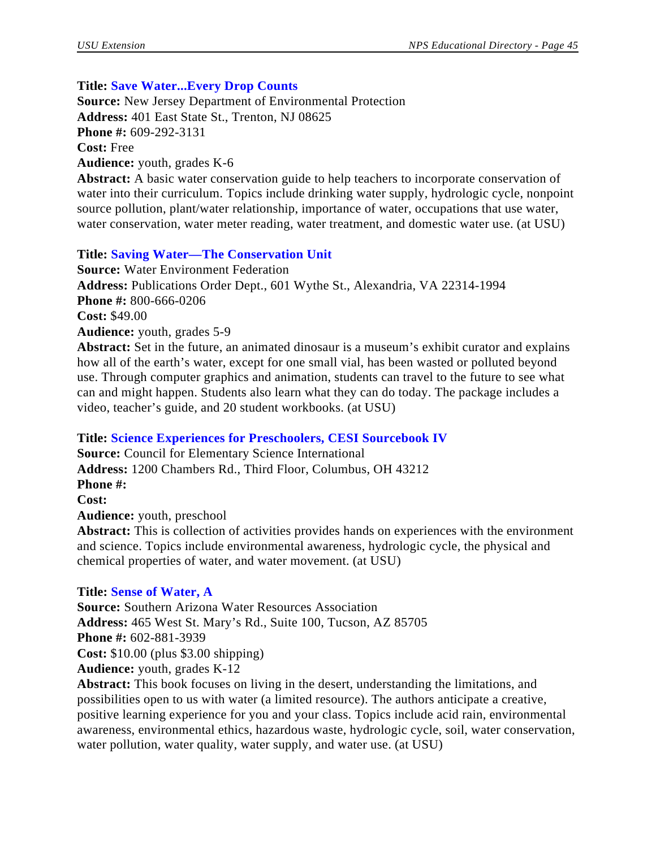# **Title: Save Water...Every Drop Counts**

**Source:** New Jersey Department of Environmental Protection **Address:** 401 East State St., Trenton, NJ 08625 **Phone #:** 609-292-3131 **Cost:** Free **Audience:** youth, grades K-6

**Abstract:** A basic water conservation guide to help teachers to incorporate conservation of water into their curriculum. Topics include drinking water supply, hydrologic cycle, nonpoint source pollution, plant/water relationship, importance of water, occupations that use water, water conservation, water meter reading, water treatment, and domestic water use. (at USU)

# **Title: Saving Water—The Conservation Unit**

**Source:** Water Environment Federation **Address:** Publications Order Dept., 601 Wythe St., Alexandria, VA 22314-1994 **Phone #:** 800-666-0206 **Cost:** \$49.00 **Audience:** youth, grades 5-9 **Abstract:** Set in the future, an animated dinosaur is a museum's exhibit curator and explains

how all of the earth's water, except for one small vial, has been wasted or polluted beyond use. Through computer graphics and animation, students can travel to the future to see what can and might happen. Students also learn what they can do today. The package includes a video, teacher's guide, and 20 student workbooks. (at USU)

# **Title: Science Experiences for Preschoolers, CESI Sourcebook IV**

**Source:** Council for Elementary Science International **Address:** 1200 Chambers Rd., Third Floor, Columbus, OH 43212 **Phone #: Cost: Audience:** youth, preschool **Abstract:** This is collection of activities provides hands on experiences with the environment and science. Topics include environmental awareness, hydrologic cycle, the physical and chemical properties of water, and water movement. (at USU)

# **Title: Sense of Water, A**

**Source:** Southern Arizona Water Resources Association **Address:** 465 West St. Mary's Rd., Suite 100, Tucson, AZ 85705 **Phone #:** 602-881-3939 **Cost:** \$10.00 (plus \$3.00 shipping) **Audience:** youth, grades K-12

**Abstract:** This book focuses on living in the desert, understanding the limitations, and possibilities open to us with water (a limited resource). The authors anticipate a creative, positive learning experience for you and your class. Topics include acid rain, environmental awareness, environmental ethics, hazardous waste, hydrologic cycle, soil, water conservation, water pollution, water quality, water supply, and water use. (at USU)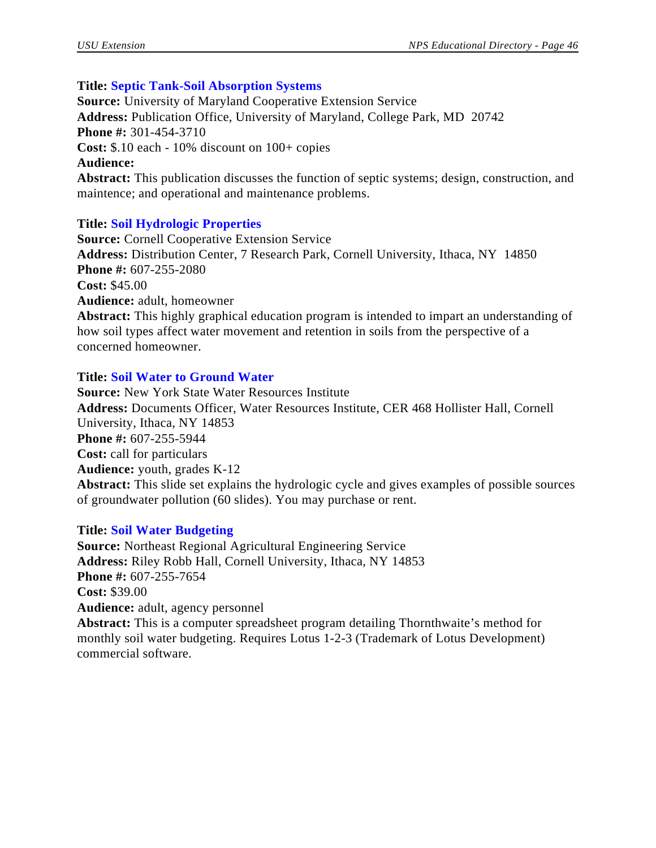# **Title: Septic Tank-Soil Absorption Systems**

**Source:** University of Maryland Cooperative Extension Service **Address:** Publication Office, University of Maryland, College Park, MD 20742 **Phone #:** 301-454-3710 **Cost:** \$.10 each - 10% discount on 100+ copies **Audience: Abstract:** This publication discusses the function of septic systems; design, construction, and maintence; and operational and maintenance problems.

# **Title: Soil Hydrologic Properties**

**Source:** Cornell Cooperative Extension Service **Address:** Distribution Center, 7 Research Park, Cornell University, Ithaca, NY 14850 **Phone #:** 607-255-2080 **Cost:** \$45.00 **Audience:** adult, homeowner **Abstract:** This highly graphical education program is intended to impart an understanding of how soil types affect water movement and retention in soils from the perspective of a concerned homeowner.

# **Title: Soil Water to Ground Water**

**Source:** New York State Water Resources Institute **Address:** Documents Officer, Water Resources Institute, CER 468 Hollister Hall, Cornell University, Ithaca, NY 14853 **Phone #:** 607-255-5944 **Cost:** call for particulars **Audience:** youth, grades K-12 **Abstract:** This slide set explains the hydrologic cycle and gives examples of possible sources of groundwater pollution (60 slides). You may purchase or rent.

# **Title: Soil Water Budgeting**

**Source:** Northeast Regional Agricultural Engineering Service **Address:** Riley Robb Hall, Cornell University, Ithaca, NY 14853 **Phone #:** 607-255-7654 **Cost:** \$39.00 **Audience:** adult, agency personnel **Abstract:** This is a computer spreadsheet program detailing Thornthwaite's method for monthly soil water budgeting. Requires Lotus 1-2-3 (Trademark of Lotus Development) commercial software.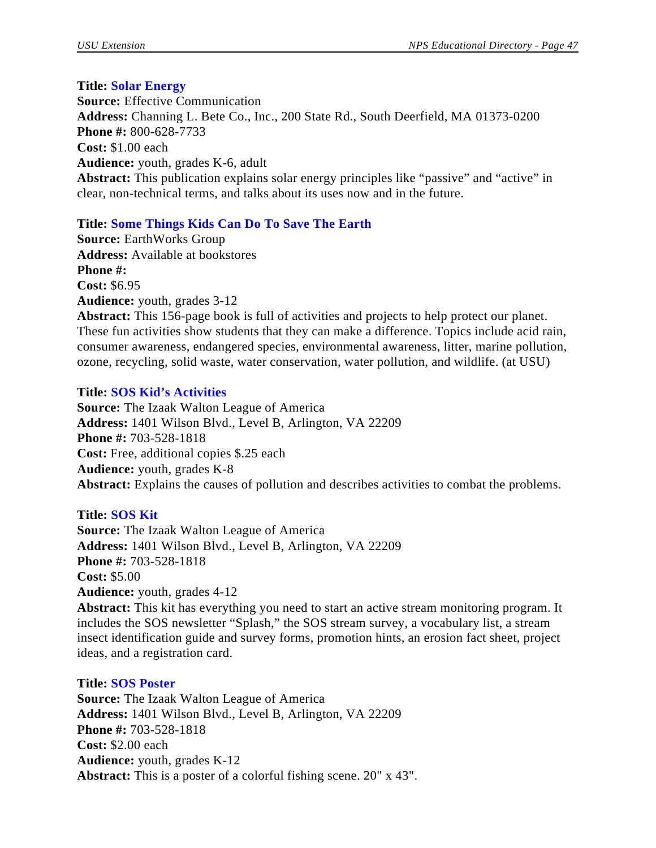**Title: Solar Energy Source:** Effective Communication **Address:** Channing L. Bete Co., Inc., 200 State Rd., South Deerfield, MA 01373-0200 **Phone #:** 800-628-7733 **Cost:** \$1.00 each **Audience:** youth, grades K-6, adult **Abstract:** This publication explains solar energy principles like "passive" and "active" in clear, non-technical terms, and talks about its uses now and in the future.

# **Title: Some Things Kids Can Do To Save The Earth**

**Source:** EarthWorks Group **Address:** Available at bookstores **Phone #: Cost:** \$6.95 **Audience:** youth, grades 3-12

**Abstract:** This 156-page book is full of activities and projects to help protect our planet. These fun activities show students that they can make a difference. Topics include acid rain, consumer awareness, endangered species, environmental awareness, litter, marine pollution, ozone, recycling, solid waste, water conservation, water pollution, and wildlife. (at USU)

# **Title: SOS Kid's Activities**

**Source:** The Izaak Walton League of America **Address:** 1401 Wilson Blvd., Level B, Arlington, VA 22209 **Phone #:** 703-528-1818 **Cost:** Free, additional copies \$.25 each **Audience:** youth, grades K-8 **Abstract:** Explains the causes of pollution and describes activities to combat the problems.

# **Title: SOS Kit**

**Source:** The Izaak Walton League of America **Address:** 1401 Wilson Blvd., Level B, Arlington, VA 22209 **Phone #:** 703-528-1818 **Cost:** \$5.00 **Audience:** youth, grades 4-12 **Abstract:** This kit has everything you need to start an active stream monitoring program. It

includes the SOS newsletter "Splash," the SOS stream survey, a vocabulary list, a stream insect identification guide and survey forms, promotion hints, an erosion fact sheet, project ideas, and a registration card.

# **Title: SOS Poster**

**Source:** The Izaak Walton League of America **Address:** 1401 Wilson Blvd., Level B, Arlington, VA 22209 **Phone #:** 703-528-1818 **Cost:** \$2.00 each **Audience:** youth, grades K-12 **Abstract:** This is a poster of a colorful fishing scene. 20" x 43".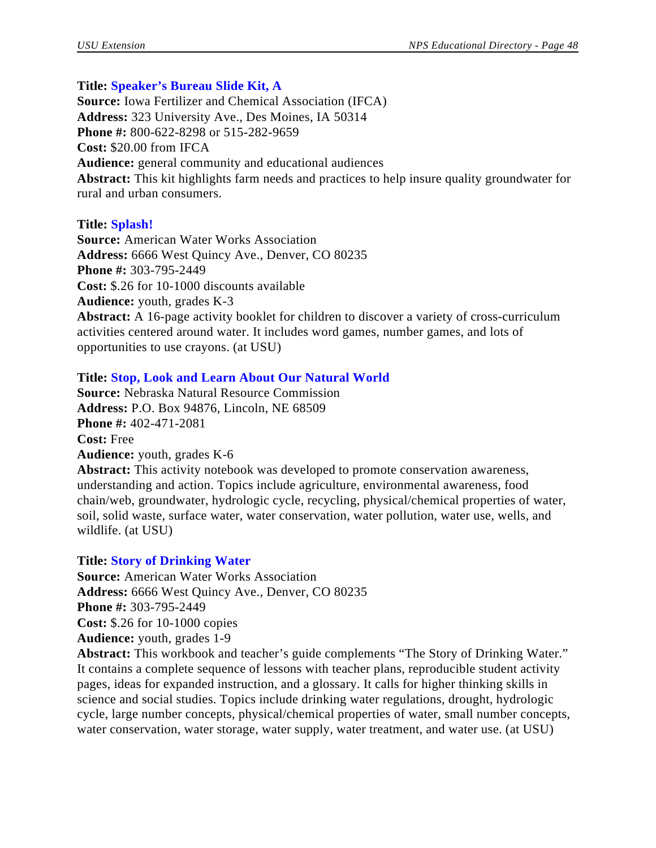## **Title: Speaker's Bureau Slide Kit, A**

**Source:** Iowa Fertilizer and Chemical Association (IFCA) **Address:** 323 University Ave., Des Moines, IA 50314 **Phone #:** 800-622-8298 or 515-282-9659 **Cost:** \$20.00 from IFCA **Audience:** general community and educational audiences **Abstract:** This kit highlights farm needs and practices to help insure quality groundwater for rural and urban consumers.

## **Title: Splash!**

**Source:** American Water Works Association **Address:** 6666 West Quincy Ave., Denver, CO 80235 **Phone #:** 303-795-2449 **Cost:** \$.26 for 10-1000 discounts available **Audience:** youth, grades K-3 **Abstract:** A 16-page activity booklet for children to discover a variety of cross-curriculum activities centered around water. It includes word games, number games, and lots of opportunities to use crayons. (at USU)

## **Title: Stop, Look and Learn About Our Natural World**

**Source:** Nebraska Natural Resource Commission **Address:** P.O. Box 94876, Lincoln, NE 68509 **Phone #:** 402-471-2081 **Cost:** Free **Audience:** youth, grades K-6

**Abstract:** This activity notebook was developed to promote conservation awareness, understanding and action. Topics include agriculture, environmental awareness, food chain/web, groundwater, hydrologic cycle, recycling, physical/chemical properties of water, soil, solid waste, surface water, water conservation, water pollution, water use, wells, and wildlife. (at USU)

# **Title: Story of Drinking Water**

**Source:** American Water Works Association **Address:** 6666 West Quincy Ave., Denver, CO 80235 **Phone #:** 303-795-2449 **Cost:** \$.26 for 10-1000 copies **Audience:** youth, grades 1-9

**Abstract:** This workbook and teacher's guide complements "The Story of Drinking Water." It contains a complete sequence of lessons with teacher plans, reproducible student activity pages, ideas for expanded instruction, and a glossary. It calls for higher thinking skills in science and social studies. Topics include drinking water regulations, drought, hydrologic cycle, large number concepts, physical/chemical properties of water, small number concepts, water conservation, water storage, water supply, water treatment, and water use. (at USU)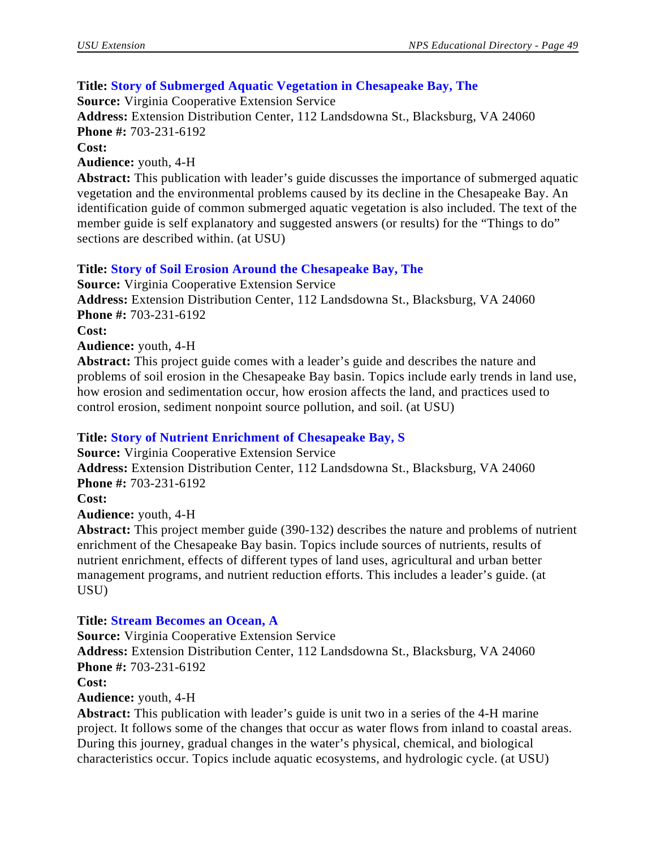# **Title: Story of Submerged Aquatic Vegetation in Chesapeake Bay, The**

**Source:** Virginia Cooperative Extension Service

**Address:** Extension Distribution Center, 112 Landsdowna St., Blacksburg, VA 24060 **Phone #:** 703-231-6192

**Cost:** 

**Audience:** youth, 4-H

**Abstract:** This publication with leader's guide discusses the importance of submerged aquatic vegetation and the environmental problems caused by its decline in the Chesapeake Bay. An identification guide of common submerged aquatic vegetation is also included. The text of the member guide is self explanatory and suggested answers (or results) for the "Things to do" sections are described within. (at USU)

# **Title: Story of Soil Erosion Around the Chesapeake Bay, The**

**Source:** Virginia Cooperative Extension Service **Address:** Extension Distribution Center, 112 Landsdowna St., Blacksburg, VA 24060 **Phone #:** 703-231-6192 **Cost: Audience:** youth, 4-H

**Abstract:** This project guide comes with a leader's guide and describes the nature and problems of soil erosion in the Chesapeake Bay basin. Topics include early trends in land use, how erosion and sedimentation occur, how erosion affects the land, and practices used to control erosion, sediment nonpoint source pollution, and soil. (at USU)

# **Title: Story of Nutrient Enrichment of Chesapeake Bay, S**

**Source:** Virginia Cooperative Extension Service **Address:** Extension Distribution Center, 112 Landsdowna St., Blacksburg, VA 24060 **Phone #:** 703-231-6192

**Cost:**

**Audience:** youth, 4-H

**Abstract:** This project member guide (390-132) describes the nature and problems of nutrient enrichment of the Chesapeake Bay basin. Topics include sources of nutrients, results of nutrient enrichment, effects of different types of land uses, agricultural and urban better management programs, and nutrient reduction efforts. This includes a leader's guide. (at USU)

# **Title: Stream Becomes an Ocean, A**

**Source:** Virginia Cooperative Extension Service

**Address:** Extension Distribution Center, 112 Landsdowna St., Blacksburg, VA 24060 **Phone #:** 703-231-6192

**Cost:**

**Audience:** youth, 4-H

**Abstract:** This publication with leader's guide is unit two in a series of the 4-H marine project. It follows some of the changes that occur as water flows from inland to coastal areas. During this journey, gradual changes in the water's physical, chemical, and biological characteristics occur. Topics include aquatic ecosystems, and hydrologic cycle. (at USU)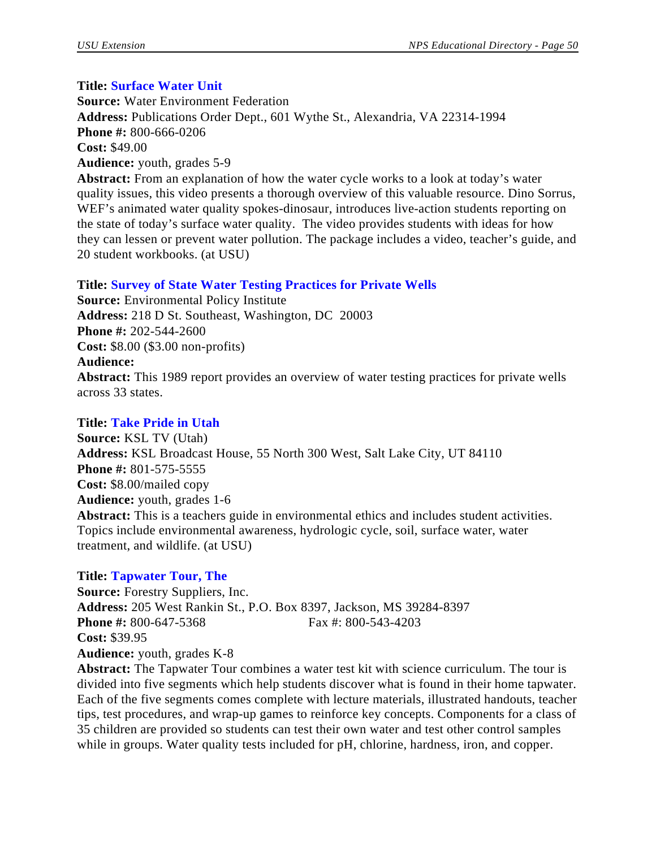# **Title: Surface Water Unit**

**Source:** Water Environment Federation **Address:** Publications Order Dept., 601 Wythe St., Alexandria, VA 22314-1994 **Phone #:** 800-666-0206 **Cost:** \$49.00 **Audience:** youth, grades 5-9

**Abstract:** From an explanation of how the water cycle works to a look at today's water quality issues, this video presents a thorough overview of this valuable resource. Dino Sorrus, WEF's animated water quality spokes-dinosaur, introduces live-action students reporting on the state of today's surface water quality. The video provides students with ideas for how they can lessen or prevent water pollution. The package includes a video, teacher's guide, and 20 student workbooks. (at USU)

# **Title: Survey of State Water Testing Practices for Private Wells**

**Source:** Environmental Policy Institute **Address:** 218 D St. Southeast, Washington, DC 20003 **Phone #:** 202-544-2600 **Cost:** \$8.00 (\$3.00 non-profits) **Audience: Abstract:** This 1989 report provides an overview of water testing practices for private wells across 33 states.

# **Title: Take Pride in Utah**

**Source:** KSL TV (Utah) **Address:** KSL Broadcast House, 55 North 300 West, Salt Lake City, UT 84110 **Phone #:** 801-575-5555 **Cost:** \$8.00/mailed copy **Audience:** youth, grades 1-6 **Abstract:** This is a teachers guide in environmental ethics and includes student activities. Topics include environmental awareness, hydrologic cycle, soil, surface water, water treatment, and wildlife. (at USU)

# **Title: Tapwater Tour, The**

**Source:** Forestry Suppliers, Inc. **Address:** 205 West Rankin St., P.O. Box 8397, Jackson, MS 39284-8397 **Phone #:** 800-647-5368 Fax #: 800-543-4203 **Cost:** \$39.95 **Audience:** youth, grades K-8 **Abstract:** The Tapwater Tour combines a water test kit with science curriculum. The tour is

divided into five segments which help students discover what is found in their home tapwater. Each of the five segments comes complete with lecture materials, illustrated handouts, teacher tips, test procedures, and wrap-up games to reinforce key concepts. Components for a class of 35 children are provided so students can test their own water and test other control samples while in groups. Water quality tests included for pH, chlorine, hardness, iron, and copper.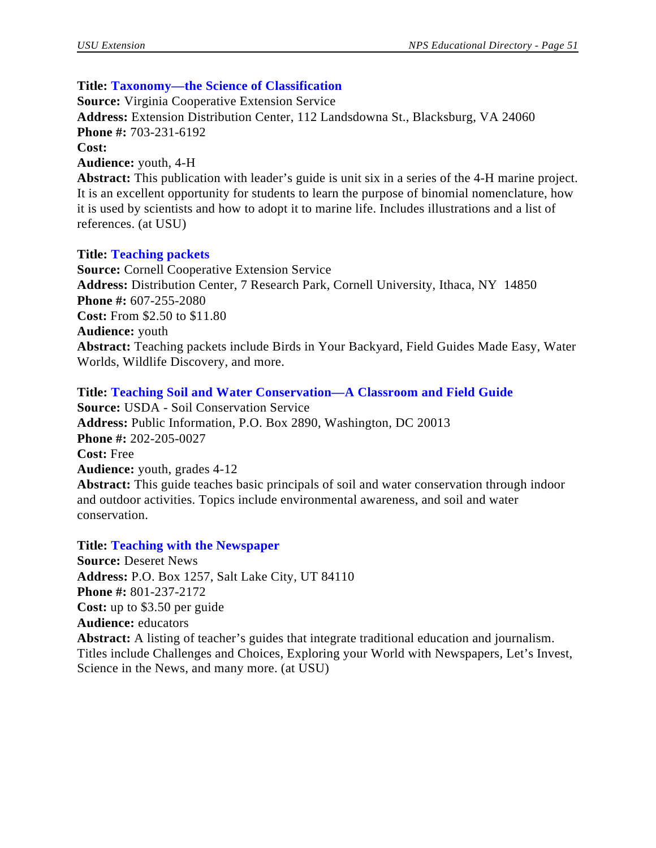## **Title: Taxonomy—the Science of Classification**

**Source:** Virginia Cooperative Extension Service **Address:** Extension Distribution Center, 112 Landsdowna St., Blacksburg, VA 24060 **Phone #:** 703-231-6192 **Cost: Audience:** youth, 4-H **Abstract:** This publication with leader's guide is unit six in a series of the 4-H marine project. It is an excellent opportunity for students to learn the purpose of binomial nomenclature, how it is used by scientists and how to adopt it to marine life. Includes illustrations and a list of

references. (at USU)

#### **Title: Teaching packets**

**Source:** Cornell Cooperative Extension Service **Address:** Distribution Center, 7 Research Park, Cornell University, Ithaca, NY 14850 **Phone #:** 607-255-2080 **Cost:** From \$2.50 to \$11.80 **Audience:** youth **Abstract:** Teaching packets include Birds in Your Backyard, Field Guides Made Easy, Water Worlds, Wildlife Discovery, and more.

#### **Title: Teaching Soil and Water Conservation—A Classroom and Field Guide**

**Source:** USDA - Soil Conservation Service **Address:** Public Information, P.O. Box 2890, Washington, DC 20013 **Phone #:** 202-205-0027 **Cost:** Free **Audience:** youth, grades 4-12 **Abstract:** This guide teaches basic principals of soil and water conservation through indoor and outdoor activities. Topics include environmental awareness, and soil and water conservation.

#### **Title: Teaching with the Newspaper**

**Source:** Deseret News **Address:** P.O. Box 1257, Salt Lake City, UT 84110 **Phone #:** 801-237-2172 **Cost:** up to \$3.50 per guide **Audience:** educators **Abstract:** A listing of teacher's guides that integrate traditional education and journalism. Titles include Challenges and Choices, Exploring your World with Newspapers, Let's Invest, Science in the News, and many more. (at USU)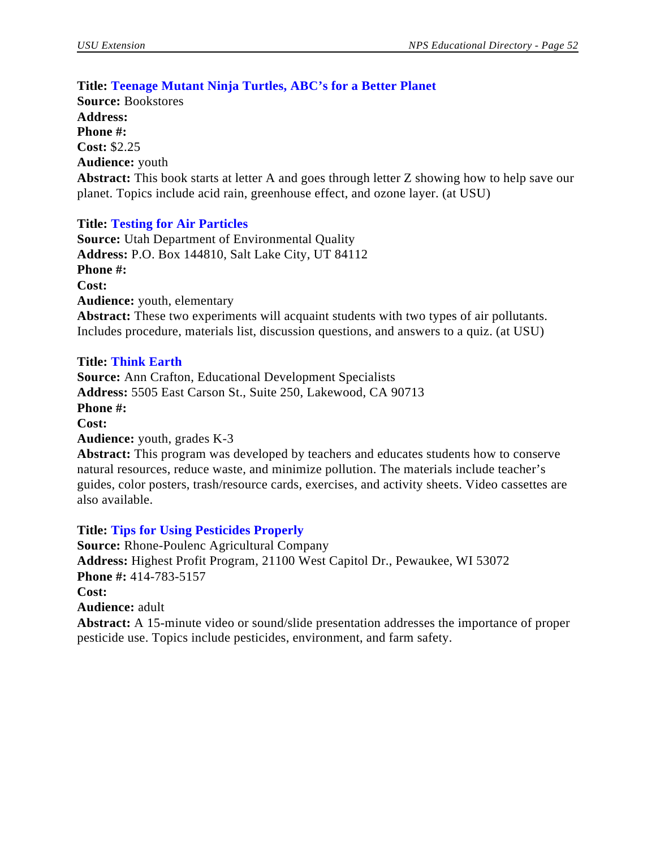# **Title: Teenage Mutant Ninja Turtles, ABC's for a Better Planet**

**Source:** Bookstores **Address: Phone #: Cost:** \$2.25 **Audience:** youth **Abstract:** This book starts at letter A and goes through letter Z showing how to help save our planet. Topics include acid rain, greenhouse effect, and ozone layer. (at USU)

# **Title: Testing for Air Particles**

**Source:** Utah Department of Environmental Quality **Address:** P.O. Box 144810, Salt Lake City, UT 84112 **Phone #: Cost: Audience:** youth, elementary **Abstract:** These two experiments will acquaint students with two types of air pollutants. Includes procedure, materials list, discussion questions, and answers to a quiz. (at USU)

## **Title: Think Earth**

**Source:** Ann Crafton, Educational Development Specialists **Address:** 5505 East Carson St., Suite 250, Lakewood, CA 90713 **Phone #: Cost: Audience:** youth, grades K-3

**Abstract:** This program was developed by teachers and educates students how to conserve natural resources, reduce waste, and minimize pollution. The materials include teacher's guides, color posters, trash/resource cards, exercises, and activity sheets. Video cassettes are also available.

# **Title: Tips for Using Pesticides Properly**

**Source:** Rhone-Poulenc Agricultural Company **Address:** Highest Profit Program, 21100 West Capitol Dr., Pewaukee, WI 53072 **Phone #:** 414-783-5157 **Cost: Audience:** adult **Abstract:** A 15-minute video or sound/slide presentation addresses the importance of proper pesticide use. Topics include pesticides, environment, and farm safety.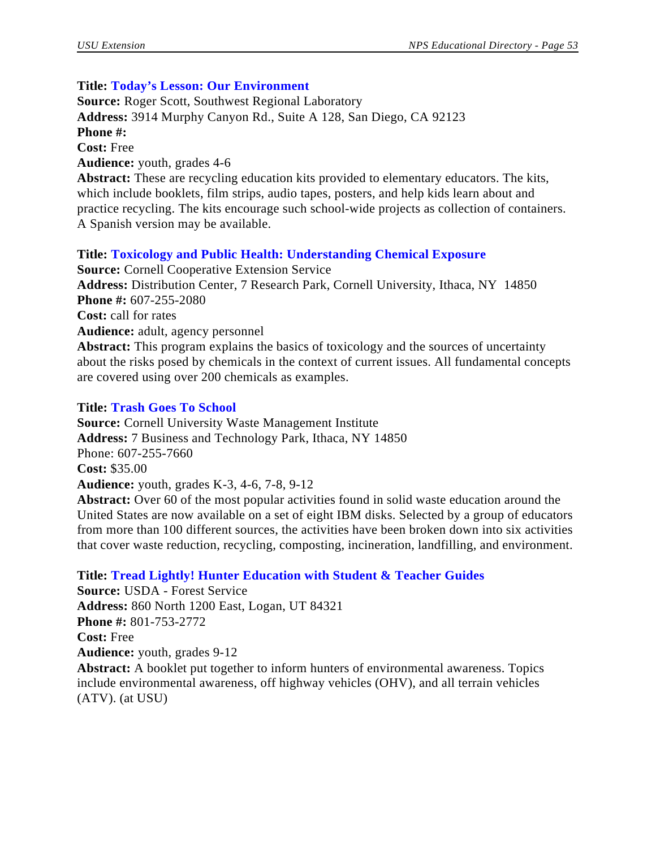# **Title: Today's Lesson: Our Environment**

**Source:** Roger Scott, Southwest Regional Laboratory **Address:** 3914 Murphy Canyon Rd., Suite A 128, San Diego, CA 92123 **Phone #: Cost:** Free **Audience:** youth, grades 4-6 **Abstract:** These are recycling education kits provided to elementary educators. The kits,

which include booklets, film strips, audio tapes, posters, and help kids learn about and practice recycling. The kits encourage such school-wide projects as collection of containers. A Spanish version may be available.

# **Title: Toxicology and Public Health: Understanding Chemical Exposure**

**Source:** Cornell Cooperative Extension Service **Address:** Distribution Center, 7 Research Park, Cornell University, Ithaca, NY 14850 **Phone #:** 607-255-2080 **Cost:** call for rates **Audience:** adult, agency personnel **Abstract:** This program explains the basics of toxicology and the sources of uncertainty about the risks posed by chemicals in the context of current issues. All fundamental concepts are covered using over 200 chemicals as examples.

## **Title: Trash Goes To School**

**Source:** Cornell University Waste Management Institute **Address:** 7 Business and Technology Park, Ithaca, NY 14850 Phone: 607-255-7660 **Cost:** \$35.00 **Audience:** youth, grades K-3, 4-6, 7-8, 9-12 **Abstract:** Over 60 of the most popular activities found in solid waste education around the

United States are now available on a set of eight IBM disks. Selected by a group of educators from more than 100 different sources, the activities have been broken down into six activities that cover waste reduction, recycling, composting, incineration, landfilling, and environment.

# **Title: Tread Lightly! Hunter Education with Student & Teacher Guides**

**Source:** USDA - Forest Service **Address:** 860 North 1200 East, Logan, UT 84321 **Phone #:** 801-753-2772 **Cost:** Free **Audience:** youth, grades 9-12 **Abstract:** A booklet put together to inform hunters of environmental awareness. Topics include environmental awareness, off highway vehicles (OHV), and all terrain vehicles (ATV). (at USU)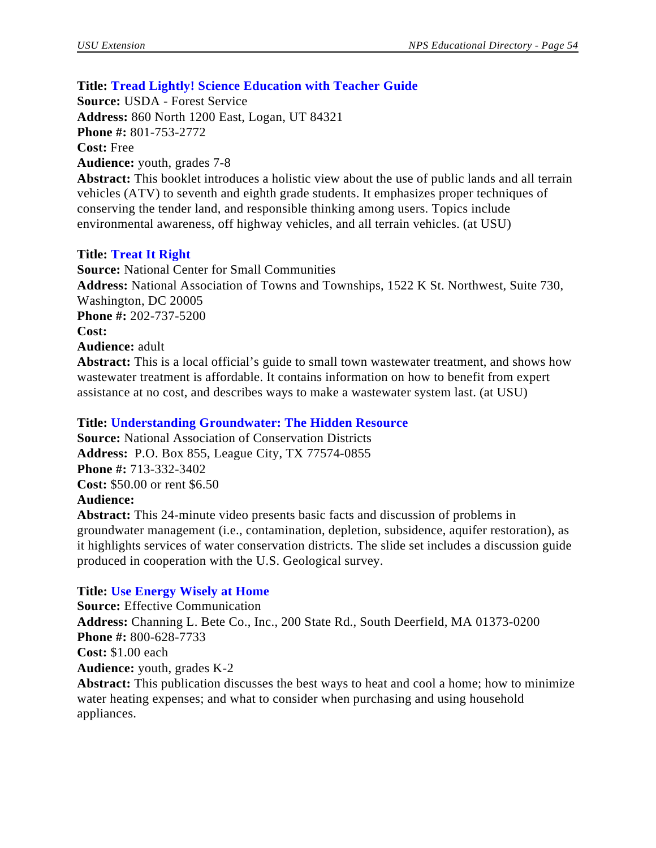# **Title: Tread Lightly! Science Education with Teacher Guide**

**Source:** USDA - Forest Service **Address:** 860 North 1200 East, Logan, UT 84321 **Phone #:** 801-753-2772 **Cost:** Free **Audience:** youth, grades 7-8

**Abstract:** This booklet introduces a holistic view about the use of public lands and all terrain vehicles (ATV) to seventh and eighth grade students. It emphasizes proper techniques of conserving the tender land, and responsible thinking among users. Topics include environmental awareness, off highway vehicles, and all terrain vehicles. (at USU)

# **Title: Treat It Right**

**Source:** National Center for Small Communities **Address:** National Association of Towns and Townships, 1522 K St. Northwest, Suite 730, Washington, DC 20005 **Phone #:** 202-737-5200 **Cost: Audience:** adult **Abstract:** This is a local official's guide to small town wastewater treatment, and shows how wastewater treatment is affordable. It contains information on how to benefit from expert

# assistance at no cost, and describes ways to make a wastewater system last. (at USU)

## **Title: Understanding Groundwater: The Hidden Resource**

**Source:** National Association of Conservation Districts **Address:** P.O. Box 855, League City, TX 77574-0855 **Phone #:** 713-332-3402 **Cost:** \$50.00 or rent \$6.50 **Audience:**

**Abstract:** This 24-minute video presents basic facts and discussion of problems in groundwater management (i.e., contamination, depletion, subsidence, aquifer restoration), as it highlights services of water conservation districts. The slide set includes a discussion guide produced in cooperation with the U.S. Geological survey.

# **Title: Use Energy Wisely at Home**

**Source:** Effective Communication **Address:** Channing L. Bete Co., Inc., 200 State Rd., South Deerfield, MA 01373-0200 **Phone #:** 800-628-7733 **Cost:** \$1.00 each **Audience:** youth, grades K-2 **Abstract:** This publication discusses the best ways to heat and cool a home; how to minimize water heating expenses; and what to consider when purchasing and using household appliances.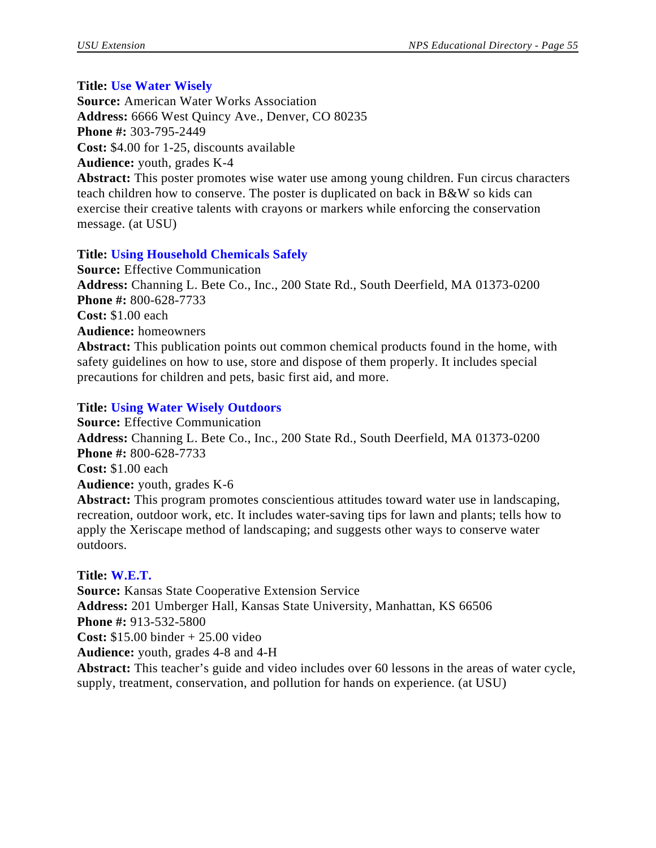#### **Title: Use Water Wisely**

**Source:** American Water Works Association **Address:** 6666 West Quincy Ave., Denver, CO 80235 **Phone #:** 303-795-2449 **Cost:** \$4.00 for 1-25, discounts available **Audience:** youth, grades K-4 **Abstract:** This poster promotes wise water use among young children. Fun circus characters teach children how to conserve. The poster is duplicated on back in B&W so kids can exercise their creative talents with crayons or markers while enforcing the conservation message. (at USU)

## **Title: Using Household Chemicals Safely**

**Source:** Effective Communication **Address:** Channing L. Bete Co., Inc., 200 State Rd., South Deerfield, MA 01373-0200 **Phone #:** 800-628-7733 **Cost:** \$1.00 each **Audience:** homeowners **Abstract:** This publication points out common chemical products found in the home, with safety guidelines on how to use, store and dispose of them properly. It includes special

precautions for children and pets, basic first aid, and more.

## **Title: Using Water Wisely Outdoors**

**Source:** Effective Communication **Address:** Channing L. Bete Co., Inc., 200 State Rd., South Deerfield, MA 01373-0200 **Phone #:** 800-628-7733 **Cost:** \$1.00 each **Audience:** youth, grades K-6 **Abstract:** This program promotes conscientious attitudes toward water use in landscaping,

recreation, outdoor work, etc. It includes water-saving tips for lawn and plants; tells how to apply the Xeriscape method of landscaping; and suggests other ways to conserve water outdoors.

#### **Title: W.E.T.**

**Source:** Kansas State Cooperative Extension Service **Address:** 201 Umberger Hall, Kansas State University, Manhattan, KS 66506 **Phone #:** 913-532-5800 **Cost:** \$15.00 binder + 25.00 video **Audience:** youth, grades 4-8 and 4-H **Abstract:** This teacher's guide and video includes over 60 lessons in the areas of water cycle, supply, treatment, conservation, and pollution for hands on experience. (at USU)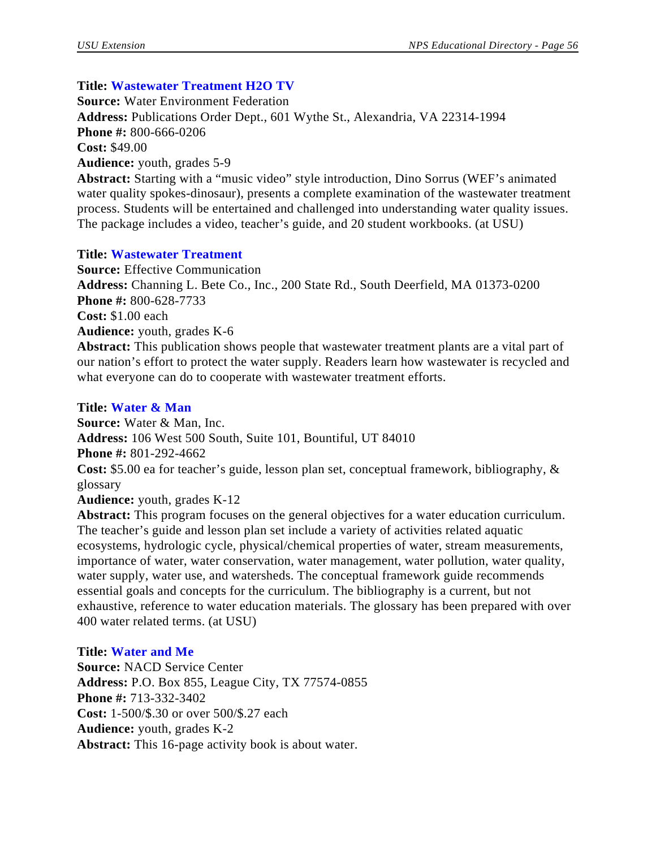# **Title: Wastewater Treatment H2O TV**

**Source:** Water Environment Federation **Address:** Publications Order Dept., 601 Wythe St., Alexandria, VA 22314-1994 **Phone #:** 800-666-0206 **Cost:** \$49.00 **Audience:** youth, grades 5-9 **Abstract:** Starting with a "music video" style introduction, Dino Sorrus (WEF's animated

water quality spokes-dinosaur), presents a complete examination of the wastewater treatment process. Students will be entertained and challenged into understanding water quality issues. The package includes a video, teacher's guide, and 20 student workbooks. (at USU)

# **Title: Wastewater Treatment**

**Source:** Effective Communication **Address:** Channing L. Bete Co., Inc., 200 State Rd., South Deerfield, MA 01373-0200 **Phone #:** 800-628-7733 **Cost:** \$1.00 each **Audience:** youth, grades K-6 **Abstract:** This publication shows people that wastewater treatment plants are a vital part of our nation's effort to protect the water supply. Readers learn how wastewater is recycled and what everyone can do to cooperate with wastewater treatment efforts.

## **Title: Water & Man**

**Source:** Water & Man, Inc. **Address:** 106 West 500 South, Suite 101, Bountiful, UT 84010 **Phone #:** 801-292-4662 **Cost:** \$5.00 ea for teacher's guide, lesson plan set, conceptual framework, bibliography, & glossary

**Audience:** youth, grades K-12

**Abstract:** This program focuses on the general objectives for a water education curriculum. The teacher's guide and lesson plan set include a variety of activities related aquatic ecosystems, hydrologic cycle, physical/chemical properties of water, stream measurements, importance of water, water conservation, water management, water pollution, water quality, water supply, water use, and watersheds. The conceptual framework guide recommends essential goals and concepts for the curriculum. The bibliography is a current, but not exhaustive, reference to water education materials. The glossary has been prepared with over 400 water related terms. (at USU)

# **Title: Water and Me**

**Source:** NACD Service Center **Address:** P.O. Box 855, League City, TX 77574-0855 **Phone #:** 713-332-3402 **Cost:** 1-500/\$.30 or over 500/\$.27 each **Audience:** youth, grades K-2 **Abstract:** This 16-page activity book is about water.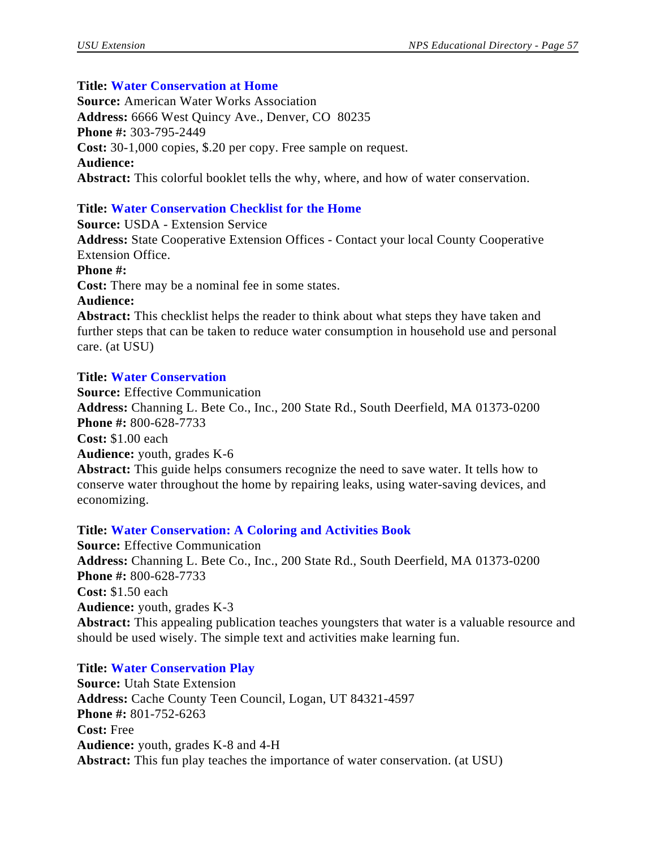# **Title: Water Conservation at Home**

**Source:** American Water Works Association **Address:** 6666 West Quincy Ave., Denver, CO 80235 **Phone #:** 303-795-2449 **Cost:** 30-1,000 copies, \$.20 per copy. Free sample on request. **Audience: Abstract:** This colorful booklet tells the why, where, and how of water conservation.

# **Title: Water Conservation Checklist for the Home**

**Source:** USDA - Extension Service **Address:** State Cooperative Extension Offices - Contact your local County Cooperative Extension Office. **Phone #: Cost:** There may be a nominal fee in some states. **Audience: Abstract:** This checklist helps the reader to think about what steps they have taken and further steps that can be taken to reduce water consumption in household use and personal care. (at USU)

# **Title: Water Conservation**

**Source:** Effective Communication **Address:** Channing L. Bete Co., Inc., 200 State Rd., South Deerfield, MA 01373-0200 **Phone #:** 800-628-7733 **Cost:** \$1.00 each **Audience:** youth, grades K-6 **Abstract:** This guide helps consumers recognize the need to save water. It tells how to

conserve water throughout the home by repairing leaks, using water-saving devices, and economizing.

# **Title: Water Conservation: A Coloring and Activities Book**

**Source:** Effective Communication **Address:** Channing L. Bete Co., Inc., 200 State Rd., South Deerfield, MA 01373-0200 **Phone #:** 800-628-7733 **Cost:** \$1.50 each **Audience:** youth, grades K-3 **Abstract:** This appealing publication teaches youngsters that water is a valuable resource and should be used wisely. The simple text and activities make learning fun.

# **Title: Water Conservation Play**

**Source:** Utah State Extension **Address:** Cache County Teen Council, Logan, UT 84321-4597 **Phone #:** 801-752-6263 **Cost:** Free **Audience:** youth, grades K-8 and 4-H **Abstract:** This fun play teaches the importance of water conservation. (at USU)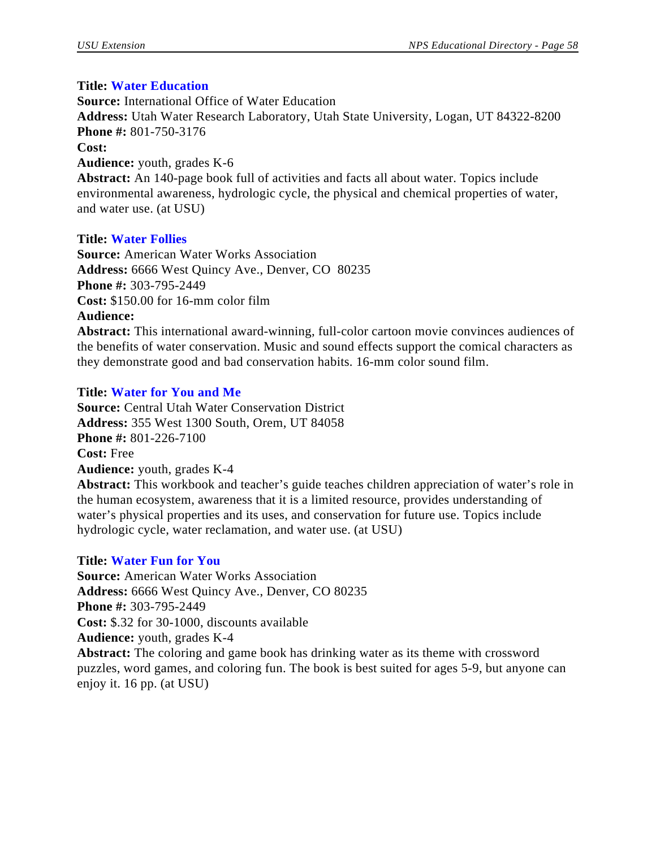## **Title: Water Education**

**Source:** International Office of Water Education **Address:** Utah Water Research Laboratory, Utah State University, Logan, UT 84322-8200 **Phone #:** 801-750-3176 **Cost: Audience:** youth, grades K-6 **Abstract:** An 140-page book full of activities and facts all about water. Topics include environmental awareness, hydrologic cycle, the physical and chemical properties of water, and water use. (at USU)

## **Title: Water Follies**

**Source:** American Water Works Association **Address:** 6666 West Quincy Ave., Denver, CO 80235 **Phone #:** 303-795-2449 **Cost:** \$150.00 for 16-mm color film **Audience:**

**Abstract:** This international award-winning, full-color cartoon movie convinces audiences of the benefits of water conservation. Music and sound effects support the comical characters as they demonstrate good and bad conservation habits. 16-mm color sound film.

# **Title: Water for You and Me**

**Source:** Central Utah Water Conservation District **Address:** 355 West 1300 South, Orem, UT 84058 **Phone #:** 801-226-7100 **Cost:** Free **Audience:** youth, grades K-4

**Abstract:** This workbook and teacher's guide teaches children appreciation of water's role in the human ecosystem, awareness that it is a limited resource, provides understanding of water's physical properties and its uses, and conservation for future use. Topics include hydrologic cycle, water reclamation, and water use. (at USU)

# **Title: Water Fun for You**

**Source:** American Water Works Association **Address:** 6666 West Quincy Ave., Denver, CO 80235 **Phone #:** 303-795-2449 **Cost:** \$.32 for 30-1000, discounts available **Audience:** youth, grades K-4 **Abstract:** The coloring and game book has drinking water as its theme with crossword puzzles, word games, and coloring fun. The book is best suited for ages 5-9, but anyone can enjoy it. 16 pp. (at USU)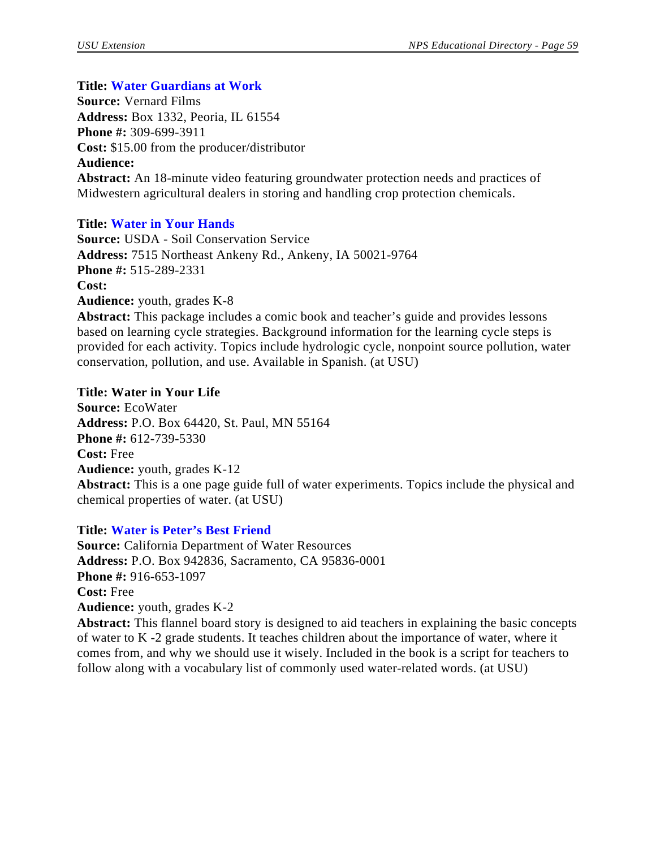## **Title: Water Guardians at Work**

**Source:** Vernard Films **Address:** Box 1332, Peoria, IL 61554 **Phone #:** 309-699-3911 **Cost:** \$15.00 from the producer/distributor **Audience: Abstract:** An 18-minute video featuring groundwater protection needs and practices of Midwestern agricultural dealers in storing and handling crop protection chemicals.

## **Title: Water in Your Hands**

**Source:** USDA - Soil Conservation Service **Address:** 7515 Northeast Ankeny Rd., Ankeny, IA 50021-9764 **Phone #:** 515-289-2331 **Cost: Audience:** youth, grades K-8 **Abstract:** This package includes a comic book and teacher's guide and provides lessons

based on learning cycle strategies. Background information for the learning cycle steps is provided for each activity. Topics include hydrologic cycle, nonpoint source pollution, water conservation, pollution, and use. Available in Spanish. (at USU)

#### **Title: Water in Your Life**

**Source:** EcoWater **Address:** P.O. Box 64420, St. Paul, MN 55164 **Phone #:** 612-739-5330 **Cost:** Free **Audience:** youth, grades K-12 **Abstract:** This is a one page guide full of water experiments. Topics include the physical and chemical properties of water. (at USU)

#### **Title: Water is Peter's Best Friend**

**Source:** California Department of Water Resources **Address:** P.O. Box 942836, Sacramento, CA 95836-0001 **Phone #:** 916-653-1097 **Cost:** Free **Audience:** youth, grades K-2 **Abstract:** This flannel board story is designed to aid teachers in explaining the basic concepts of water to K -2 grade students. It teaches children about the importance of water, where it

comes from, and why we should use it wisely. Included in the book is a script for teachers to follow along with a vocabulary list of commonly used water-related words. (at USU)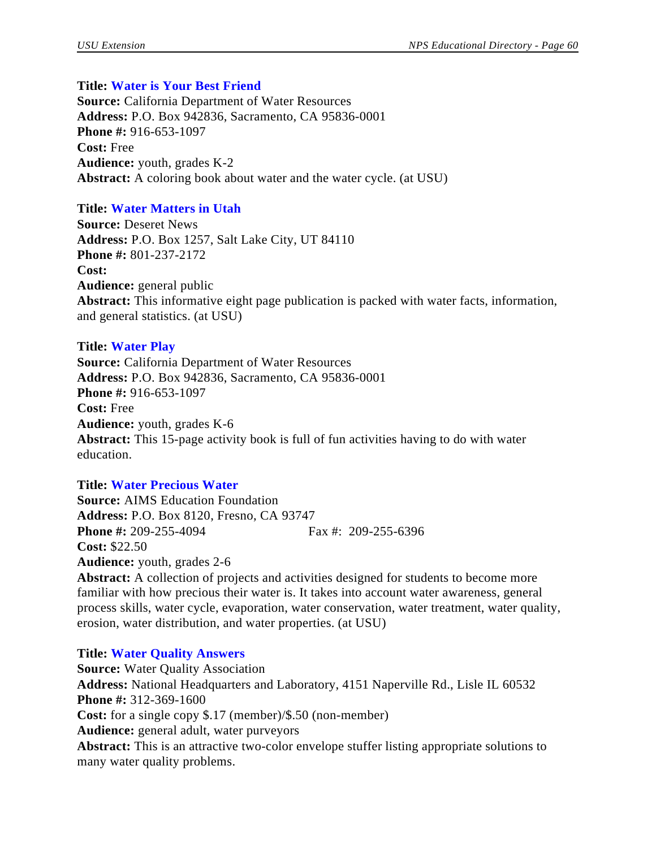#### **Title: Water is Your Best Friend**

**Source:** California Department of Water Resources **Address:** P.O. Box 942836, Sacramento, CA 95836-0001 **Phone #:** 916-653-1097 **Cost:** Free **Audience:** youth, grades K-2 **Abstract:** A coloring book about water and the water cycle. (at USU)

## **Title: Water Matters in Utah**

**Source:** Deseret News **Address:** P.O. Box 1257, Salt Lake City, UT 84110 **Phone #:** 801-237-2172 **Cost: Audience:** general public **Abstract:** This informative eight page publication is packed with water facts, information, and general statistics. (at USU)

#### **Title: Water Play**

**Source:** California Department of Water Resources **Address:** P.O. Box 942836, Sacramento, CA 95836-0001 **Phone #:** 916-653-1097 **Cost:** Free **Audience:** youth, grades K-6 **Abstract:** This 15-page activity book is full of fun activities having to do with water education.

#### **Title: Water Precious Water**

**Source:** AIMS Education Foundation **Address:** P.O. Box 8120, Fresno, CA 93747 **Phone #:** 209-255-4094 Fax #: 209-255-6396 **Cost:** \$22.50 **Audience:** youth, grades 2-6

**Abstract:** A collection of projects and activities designed for students to become more familiar with how precious their water is. It takes into account water awareness, general process skills, water cycle, evaporation, water conservation, water treatment, water quality, erosion, water distribution, and water properties. (at USU)

#### **Title: Water Quality Answers**

**Source:** Water Quality Association **Address:** National Headquarters and Laboratory, 4151 Naperville Rd., Lisle IL 60532 **Phone #:** 312-369-1600 **Cost:** for a single copy \$.17 (member)/\$.50 (non-member) **Audience:** general adult, water purveyors **Abstract:** This is an attractive two-color envelope stuffer listing appropriate solutions to many water quality problems.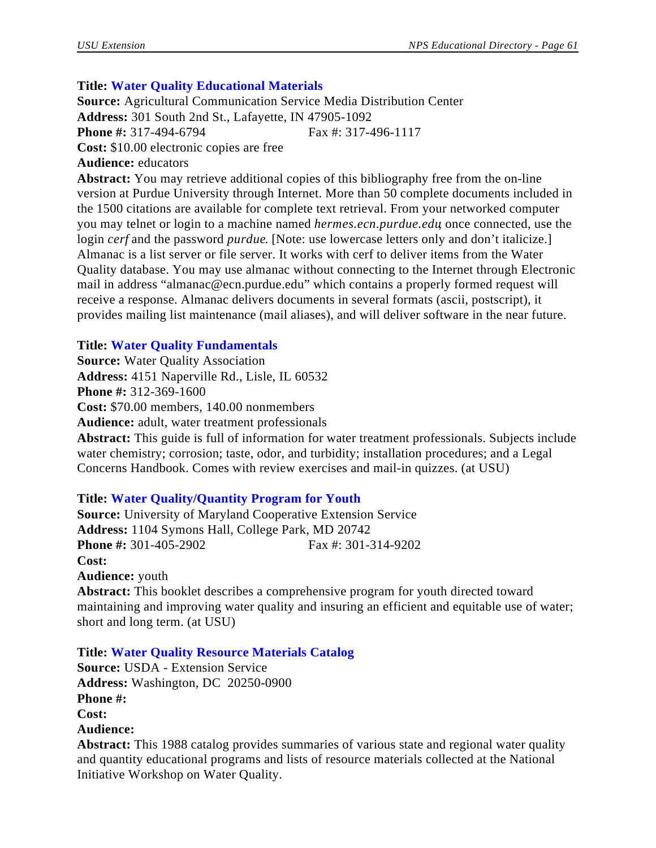# **Title: Water Quality Educational Materials**

**Source:** Agricultural Communication Service Media Distribution Center **Address:** 301 South 2nd St., Lafayette, IN 47905-1092 **Phone #:** 317-494-6794 Fax #: 317-496-1117 **Cost:** \$10.00 electronic copies are free **Audience:** educators

**Abstract:** You may retrieve additional copies of this bibliography free from the on-line version at Purdue University through Internet. More than 50 complete documents included in the 1500 citations are available for complete text retrieval. From your networked computer you may telnet or login to a machine named *hermes.ecn.purdue.edu*; once connected, use the login *cerf* and the password *purdue*. [Note: use lowercase letters only and don't italicize.] Almanac is a list server or file server. It works with cerf to deliver items from the Water Quality database. You may use almanac without connecting to the Internet through Electronic mail in address "almanac@ecn.purdue.edu" which contains a properly formed request will receive a response. Almanac delivers documents in several formats (ascii, postscript), it provides mailing list maintenance (mail aliases), and will deliver software in the near future.

# **Title: Water Quality Fundamentals**

**Source:** Water Quality Association **Address:** 4151 Naperville Rd., Lisle, IL 60532 **Phone #:** 312-369-1600 **Cost:** \$70.00 members, 140.00 nonmembers **Audience:** adult, water treatment professionals

**Abstract:** This guide is full of information for water treatment professionals. Subjects include water chemistry; corrosion; taste, odor, and turbidity; installation procedures; and a Legal Concerns Handbook. Comes with review exercises and mail-in quizzes. (at USU)

# **Title: Water Quality/Quantity Program for Youth**

**Source:** University of Maryland Cooperative Extension Service **Address:** 1104 Symons Hall, College Park, MD 20742 **Phone #:** 301-405-2902 Fax #: 301-314-9202 **Cost: Audience:** youth

**Abstract:** This booklet describes a comprehensive program for youth directed toward maintaining and improving water quality and insuring an efficient and equitable use of water; short and long term. (at USU)

# **Title: Water Quality Resource Materials Catalog**

**Source:** USDA - Extension Service **Address:** Washington, DC 20250-0900 **Phone #: Cost: Audience:**

**Abstract:** This 1988 catalog provides summaries of various state and regional water quality and quantity educational programs and lists of resource materials collected at the National Initiative Workshop on Water Quality.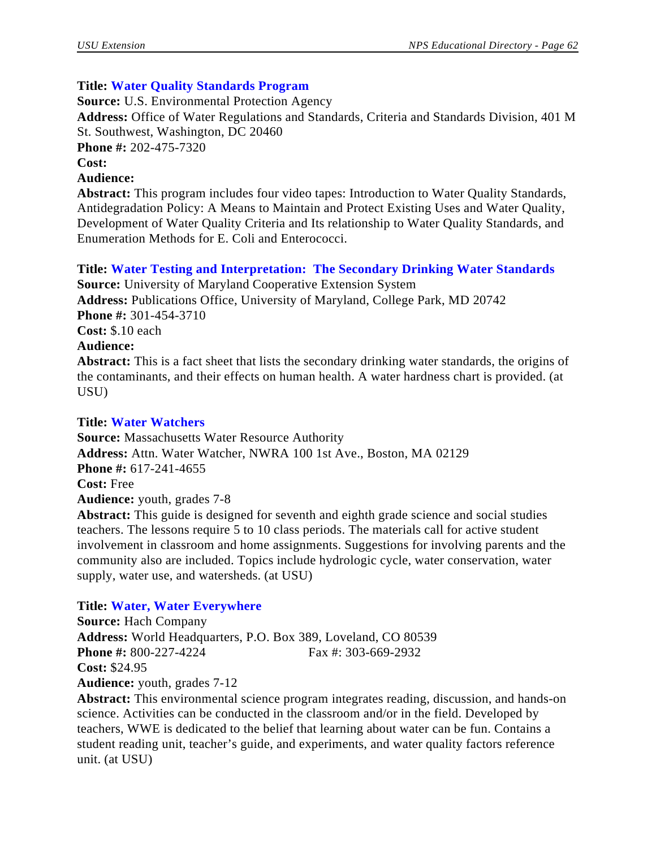## **Title: Water Quality Standards Program**

**Source:** U.S. Environmental Protection Agency

**Address:** Office of Water Regulations and Standards, Criteria and Standards Division, 401 M St. Southwest, Washington, DC 20460

**Phone #:** 202-475-7320

**Cost:**

#### **Audience:**

**Abstract:** This program includes four video tapes: Introduction to Water Quality Standards, Antidegradation Policy: A Means to Maintain and Protect Existing Uses and Water Quality, Development of Water Quality Criteria and Its relationship to Water Quality Standards, and Enumeration Methods for E. Coli and Enterococci.

**Title: Water Testing and Interpretation: The Secondary Drinking Water Standards**

**Source:** University of Maryland Cooperative Extension System **Address:** Publications Office, University of Maryland, College Park, MD 20742 **Phone #:** 301-454-3710 **Cost:** \$.10 each **Audience: Abstract:** This is a fact sheet that lists the secondary drinking water standards, the origins of the contaminants, and their effects on human health. A water hardness chart is provided. (at USU)

#### **Title: Water Watchers**

**Source:** Massachusetts Water Resource Authority **Address:** Attn. Water Watcher, NWRA 100 1st Ave., Boston, MA 02129 **Phone #:** 617-241-4655 **Cost:** Free **Audience:** youth, grades 7-8 **Abstract:** This guide is designed for seventh and eighth grade science and social studies teachers. The lessons require 5 to 10 class periods. The materials call for active student

involvement in classroom and home assignments. Suggestions for involving parents and the community also are included. Topics include hydrologic cycle, water conservation, water supply, water use, and watersheds. (at USU)

#### **Title: Water, Water Everywhere**

**Source:** Hach Company **Address:** World Headquarters, P.O. Box 389, Loveland, CO 80539 **Phone #:** 800-227-4224 Fax #: 303-669-2932 **Cost:** \$24.95 **Audience:** youth, grades 7-12

**Abstract:** This environmental science program integrates reading, discussion, and hands-on science. Activities can be conducted in the classroom and/or in the field. Developed by teachers, WWE is dedicated to the belief that learning about water can be fun. Contains a student reading unit, teacher's guide, and experiments, and water quality factors reference unit. (at USU)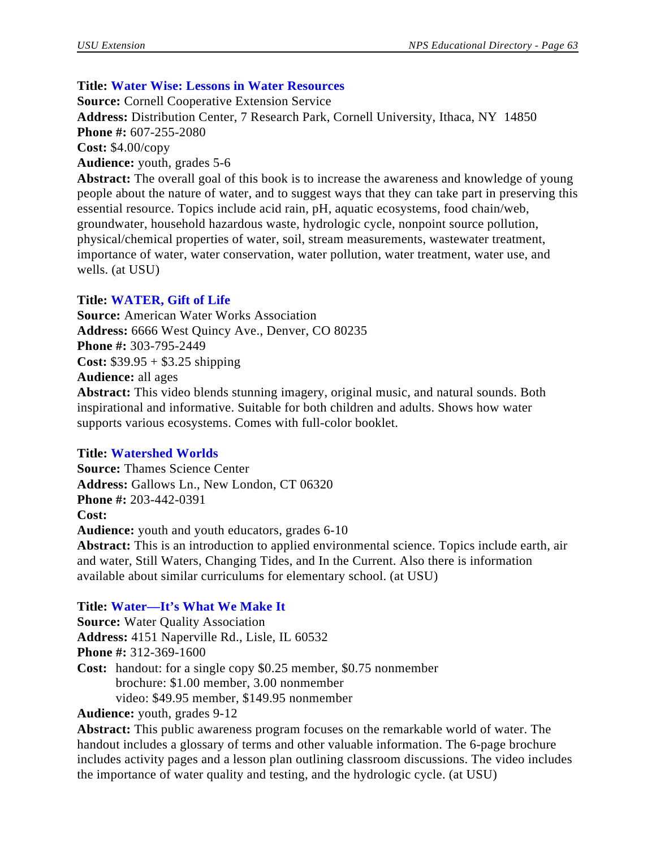# **Title: Water Wise: Lessons in Water Resources**

**Source:** Cornell Cooperative Extension Service **Address:** Distribution Center, 7 Research Park, Cornell University, Ithaca, NY 14850 **Phone #:** 607-255-2080 **Cost:** \$4.00/copy **Audience:** youth, grades 5-6 Abstract: The overall goal of this book is to increase the awareness and knowledge of young people about the nature of water, and to suggest ways that they can take part in preserving this essential resource. Topics include acid rain, pH, aquatic ecosystems, food chain/web,

groundwater, household hazardous waste, hydrologic cycle, nonpoint source pollution, physical/chemical properties of water, soil, stream measurements, wastewater treatment, importance of water, water conservation, water pollution, water treatment, water use, and wells. (at USU)

# **Title: WATER, Gift of Life**

**Source:** American Water Works Association **Address:** 6666 West Quincy Ave., Denver, CO 80235 **Phone #:** 303-795-2449 **Cost:** \$39.95 + \$3.25 shipping **Audience:** all ages **Abstract:** This video blends stunning imagery, original music, and natural sounds. Both inspirational and informative. Suitable for both children and adults. Shows how water supports various ecosystems. Comes with full-color booklet.

# **Title: Watershed Worlds**

**Source:** Thames Science Center **Address:** Gallows Ln., New London, CT 06320 **Phone #:** 203-442-0391 **Cost: Audience:** youth and youth educators, grades 6-10 **Abstract:** This is an introduction to applied environmental science. Topics include earth, air and water, Still Waters, Changing Tides, and In the Current. Also there is information available about similar curriculums for elementary school. (at USU)

# **Title: Water—It's What We Make It**

**Source:** Water Quality Association **Address:** 4151 Naperville Rd., Lisle, IL 60532 **Phone #:** 312-369-1600 **Cost:** handout: for a single copy \$0.25 member, \$0.75 nonmember brochure: \$1.00 member, 3.00 nonmember video: \$49.95 member, \$149.95 nonmember

**Audience:** youth, grades 9-12

**Abstract:** This public awareness program focuses on the remarkable world of water. The handout includes a glossary of terms and other valuable information. The 6-page brochure includes activity pages and a lesson plan outlining classroom discussions. The video includes the importance of water quality and testing, and the hydrologic cycle. (at USU)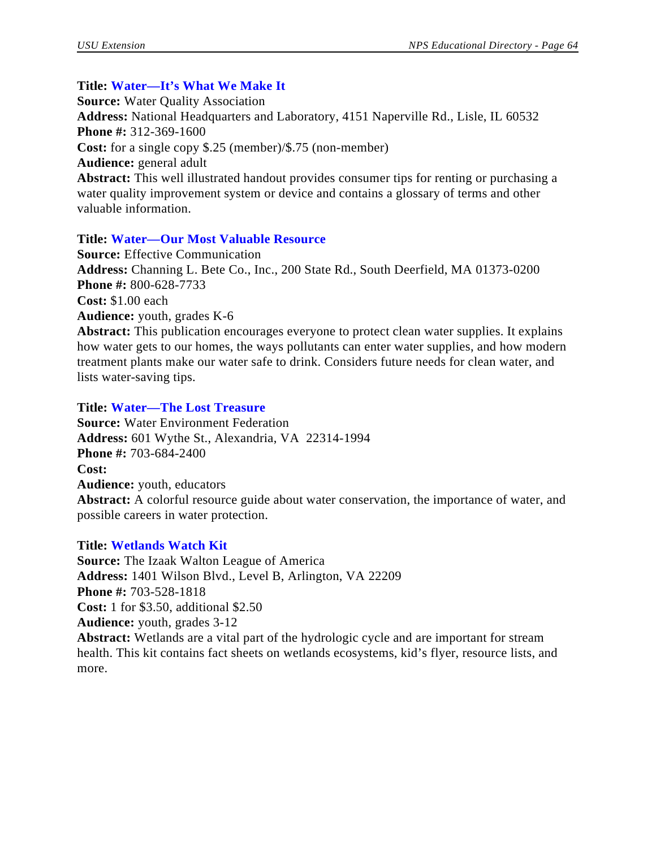#### **Title: Water—It's What We Make It**

**Source:** Water Quality Association **Address:** National Headquarters and Laboratory, 4151 Naperville Rd., Lisle, IL 60532 **Phone #:** 312-369-1600 **Cost:** for a single copy \$.25 (member)/\$.75 (non-member) **Audience:** general adult **Abstract:** This well illustrated handout provides consumer tips for renting or purchasing a water quality improvement system or device and contains a glossary of terms and other valuable information.

## **Title: Water—Our Most Valuable Resource**

**Source:** Effective Communication **Address:** Channing L. Bete Co., Inc., 200 State Rd., South Deerfield, MA 01373-0200 **Phone #:** 800-628-7733 **Cost:** \$1.00 each **Audience:** youth, grades K-6 **Abstract:** This publication encourages everyone to protect clean water supplies. It explains

how water gets to our homes, the ways pollutants can enter water supplies, and how modern treatment plants make our water safe to drink. Considers future needs for clean water, and lists water-saving tips.

#### **Title: Water—The Lost Treasure**

**Source:** Water Environment Federation **Address:** 601 Wythe St., Alexandria, VA 22314-1994 **Phone #:** 703-684-2400 **Cost: Audience:** youth, educators **Abstract:** A colorful resource guide about water conservation, the importance of water, and possible careers in water protection.

#### **Title: Wetlands Watch Kit**

more.

**Source:** The Izaak Walton League of America **Address:** 1401 Wilson Blvd., Level B, Arlington, VA 22209 **Phone #:** 703-528-1818 **Cost:** 1 for \$3.50, additional \$2.50 **Audience:** youth, grades 3-12 **Abstract:** Wetlands are a vital part of the hydrologic cycle and are important for stream health. This kit contains fact sheets on wetlands ecosystems, kid's flyer, resource lists, and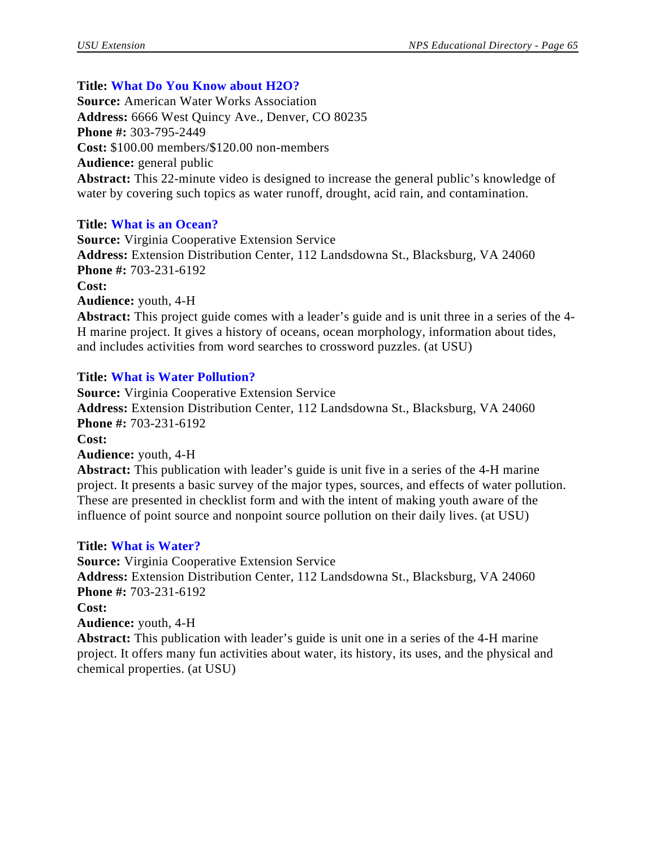# **Title: What Do You Know about H2O?**

**Source:** American Water Works Association **Address:** 6666 West Quincy Ave., Denver, CO 80235 **Phone #:** 303-795-2449 **Cost:** \$100.00 members/\$120.00 non-members **Audience:** general public **Abstract:** This 22-minute video is designed to increase the general public's knowledge of water by covering such topics as water runoff, drought, acid rain, and contamination.

# **Title: What is an Ocean?**

**Source:** Virginia Cooperative Extension Service **Address:** Extension Distribution Center, 112 Landsdowna St., Blacksburg, VA 24060 **Phone #:** 703-231-6192 **Cost: Audience:** youth, 4-H **Abstract:** This project guide comes with a leader's guide and is unit three in a series of the 4- H marine project. It gives a history of oceans, ocean morphology, information about tides, and includes activities from word searches to crossword puzzles. (at USU)

# **Title: What is Water Pollution?**

**Source:** Virginia Cooperative Extension Service **Address:** Extension Distribution Center, 112 Landsdowna St., Blacksburg, VA 24060 **Phone #:** 703-231-6192 **Cost: Audience:** youth, 4-H **Abstract:** This publication with leader's guide is unit five in a series of the 4-H marine

project. It presents a basic survey of the major types, sources, and effects of water pollution. These are presented in checklist form and with the intent of making youth aware of the influence of point source and nonpoint source pollution on their daily lives. (at USU)

# **Title: What is Water?**

**Source:** Virginia Cooperative Extension Service **Address:** Extension Distribution Center, 112 Landsdowna St., Blacksburg, VA 24060 **Phone #:** 703-231-6192 **Cost: Audience:** youth, 4-H **Abstract:** This publication with leader's guide is unit one in a series of the 4-H marine project. It offers many fun activities about water, its history, its uses, and the physical and chemical properties. (at USU)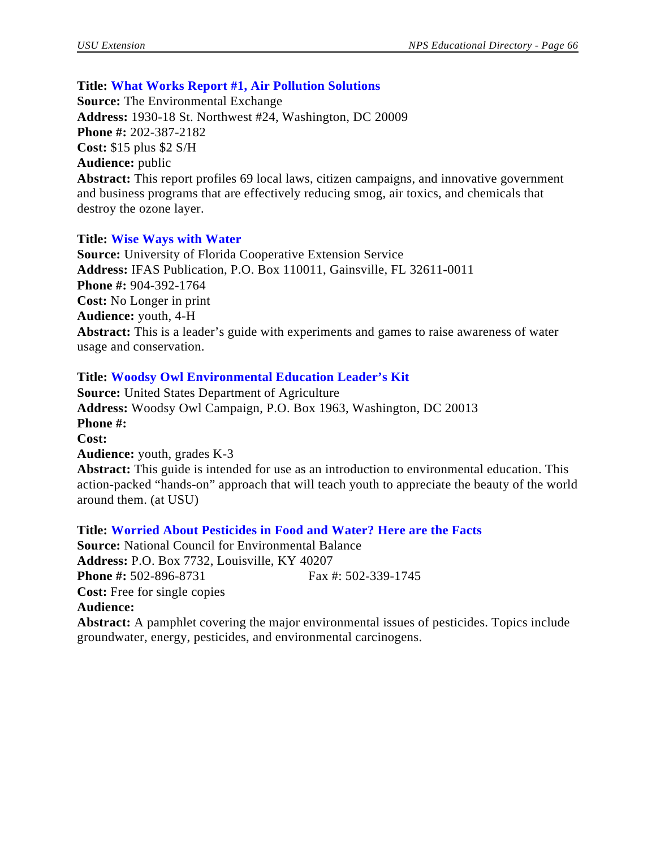## **Title: What Works Report #1, Air Pollution Solutions**

**Source:** The Environmental Exchange **Address:** 1930-18 St. Northwest #24, Washington, DC 20009 **Phone #:** 202-387-2182 **Cost:** \$15 plus \$2 S/H **Audience:** public **Abstract:** This report profiles 69 local laws, citizen campaigns, and innovative government and business programs that are effectively reducing smog, air toxics, and chemicals that destroy the ozone layer.

#### **Title: Wise Ways with Water**

**Source:** University of Florida Cooperative Extension Service **Address:** IFAS Publication, P.O. Box 110011, Gainsville, FL 32611-0011 **Phone #:** 904-392-1764 **Cost:** No Longer in print **Audience:** youth, 4-H **Abstract:** This is a leader's guide with experiments and games to raise awareness of water usage and conservation.

## **Title: Woodsy Owl Environmental Education Leader's Kit**

**Source:** United States Department of Agriculture **Address:** Woodsy Owl Campaign, P.O. Box 1963, Washington, DC 20013 **Phone #: Cost: Audience:** youth, grades K-3 **Abstract:** This guide is intended for use as an introduction to environmental education. This action-packed "hands-on" approach that will teach youth to appreciate the beauty of the world around them. (at USU)

**Title: Worried About Pesticides in Food and Water? Here are the Facts Source:** National Council for Environmental Balance **Address:** P.O. Box 7732, Louisville, KY 40207 **Phone #:** 502-896-8731 Fax #: 502-339-1745 **Cost:** Free for single copies **Audience: Abstract:** A pamphlet covering the major environmental issues of pesticides. Topics include groundwater, energy, pesticides, and environmental carcinogens.